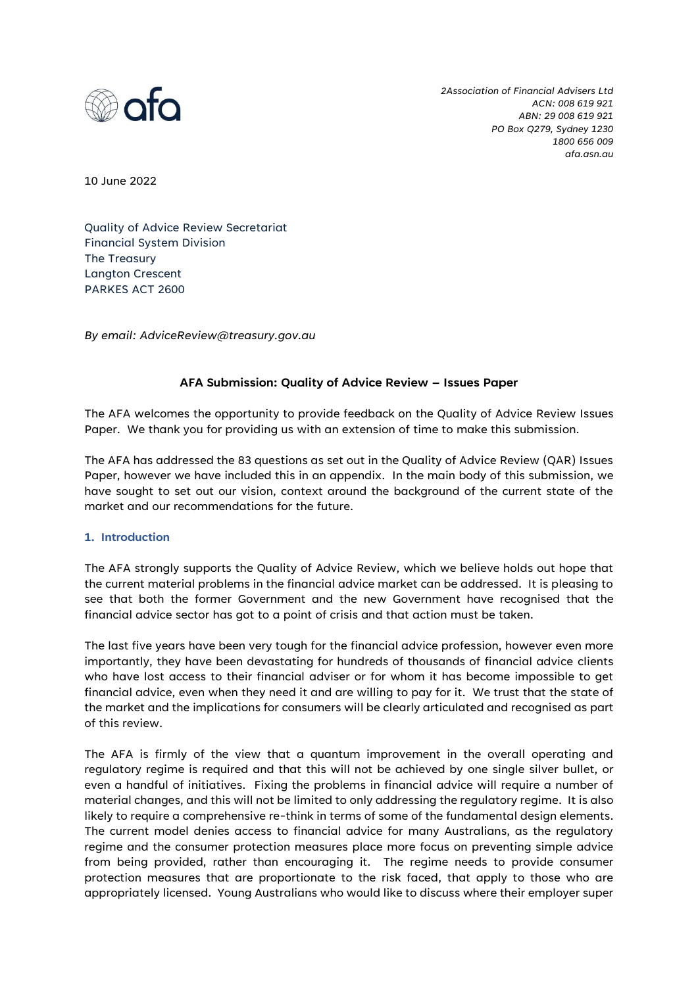

*2Association of Financial Advisers Ltd ACN: 008 619 921 ABN: 29 008 619 921 PO Box Q279, Sydney 1230 1800 656 009 afa.asn.au*

10 June 2022

Quality of Advice Review Secretariat Financial System Division The Treasury Langton Crescent PARKES ACT 2600

*By email: AdviceReview@treasury.gov.au*

#### **AFA Submission: Quality of Advice Review – Issues Paper**

The AFA welcomes the opportunity to provide feedback on the Quality of Advice Review Issues Paper. We thank you for providing us with an extension of time to make this submission.

The AFA has addressed the 83 questions as set out in the Quality of Advice Review (QAR) Issues Paper, however we have included this in an appendix. In the main body of this submission, we have sought to set out our vision, context around the background of the current state of the market and our recommendations for the future.

#### **1. Introduction**

The AFA strongly supports the Quality of Advice Review, which we believe holds out hope that the current material problems in the financial advice market can be addressed. It is pleasing to see that both the former Government and the new Government have recognised that the financial advice sector has got to a point of crisis and that action must be taken.

The last five years have been very tough for the financial advice profession, however even more importantly, they have been devastating for hundreds of thousands of financial advice clients who have lost access to their financial adviser or for whom it has become impossible to get financial advice, even when they need it and are willing to pay for it. We trust that the state of the market and the implications for consumers will be clearly articulated and recognised as part of this review.

The AFA is firmly of the view that a quantum improvement in the overall operating and regulatory regime is required and that this will not be achieved by one single silver bullet, or even a handful of initiatives. Fixing the problems in financial advice will require a number of material changes, and this will not be limited to only addressing the regulatory regime. It is also likely to require a comprehensive re-think in terms of some of the fundamental design elements. The current model denies access to financial advice for many Australians, as the regulatory regime and the consumer protection measures place more focus on preventing simple advice from being provided, rather than encouraging it. The regime needs to provide consumer protection measures that are proportionate to the risk faced, that apply to those who are appropriately licensed. Young Australians who would like to discuss where their employer super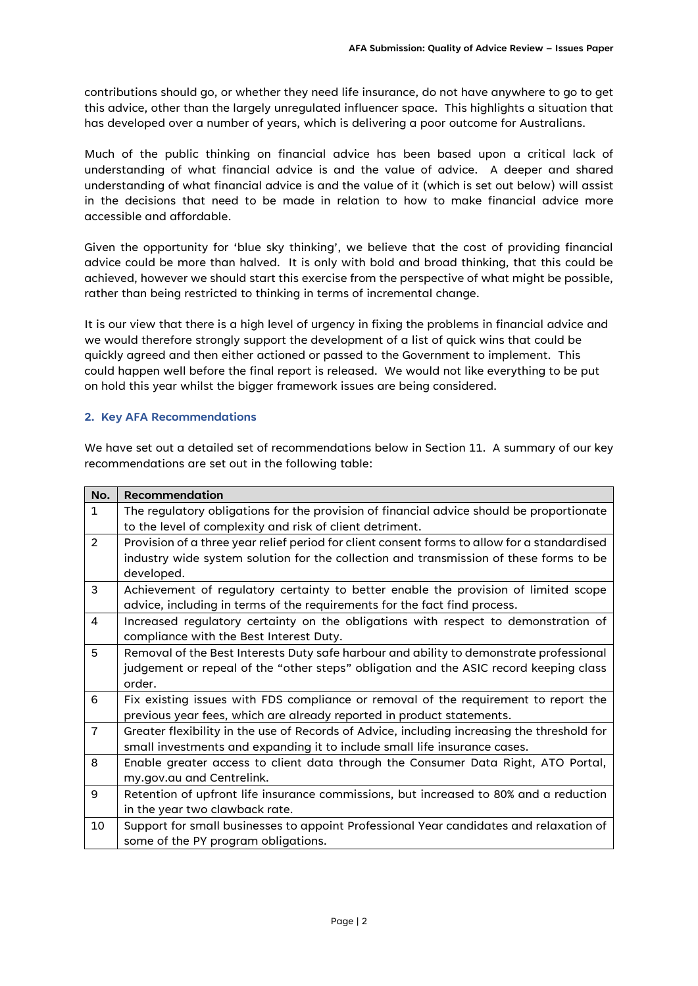contributions should go, or whether they need life insurance, do not have anywhere to go to get this advice, other than the largely unregulated influencer space. This highlights a situation that has developed over a number of years, which is delivering a poor outcome for Australians.

Much of the public thinking on financial advice has been based upon a critical lack of understanding of what financial advice is and the value of advice. A deeper and shared understanding of what financial advice is and the value of it (which is set out below) will assist in the decisions that need to be made in relation to how to make financial advice more accessible and affordable.

Given the opportunity for 'blue sky thinking', we believe that the cost of providing financial advice could be more than halved. It is only with bold and broad thinking, that this could be achieved, however we should start this exercise from the perspective of what might be possible, rather than being restricted to thinking in terms of incremental change.

It is our view that there is a high level of urgency in fixing the problems in financial advice and we would therefore strongly support the development of a list of quick wins that could be quickly agreed and then either actioned or passed to the Government to implement. This could happen well before the final report is released. We would not like everything to be put on hold this year whilst the bigger framework issues are being considered.

#### **2. Key AFA Recommendations**

We have set out a detailed set of recommendations below in Section 11. A summary of our key recommendations are set out in the following table:

| No.            | <b>Recommendation</b>                                                                        |  |  |  |  |  |
|----------------|----------------------------------------------------------------------------------------------|--|--|--|--|--|
| $\mathbf{1}$   | The regulatory obligations for the provision of financial advice should be proportionate     |  |  |  |  |  |
|                | to the level of complexity and risk of client detriment.                                     |  |  |  |  |  |
| $\overline{2}$ | Provision of a three year relief period for client consent forms to allow for a standardised |  |  |  |  |  |
|                | industry wide system solution for the collection and transmission of these forms to be       |  |  |  |  |  |
|                | developed.                                                                                   |  |  |  |  |  |
| 3              | Achievement of regulatory certainty to better enable the provision of limited scope          |  |  |  |  |  |
|                | advice, including in terms of the requirements for the fact find process.                    |  |  |  |  |  |
| 4              | Increased regulatory certainty on the obligations with respect to demonstration of           |  |  |  |  |  |
|                | compliance with the Best Interest Duty.                                                      |  |  |  |  |  |
| 5              | Removal of the Best Interests Duty safe harbour and ability to demonstrate professional      |  |  |  |  |  |
|                | judgement or repeal of the "other steps" obligation and the ASIC record keeping class        |  |  |  |  |  |
|                | order.                                                                                       |  |  |  |  |  |
| 6              | Fix existing issues with FDS compliance or removal of the requirement to report the          |  |  |  |  |  |
|                | previous year fees, which are already reported in product statements.                        |  |  |  |  |  |
| $\overline{7}$ | Greater flexibility in the use of Records of Advice, including increasing the threshold for  |  |  |  |  |  |
|                | small investments and expanding it to include small life insurance cases.                    |  |  |  |  |  |
| 8              | Enable greater access to client data through the Consumer Data Right, ATO Portal,            |  |  |  |  |  |
|                | my.gov.au and Centrelink.                                                                    |  |  |  |  |  |
| 9              | Retention of upfront life insurance commissions, but increased to 80% and a reduction        |  |  |  |  |  |
|                | in the year two clawback rate.                                                               |  |  |  |  |  |
| 10             | Support for small businesses to appoint Professional Year candidates and relaxation of       |  |  |  |  |  |
|                | some of the PY program obligations.                                                          |  |  |  |  |  |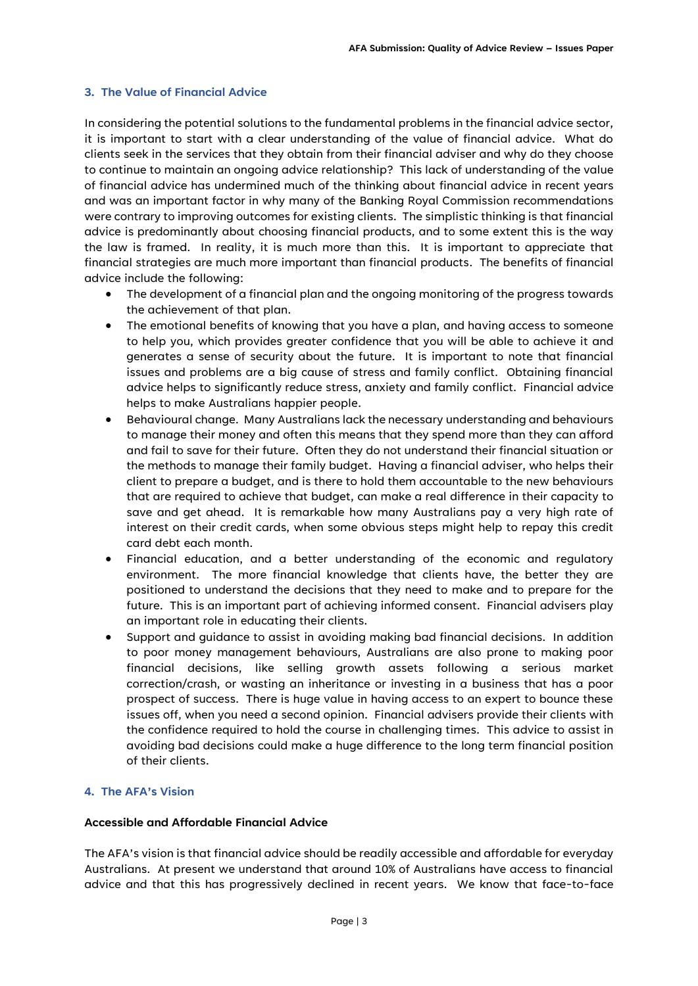#### **3. The Value of Financial Advice**

In considering the potential solutions to the fundamental problems in the financial advice sector, it is important to start with a clear understanding of the value of financial advice. What do clients seek in the services that they obtain from their financial adviser and why do they choose to continue to maintain an ongoing advice relationship? This lack of understanding of the value of financial advice has undermined much of the thinking about financial advice in recent years and was an important factor in why many of the Banking Royal Commission recommendations were contrary to improving outcomes for existing clients. The simplistic thinking is that financial advice is predominantly about choosing financial products, and to some extent this is the way the law is framed. In reality, it is much more than this. It is important to appreciate that financial strategies are much more important than financial products. The benefits of financial advice include the following:

- The development of a financial plan and the ongoing monitoring of the progress towards the achievement of that plan.
- The emotional benefits of knowing that you have a plan, and having access to someone to help you, which provides greater confidence that you will be able to achieve it and generates a sense of security about the future. It is important to note that financial issues and problems are a big cause of stress and family conflict. Obtaining financial advice helps to significantly reduce stress, anxiety and family conflict. Financial advice helps to make Australians happier people.
- Behavioural change. Many Australians lack the necessary understanding and behaviours to manage their money and often this means that they spend more than they can afford and fail to save for their future. Often they do not understand their financial situation or the methods to manage their family budget. Having a financial adviser, who helps their client to prepare a budget, and is there to hold them accountable to the new behaviours that are required to achieve that budget, can make a real difference in their capacity to save and get ahead. It is remarkable how many Australians pay a very high rate of interest on their credit cards, when some obvious steps might help to repay this credit card debt each month.
- Financial education, and a better understanding of the economic and regulatory environment. The more financial knowledge that clients have, the better they are positioned to understand the decisions that they need to make and to prepare for the future. This is an important part of achieving informed consent. Financial advisers play an important role in educating their clients.
- Support and guidance to assist in avoiding making bad financial decisions. In addition to poor money management behaviours, Australians are also prone to making poor financial decisions, like selling growth assets following a serious market correction/crash, or wasting an inheritance or investing in a business that has a poor prospect of success. There is huge value in having access to an expert to bounce these issues off, when you need a second opinion. Financial advisers provide their clients with the confidence required to hold the course in challenging times. This advice to assist in avoiding bad decisions could make a huge difference to the long term financial position of their clients.

#### **4. The AFA's Vision**

#### **Accessible and Affordable Financial Advice**

The AFA's vision is that financial advice should be readily accessible and affordable for everyday Australians. At present we understand that around 10% of Australians have access to financial advice and that this has progressively declined in recent years. We know that face-to-face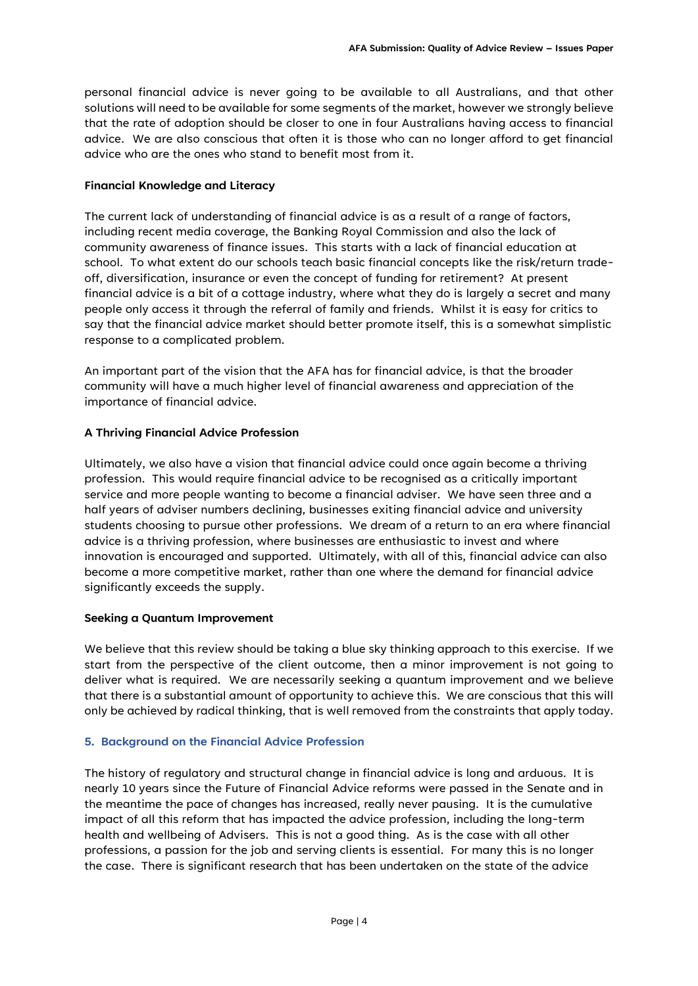personal financial advice is never going to be available to all Australians, and that other solutions will need to be available for some segments of the market, however we strongly believe that the rate of adoption should be closer to one in four Australians having access to financial advice. We are also conscious that often it is those who can no longer afford to get financial advice who are the ones who stand to benefit most from it.

#### **Financial Knowledge and Literacy**

The current lack of understanding of financial advice is as a result of a range of factors, including recent media coverage, the Banking Royal Commission and also the lack of community awareness of finance issues. This starts with a lack of financial education at school. To what extent do our schools teach basic financial concepts like the risk/return tradeoff, diversification, insurance or even the concept of funding for retirement? At present financial advice is a bit of a cottage industry, where what they do is largely a secret and many people only access it through the referral of family and friends. Whilst it is easy for critics to say that the financial advice market should better promote itself, this is a somewhat simplistic response to a complicated problem.

An important part of the vision that the AFA has for financial advice, is that the broader community will have a much higher level of financial awareness and appreciation of the importance of financial advice.

#### **A Thriving Financial Advice Profession**

Ultimately, we also have a vision that financial advice could once again become a thriving profession. This would require financial advice to be recognised as a critically important service and more people wanting to become a financial adviser. We have seen three and a half years of adviser numbers declining, businesses exiting financial advice and university students choosing to pursue other professions. We dream of a return to an era where financial advice is a thriving profession, where businesses are enthusiastic to invest and where innovation is encouraged and supported. Ultimately, with all of this, financial advice can also become a more competitive market, rather than one where the demand for financial advice significantly exceeds the supply.

#### **Seeking a Quantum Improvement**

We believe that this review should be taking a blue sky thinking approach to this exercise. If we start from the perspective of the client outcome, then a minor improvement is not going to deliver what is required. We are necessarily seeking a quantum improvement and we believe that there is a substantial amount of opportunity to achieve this. We are conscious that this will only be achieved by radical thinking, that is well removed from the constraints that apply today.

#### **5. Background on the Financial Advice Profession**

The history of regulatory and structural change in financial advice is long and arduous. It is nearly 10 years since the Future of Financial Advice reforms were passed in the Senate and in the meantime the pace of changes has increased, really never pausing. It is the cumulative impact of all this reform that has impacted the advice profession, including the long-term health and wellbeing of Advisers. This is not a good thing. As is the case with all other professions, a passion for the job and serving clients is essential. For many this is no longer the case. There is significant research that has been undertaken on the state of the advice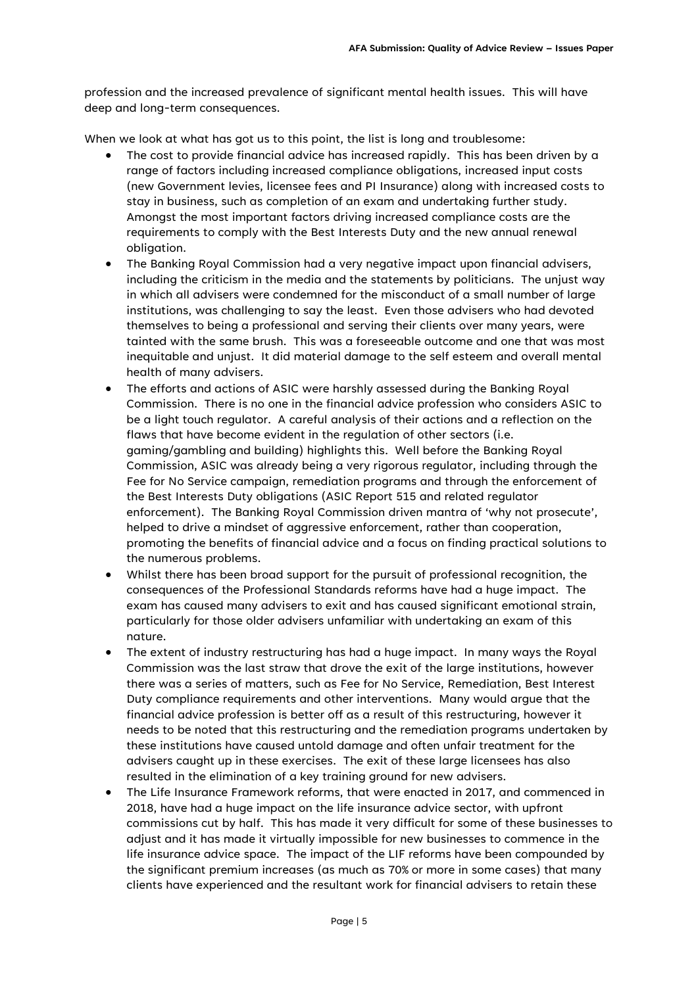profession and the increased prevalence of significant mental health issues. This will have deep and long-term consequences.

When we look at what has got us to this point, the list is long and troublesome:

- The cost to provide financial advice has increased rapidly. This has been driven by a range of factors including increased compliance obligations, increased input costs (new Government levies, licensee fees and PI Insurance) along with increased costs to stay in business, such as completion of an exam and undertaking further study. Amongst the most important factors driving increased compliance costs are the requirements to comply with the Best Interests Duty and the new annual renewal obligation.
- The Banking Royal Commission had a very negative impact upon financial advisers, including the criticism in the media and the statements by politicians. The unjust way in which all advisers were condemned for the misconduct of a small number of large institutions, was challenging to say the least. Even those advisers who had devoted themselves to being a professional and serving their clients over many years, were tainted with the same brush. This was a foreseeable outcome and one that was most inequitable and unjust. It did material damage to the self esteem and overall mental health of many advisers.
- The efforts and actions of ASIC were harshly assessed during the Banking Royal Commission. There is no one in the financial advice profession who considers ASIC to be a light touch regulator. A careful analysis of their actions and a reflection on the flaws that have become evident in the regulation of other sectors (i.e. gaming/gambling and building) highlights this. Well before the Banking Royal Commission, ASIC was already being a very rigorous regulator, including through the Fee for No Service campaign, remediation programs and through the enforcement of the Best Interests Duty obligations (ASIC Report 515 and related regulator enforcement). The Banking Royal Commission driven mantra of 'why not prosecute', helped to drive a mindset of aggressive enforcement, rather than cooperation, promoting the benefits of financial advice and a focus on finding practical solutions to the numerous problems.
- Whilst there has been broad support for the pursuit of professional recognition, the consequences of the Professional Standards reforms have had a huge impact. The exam has caused many advisers to exit and has caused significant emotional strain, particularly for those older advisers unfamiliar with undertaking an exam of this nature.
- The extent of industry restructuring has had a huge impact. In many ways the Royal Commission was the last straw that drove the exit of the large institutions, however there was a series of matters, such as Fee for No Service, Remediation, Best Interest Duty compliance requirements and other interventions. Many would argue that the financial advice profession is better off as a result of this restructuring, however it needs to be noted that this restructuring and the remediation programs undertaken by these institutions have caused untold damage and often unfair treatment for the advisers caught up in these exercises. The exit of these large licensees has also resulted in the elimination of a key training ground for new advisers.
- The Life Insurance Framework reforms, that were enacted in 2017, and commenced in 2018, have had a huge impact on the life insurance advice sector, with upfront commissions cut by half. This has made it very difficult for some of these businesses to adjust and it has made it virtually impossible for new businesses to commence in the life insurance advice space. The impact of the LIF reforms have been compounded by the significant premium increases (as much as 70% or more in some cases) that many clients have experienced and the resultant work for financial advisers to retain these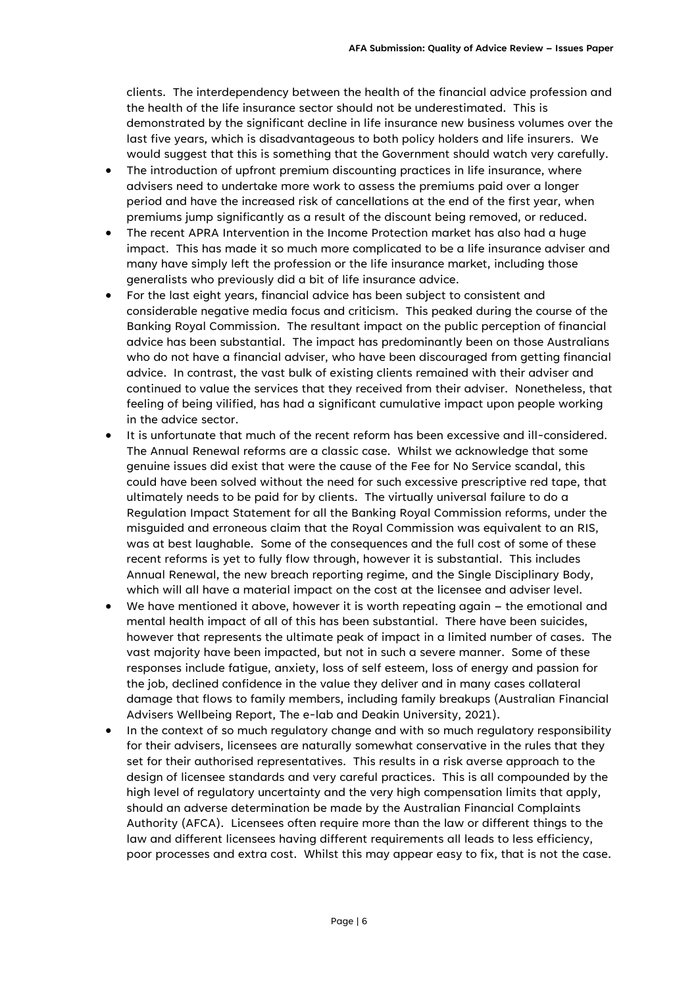clients. The interdependency between the health of the financial advice profession and the health of the life insurance sector should not be underestimated. This is demonstrated by the significant decline in life insurance new business volumes over the last five years, which is disadvantageous to both policy holders and life insurers. We would suggest that this is something that the Government should watch very carefully.

- The introduction of upfront premium discounting practices in life insurance, where advisers need to undertake more work to assess the premiums paid over a longer period and have the increased risk of cancellations at the end of the first year, when premiums jump significantly as a result of the discount being removed, or reduced.
- The recent APRA Intervention in the Income Protection market has also had a huge impact. This has made it so much more complicated to be a life insurance adviser and many have simply left the profession or the life insurance market, including those generalists who previously did a bit of life insurance advice.
- For the last eight years, financial advice has been subject to consistent and considerable negative media focus and criticism. This peaked during the course of the Banking Royal Commission. The resultant impact on the public perception of financial advice has been substantial. The impact has predominantly been on those Australians who do not have a financial adviser, who have been discouraged from getting financial advice. In contrast, the vast bulk of existing clients remained with their adviser and continued to value the services that they received from their adviser. Nonetheless, that feeling of being vilified, has had a significant cumulative impact upon people working in the advice sector.
- It is unfortunate that much of the recent reform has been excessive and ill-considered. The Annual Renewal reforms are a classic case. Whilst we acknowledge that some genuine issues did exist that were the cause of the Fee for No Service scandal, this could have been solved without the need for such excessive prescriptive red tape, that ultimately needs to be paid for by clients. The virtually universal failure to do a Regulation Impact Statement for all the Banking Royal Commission reforms, under the misguided and erroneous claim that the Royal Commission was equivalent to an RIS, was at best laughable. Some of the consequences and the full cost of some of these recent reforms is yet to fully flow through, however it is substantial. This includes Annual Renewal, the new breach reporting regime, and the Single Disciplinary Body, which will all have a material impact on the cost at the licensee and adviser level.
- We have mentioned it above, however it is worth repeating again the emotional and mental health impact of all of this has been substantial. There have been suicides, however that represents the ultimate peak of impact in a limited number of cases. The vast majority have been impacted, but not in such a severe manner. Some of these responses include fatigue, anxiety, loss of self esteem, loss of energy and passion for the job, declined confidence in the value they deliver and in many cases collateral damage that flows to family members, including family breakups (Australian Financial Advisers Wellbeing Report, The e-lab and Deakin University, 2021).
- In the context of so much regulatory change and with so much regulatory responsibility for their advisers, licensees are naturally somewhat conservative in the rules that they set for their authorised representatives. This results in a risk averse approach to the design of licensee standards and very careful practices. This is all compounded by the high level of regulatory uncertainty and the very high compensation limits that apply, should an adverse determination be made by the Australian Financial Complaints Authority (AFCA). Licensees often require more than the law or different things to the law and different licensees having different requirements all leads to less efficiency, poor processes and extra cost. Whilst this may appear easy to fix, that is not the case.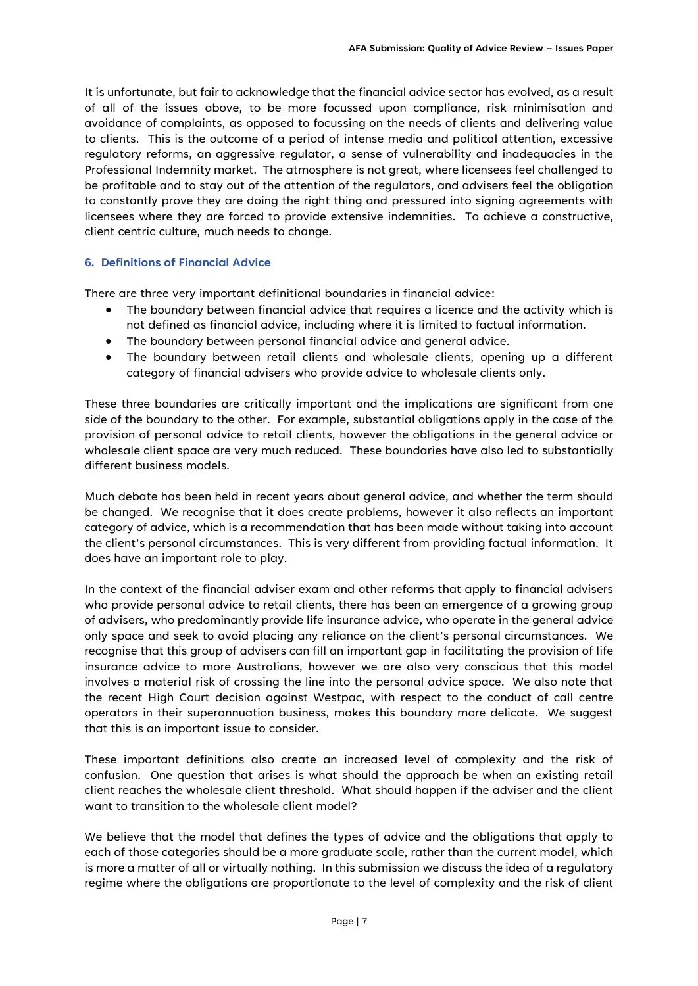It is unfortunate, but fair to acknowledge that the financial advice sector has evolved, as a result of all of the issues above, to be more focussed upon compliance, risk minimisation and avoidance of complaints, as opposed to focussing on the needs of clients and delivering value to clients. This is the outcome of a period of intense media and political attention, excessive regulatory reforms, an aggressive regulator, a sense of vulnerability and inadequacies in the Professional Indemnity market. The atmosphere is not great, where licensees feel challenged to be profitable and to stay out of the attention of the regulators, and advisers feel the obligation to constantly prove they are doing the right thing and pressured into signing agreements with licensees where they are forced to provide extensive indemnities. To achieve a constructive, client centric culture, much needs to change.

#### **6. Definitions of Financial Advice**

There are three very important definitional boundaries in financial advice:

- The boundary between financial advice that requires a licence and the activity which is not defined as financial advice, including where it is limited to factual information.
- The boundary between personal financial advice and general advice.
- The boundary between retail clients and wholesale clients, opening up a different category of financial advisers who provide advice to wholesale clients only.

These three boundaries are critically important and the implications are significant from one side of the boundary to the other. For example, substantial obligations apply in the case of the provision of personal advice to retail clients, however the obligations in the general advice or wholesale client space are very much reduced. These boundaries have also led to substantially different business models.

Much debate has been held in recent years about general advice, and whether the term should be changed. We recognise that it does create problems, however it also reflects an important category of advice, which is a recommendation that has been made without taking into account the client's personal circumstances. This is very different from providing factual information. It does have an important role to play.

In the context of the financial adviser exam and other reforms that apply to financial advisers who provide personal advice to retail clients, there has been an emergence of a growing group of advisers, who predominantly provide life insurance advice, who operate in the general advice only space and seek to avoid placing any reliance on the client's personal circumstances. We recognise that this group of advisers can fill an important gap in facilitating the provision of life insurance advice to more Australians, however we are also very conscious that this model involves a material risk of crossing the line into the personal advice space. We also note that the recent High Court decision against Westpac, with respect to the conduct of call centre operators in their superannuation business, makes this boundary more delicate. We suggest that this is an important issue to consider.

These important definitions also create an increased level of complexity and the risk of confusion. One question that arises is what should the approach be when an existing retail client reaches the wholesale client threshold. What should happen if the adviser and the client want to transition to the wholesale client model?

We believe that the model that defines the types of advice and the obligations that apply to each of those categories should be a more graduate scale, rather than the current model, which is more a matter of all or virtually nothing. In this submission we discuss the idea of a regulatory regime where the obligations are proportionate to the level of complexity and the risk of client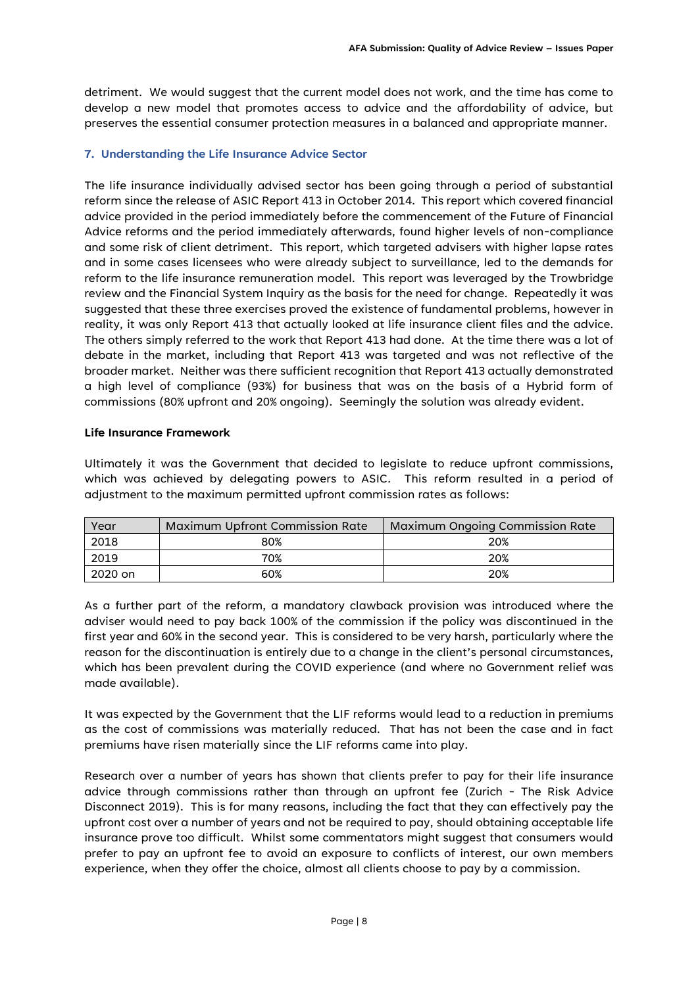detriment. We would suggest that the current model does not work, and the time has come to develop a new model that promotes access to advice and the affordability of advice, but preserves the essential consumer protection measures in a balanced and appropriate manner.

#### **7. Understanding the Life Insurance Advice Sector**

The life insurance individually advised sector has been going through a period of substantial reform since the release of ASIC Report 413 in October 2014. This report which covered financial advice provided in the period immediately before the commencement of the Future of Financial Advice reforms and the period immediately afterwards, found higher levels of non-compliance and some risk of client detriment. This report, which targeted advisers with higher lapse rates and in some cases licensees who were already subject to surveillance, led to the demands for reform to the life insurance remuneration model. This report was leveraged by the Trowbridge review and the Financial System Inquiry as the basis for the need for change. Repeatedly it was suggested that these three exercises proved the existence of fundamental problems, however in reality, it was only Report 413 that actually looked at life insurance client files and the advice. The others simply referred to the work that Report 413 had done. At the time there was a lot of debate in the market, including that Report 413 was targeted and was not reflective of the broader market. Neither was there sufficient recognition that Report 413 actually demonstrated a high level of compliance (93%) for business that was on the basis of a Hybrid form of commissions (80% upfront and 20% ongoing). Seemingly the solution was already evident.

#### **Life Insurance Framework**

Ultimately it was the Government that decided to legislate to reduce upfront commissions, which was achieved by delegating powers to ASIC. This reform resulted in a period of adjustment to the maximum permitted upfront commission rates as follows:

| Year    | <b>Maximum Upfront Commission Rate</b> | <b>Maximum Ongoing Commission Rate</b> |
|---------|----------------------------------------|----------------------------------------|
| 2018    | 80%                                    | 20%                                    |
| 2019    | 70%                                    | 20%                                    |
| 2020 on | 60%                                    | 20%                                    |

As a further part of the reform, a mandatory clawback provision was introduced where the adviser would need to pay back 100% of the commission if the policy was discontinued in the first year and 60% in the second year. This is considered to be very harsh, particularly where the reason for the discontinuation is entirely due to a change in the client's personal circumstances, which has been prevalent during the COVID experience (and where no Government relief was made available).

It was expected by the Government that the LIF reforms would lead to a reduction in premiums as the cost of commissions was materially reduced. That has not been the case and in fact premiums have risen materially since the LIF reforms came into play.

Research over a number of years has shown that clients prefer to pay for their life insurance advice through commissions rather than through an upfront fee (Zurich - The Risk Advice Disconnect 2019). This is for many reasons, including the fact that they can effectively pay the upfront cost over a number of years and not be required to pay, should obtaining acceptable life insurance prove too difficult. Whilst some commentators might suggest that consumers would prefer to pay an upfront fee to avoid an exposure to conflicts of interest, our own members experience, when they offer the choice, almost all clients choose to pay by a commission.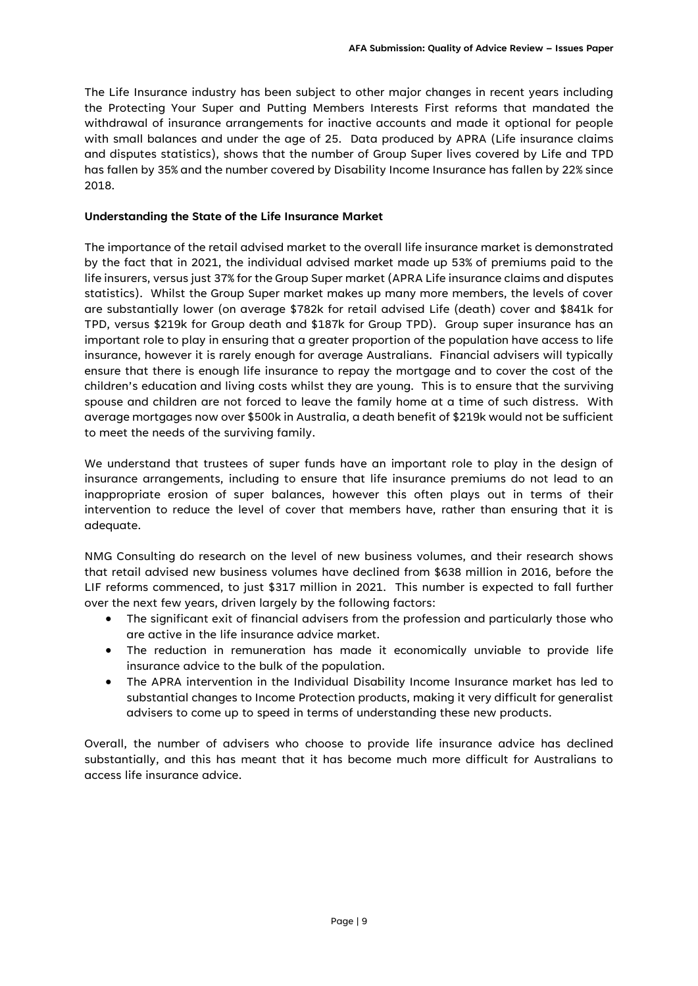The Life Insurance industry has been subject to other major changes in recent years including the Protecting Your Super and Putting Members Interests First reforms that mandated the withdrawal of insurance arrangements for inactive accounts and made it optional for people with small balances and under the age of 25. Data produced by APRA (Life insurance claims and disputes statistics), shows that the number of Group Super lives covered by Life and TPD has fallen by 35% and the number covered by Disability Income Insurance has fallen by 22% since 2018.

#### **Understanding the State of the Life Insurance Market**

The importance of the retail advised market to the overall life insurance market is demonstrated by the fact that in 2021, the individual advised market made up 53% of premiums paid to the life insurers, versus just 37% for the Group Super market (APRA Life insurance claims and disputes statistics). Whilst the Group Super market makes up many more members, the levels of cover are substantially lower (on average \$782k for retail advised Life (death) cover and \$841k for TPD, versus \$219k for Group death and \$187k for Group TPD). Group super insurance has an important role to play in ensuring that a greater proportion of the population have access to life insurance, however it is rarely enough for average Australians. Financial advisers will typically ensure that there is enough life insurance to repay the mortgage and to cover the cost of the children's education and living costs whilst they are young. This is to ensure that the surviving spouse and children are not forced to leave the family home at a time of such distress. With average mortgages now over \$500k in Australia, a death benefit of \$219k would not be sufficient to meet the needs of the surviving family.

We understand that trustees of super funds have an important role to play in the design of insurance arrangements, including to ensure that life insurance premiums do not lead to an inappropriate erosion of super balances, however this often plays out in terms of their intervention to reduce the level of cover that members have, rather than ensuring that it is adequate.

NMG Consulting do research on the level of new business volumes, and their research shows that retail advised new business volumes have declined from \$638 million in 2016, before the LIF reforms commenced, to just \$317 million in 2021. This number is expected to fall further over the next few years, driven largely by the following factors:

- The significant exit of financial advisers from the profession and particularly those who are active in the life insurance advice market.
- The reduction in remuneration has made it economically unviable to provide life insurance advice to the bulk of the population.
- The APRA intervention in the Individual Disability Income Insurance market has led to substantial changes to Income Protection products, making it very difficult for generalist advisers to come up to speed in terms of understanding these new products.

Overall, the number of advisers who choose to provide life insurance advice has declined substantially, and this has meant that it has become much more difficult for Australians to access life insurance advice.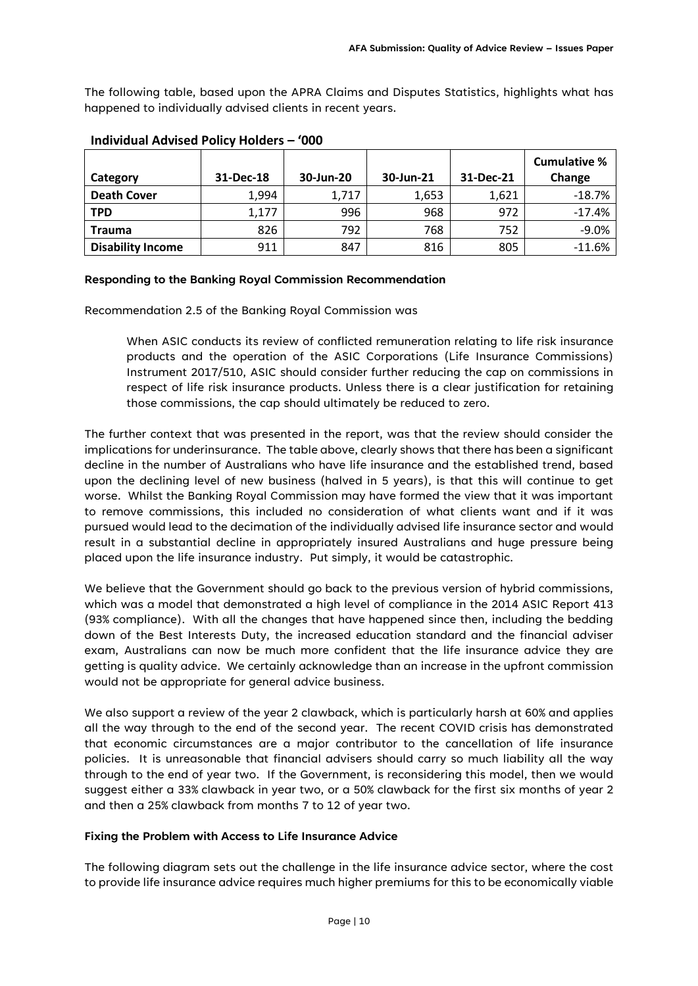The following table, based upon the APRA Claims and Disputes Statistics, highlights what has happened to individually advised clients in recent years.

|                          |           |           |           |           | <b>Cumulative %</b> |
|--------------------------|-----------|-----------|-----------|-----------|---------------------|
| Category                 | 31-Dec-18 | 30-Jun-20 | 30-Jun-21 | 31-Dec-21 | Change              |
| <b>Death Cover</b>       | 1,994     | 1,717     | 1,653     | 1,621     | $-18.7%$            |
| <b>TPD</b>               | 1,177     | 996       | 968       | 972       | $-17.4%$            |
| <b>Trauma</b>            | 826       | 792       | 768       | 752       | $-9.0%$             |
| <b>Disability Income</b> | 911       | 847       | 816       | 805       | $-11.6%$            |

#### **Individual Advised Policy Holders – '000**

#### **Responding to the Banking Royal Commission Recommendation**

Recommendation 2.5 of the Banking Royal Commission was

When ASIC conducts its review of conflicted remuneration relating to life risk insurance products and the operation of the ASIC Corporations (Life Insurance Commissions) Instrument 2017/510, ASIC should consider further reducing the cap on commissions in respect of life risk insurance products. Unless there is a clear justification for retaining those commissions, the cap should ultimately be reduced to zero.

The further context that was presented in the report, was that the review should consider the implications for underinsurance. The table above, clearly shows that there has been a significant decline in the number of Australians who have life insurance and the established trend, based upon the declining level of new business (halved in 5 years), is that this will continue to get worse. Whilst the Banking Royal Commission may have formed the view that it was important to remove commissions, this included no consideration of what clients want and if it was pursued would lead to the decimation of the individually advised life insurance sector and would result in a substantial decline in appropriately insured Australians and huge pressure being placed upon the life insurance industry. Put simply, it would be catastrophic.

We believe that the Government should go back to the previous version of hybrid commissions, which was a model that demonstrated a high level of compliance in the 2014 ASIC Report 413 (93% compliance). With all the changes that have happened since then, including the bedding down of the Best Interests Duty, the increased education standard and the financial adviser exam, Australians can now be much more confident that the life insurance advice they are getting is quality advice. We certainly acknowledge than an increase in the upfront commission would not be appropriate for general advice business.

We also support a review of the year 2 clawback, which is particularly harsh at 60% and applies all the way through to the end of the second year. The recent COVID crisis has demonstrated that economic circumstances are a major contributor to the cancellation of life insurance policies. It is unreasonable that financial advisers should carry so much liability all the way through to the end of year two. If the Government, is reconsidering this model, then we would suggest either a 33% clawback in year two, or a 50% clawback for the first six months of year 2 and then a 25% clawback from months 7 to 12 of year two.

#### **Fixing the Problem with Access to Life Insurance Advice**

The following diagram sets out the challenge in the life insurance advice sector, where the cost to provide life insurance advice requires much higher premiums for this to be economically viable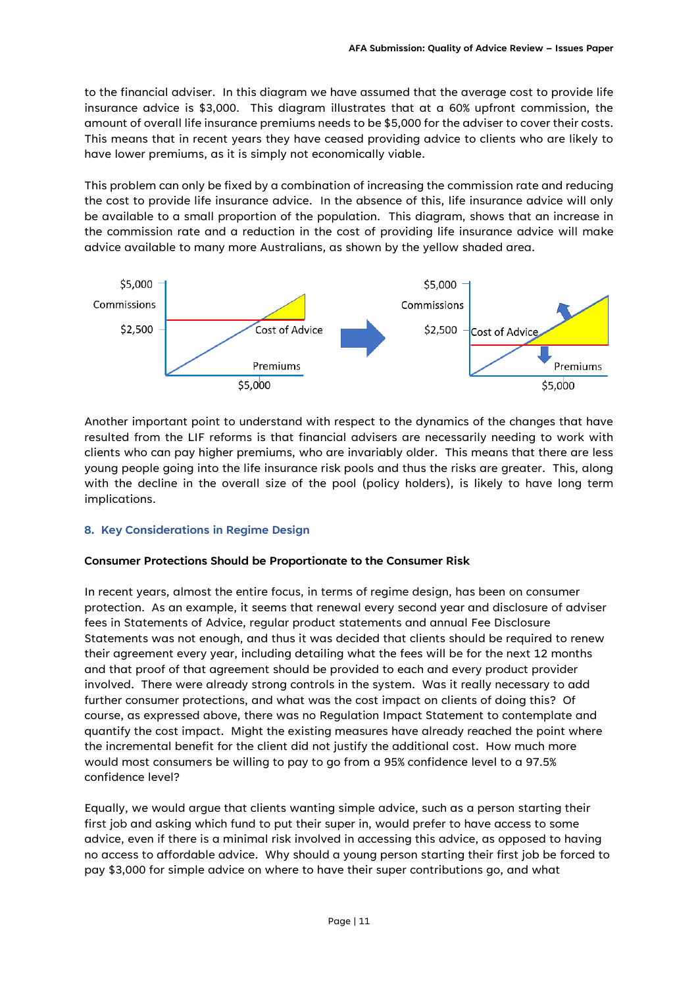to the financial adviser. In this diagram we have assumed that the average cost to provide life insurance advice is \$3,000. This diagram illustrates that at a 60% upfront commission, the amount of overall life insurance premiums needs to be \$5,000 for the adviser to cover their costs. This means that in recent years they have ceased providing advice to clients who are likely to have lower premiums, as it is simply not economically viable.

This problem can only be fixed by a combination of increasing the commission rate and reducing the cost to provide life insurance advice. In the absence of this, life insurance advice will only be available to a small proportion of the population. This diagram, shows that an increase in the commission rate and a reduction in the cost of providing life insurance advice will make advice available to many more Australians, as shown by the yellow shaded area.



Another important point to understand with respect to the dynamics of the changes that have resulted from the LIF reforms is that financial advisers are necessarily needing to work with clients who can pay higher premiums, who are invariably older. This means that there are less young people going into the life insurance risk pools and thus the risks are greater. This, along with the decline in the overall size of the pool (policy holders), is likely to have long term implications.

#### **8. Key Considerations in Regime Design**

#### **Consumer Protections Should be Proportionate to the Consumer Risk**

In recent years, almost the entire focus, in terms of regime design, has been on consumer protection. As an example, it seems that renewal every second year and disclosure of adviser fees in Statements of Advice, regular product statements and annual Fee Disclosure Statements was not enough, and thus it was decided that clients should be required to renew their agreement every year, including detailing what the fees will be for the next 12 months and that proof of that agreement should be provided to each and every product provider involved. There were already strong controls in the system. Was it really necessary to add further consumer protections, and what was the cost impact on clients of doing this? Of course, as expressed above, there was no Regulation Impact Statement to contemplate and quantify the cost impact. Might the existing measures have already reached the point where the incremental benefit for the client did not justify the additional cost. How much more would most consumers be willing to pay to go from a 95% confidence level to a 97.5% confidence level?

Equally, we would argue that clients wanting simple advice, such as a person starting their first job and asking which fund to put their super in, would prefer to have access to some advice, even if there is a minimal risk involved in accessing this advice, as opposed to having no access to affordable advice. Why should a young person starting their first job be forced to pay \$3,000 for simple advice on where to have their super contributions go, and what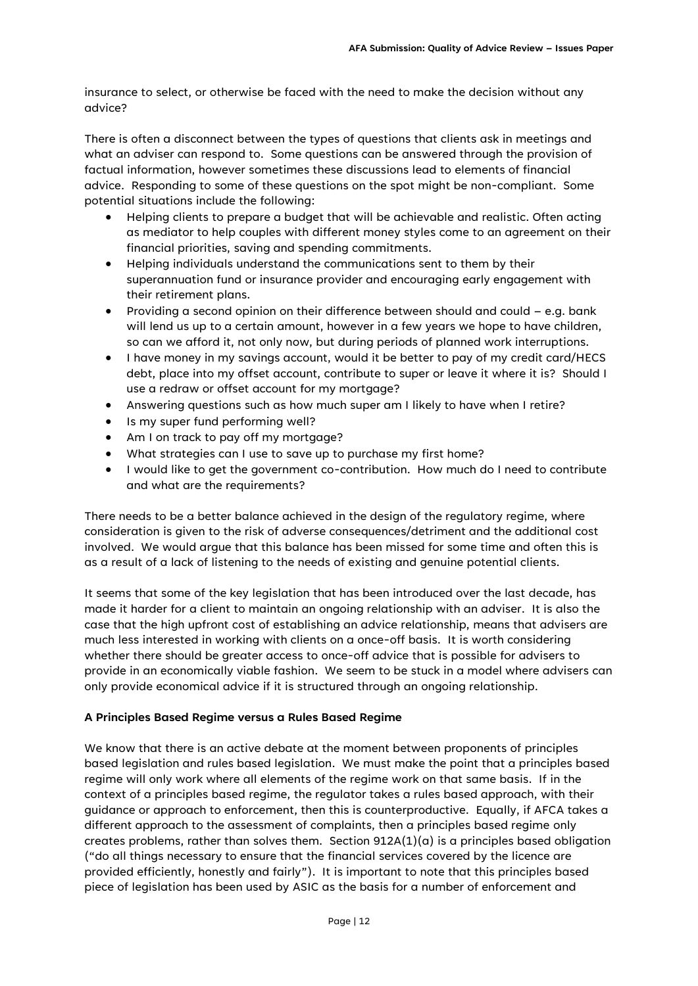insurance to select, or otherwise be faced with the need to make the decision without any advice?

There is often a disconnect between the types of questions that clients ask in meetings and what an adviser can respond to. Some questions can be answered through the provision of factual information, however sometimes these discussions lead to elements of financial advice. Responding to some of these questions on the spot might be non-compliant. Some potential situations include the following:

- Helping clients to prepare a budget that will be achievable and realistic. Often acting as mediator to help couples with different money styles come to an agreement on their financial priorities, saving and spending commitments.
- Helping individuals understand the communications sent to them by their superannuation fund or insurance provider and encouraging early engagement with their retirement plans.
- Providing a second opinion on their difference between should and could e.g. bank will lend us up to a certain amount, however in a few years we hope to have children, so can we afford it, not only now, but during periods of planned work interruptions.
- I have money in my savings account, would it be better to pay of my credit card/HECS debt, place into my offset account, contribute to super or leave it where it is? Should I use a redraw or offset account for my mortgage?
- Answering questions such as how much super am I likely to have when I retire?
- Is my super fund performing well?
- Am I on track to pay off my mortgage?
- What strategies can I use to save up to purchase my first home?
- I would like to get the government co-contribution. How much do I need to contribute and what are the requirements?

There needs to be a better balance achieved in the design of the regulatory regime, where consideration is given to the risk of adverse consequences/detriment and the additional cost involved. We would argue that this balance has been missed for some time and often this is as a result of a lack of listening to the needs of existing and genuine potential clients.

It seems that some of the key legislation that has been introduced over the last decade, has made it harder for a client to maintain an ongoing relationship with an adviser. It is also the case that the high upfront cost of establishing an advice relationship, means that advisers are much less interested in working with clients on a once-off basis. It is worth considering whether there should be greater access to once-off advice that is possible for advisers to provide in an economically viable fashion. We seem to be stuck in a model where advisers can only provide economical advice if it is structured through an ongoing relationship.

#### **A Principles Based Regime versus a Rules Based Regime**

We know that there is an active debate at the moment between proponents of principles based legislation and rules based legislation. We must make the point that a principles based regime will only work where all elements of the regime work on that same basis. If in the context of a principles based regime, the regulator takes a rules based approach, with their guidance or approach to enforcement, then this is counterproductive. Equally, if AFCA takes a different approach to the assessment of complaints, then a principles based regime only creates problems, rather than solves them. Section  $912A(1)(a)$  is a principles based obligation ("do all things necessary to ensure that the financial services covered by the licence are provided efficiently, honestly and fairly"). It is important to note that this principles based piece of legislation has been used by ASIC as the basis for a number of enforcement and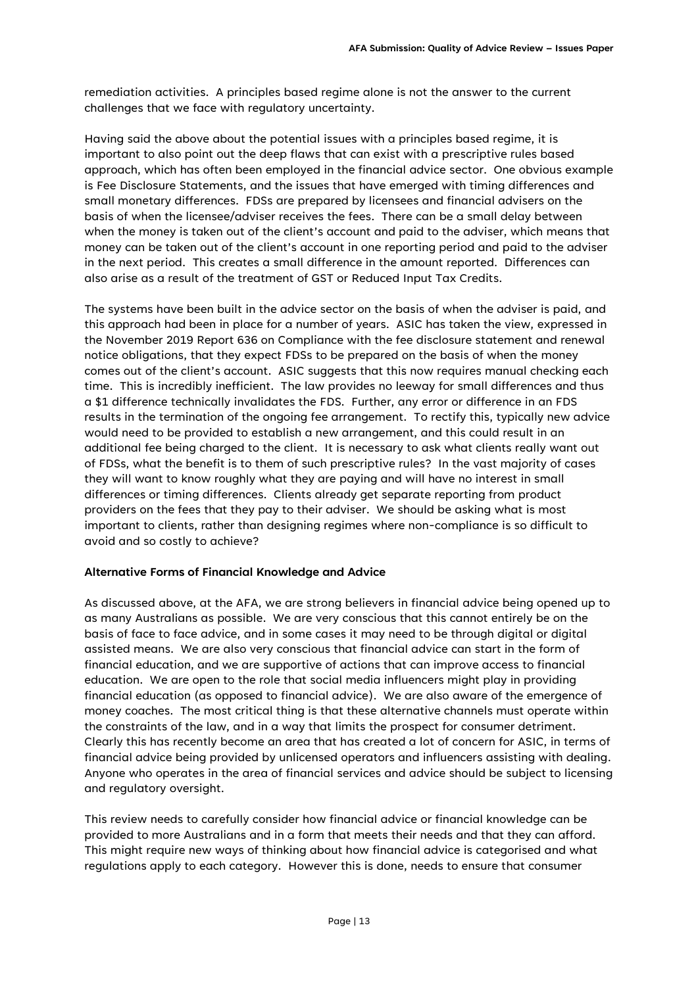remediation activities. A principles based regime alone is not the answer to the current challenges that we face with regulatory uncertainty.

Having said the above about the potential issues with a principles based regime, it is important to also point out the deep flaws that can exist with a prescriptive rules based approach, which has often been employed in the financial advice sector. One obvious example is Fee Disclosure Statements, and the issues that have emerged with timing differences and small monetary differences. FDSs are prepared by licensees and financial advisers on the basis of when the licensee/adviser receives the fees. There can be a small delay between when the money is taken out of the client's account and paid to the adviser, which means that money can be taken out of the client's account in one reporting period and paid to the adviser in the next period. This creates a small difference in the amount reported. Differences can also arise as a result of the treatment of GST or Reduced Input Tax Credits.

The systems have been built in the advice sector on the basis of when the adviser is paid, and this approach had been in place for a number of years. ASIC has taken the view, expressed in the November 2019 Report 636 on Compliance with the fee disclosure statement and renewal notice obligations, that they expect FDSs to be prepared on the basis of when the money comes out of the client's account. ASIC suggests that this now requires manual checking each time. This is incredibly inefficient. The law provides no leeway for small differences and thus a \$1 difference technically invalidates the FDS. Further, any error or difference in an FDS results in the termination of the ongoing fee arrangement. To rectify this, typically new advice would need to be provided to establish a new arrangement, and this could result in an additional fee being charged to the client. It is necessary to ask what clients really want out of FDSs, what the benefit is to them of such prescriptive rules? In the vast majority of cases they will want to know roughly what they are paying and will have no interest in small differences or timing differences. Clients already get separate reporting from product providers on the fees that they pay to their adviser. We should be asking what is most important to clients, rather than designing regimes where non-compliance is so difficult to avoid and so costly to achieve?

#### **Alternative Forms of Financial Knowledge and Advice**

As discussed above, at the AFA, we are strong believers in financial advice being opened up to as many Australians as possible. We are very conscious that this cannot entirely be on the basis of face to face advice, and in some cases it may need to be through digital or digital assisted means. We are also very conscious that financial advice can start in the form of financial education, and we are supportive of actions that can improve access to financial education. We are open to the role that social media influencers might play in providing financial education (as opposed to financial advice). We are also aware of the emergence of money coaches. The most critical thing is that these alternative channels must operate within the constraints of the law, and in a way that limits the prospect for consumer detriment. Clearly this has recently become an area that has created a lot of concern for ASIC, in terms of financial advice being provided by unlicensed operators and influencers assisting with dealing. Anyone who operates in the area of financial services and advice should be subject to licensing and regulatory oversight.

This review needs to carefully consider how financial advice or financial knowledge can be provided to more Australians and in a form that meets their needs and that they can afford. This might require new ways of thinking about how financial advice is categorised and what regulations apply to each category. However this is done, needs to ensure that consumer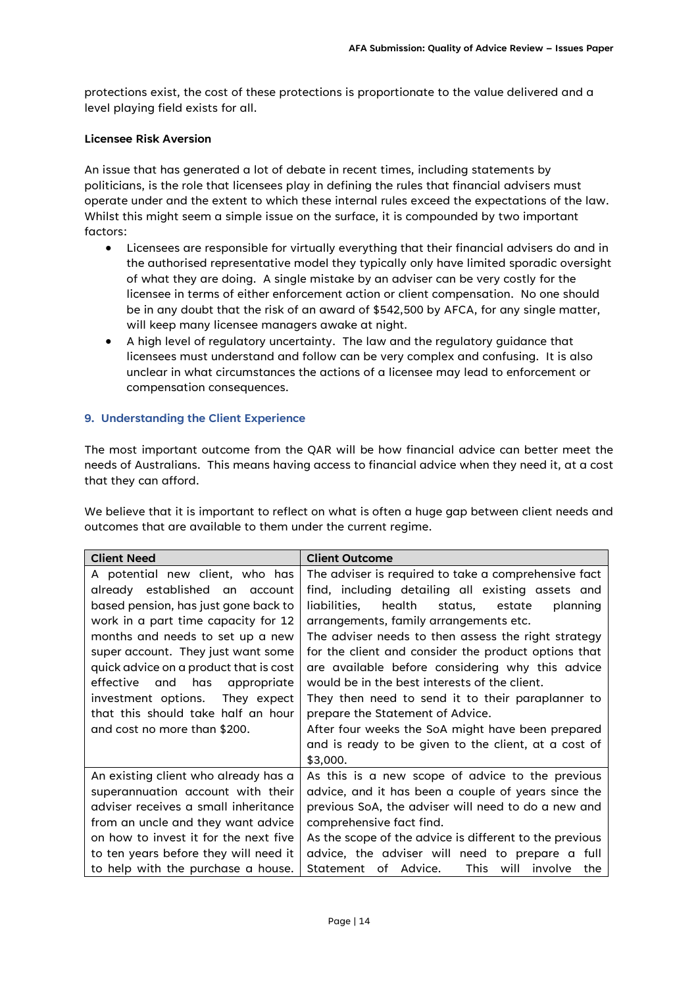protections exist, the cost of these protections is proportionate to the value delivered and a level playing field exists for all.

#### **Licensee Risk Aversion**

An issue that has generated a lot of debate in recent times, including statements by politicians, is the role that licensees play in defining the rules that financial advisers must operate under and the extent to which these internal rules exceed the expectations of the law. Whilst this might seem a simple issue on the surface, it is compounded by two important factors:

- Licensees are responsible for virtually everything that their financial advisers do and in the authorised representative model they typically only have limited sporadic oversight of what they are doing. A single mistake by an adviser can be very costly for the licensee in terms of either enforcement action or client compensation. No one should be in any doubt that the risk of an award of \$542,500 by AFCA, for any single matter, will keep many licensee managers awake at night.
- A high level of regulatory uncertainty. The law and the regulatory guidance that licensees must understand and follow can be very complex and confusing. It is also unclear in what circumstances the actions of a licensee may lead to enforcement or compensation consequences.

#### **9. Understanding the Client Experience**

The most important outcome from the QAR will be how financial advice can better meet the needs of Australians. This means having access to financial advice when they need it, at a cost that they can afford.

We believe that it is important to reflect on what is often a huge gap between client needs and outcomes that are available to them under the current regime.

| <b>Client Need</b>                                                                                                                                                                                                                                                   | <b>Client Outcome</b>                                                                                                                                                                                                                                                                                                                                                       |  |  |
|----------------------------------------------------------------------------------------------------------------------------------------------------------------------------------------------------------------------------------------------------------------------|-----------------------------------------------------------------------------------------------------------------------------------------------------------------------------------------------------------------------------------------------------------------------------------------------------------------------------------------------------------------------------|--|--|
| A potential new client, who has<br>already established an account<br>based pension, has just gone back to<br>work in a part time capacity for 12<br>months and needs to set up a new<br>super account. They just want some<br>quick advice on a product that is cost | The adviser is required to take a comprehensive fact<br>find, including detailing all existing assets and<br>health status, estate<br>liabilities.<br>planning<br>arrangements, family arrangements etc.<br>The adviser needs to then assess the right strategy<br>for the client and consider the product options that<br>are available before considering why this advice |  |  |
| and has<br>effective<br>appropriate<br>investment options. They expect<br>that this should take half an hour<br>and cost no more than \$200.                                                                                                                         | would be in the best interests of the client.<br>They then need to send it to their paraplanner to<br>prepare the Statement of Advice.<br>After four weeks the SoA might have been prepared<br>and is ready to be given to the client, at a cost of<br>\$3,000.                                                                                                             |  |  |
| An existing client who already has a<br>superannuation account with their<br>adviser receives a small inheritance<br>from an uncle and they want advice<br>on how to invest it for the next five                                                                     | As this is a new scope of advice to the previous<br>advice, and it has been a couple of years since the<br>previous SoA, the adviser will need to do a new and<br>comprehensive fact find.<br>As the scope of the advice is different to the previous                                                                                                                       |  |  |
| to ten years before they will need it<br>to help with the purchase a house.                                                                                                                                                                                          | advice, the adviser will need to prepare a full<br>of Advice.<br><b>This</b><br>Statement<br>will<br>involve<br>the                                                                                                                                                                                                                                                         |  |  |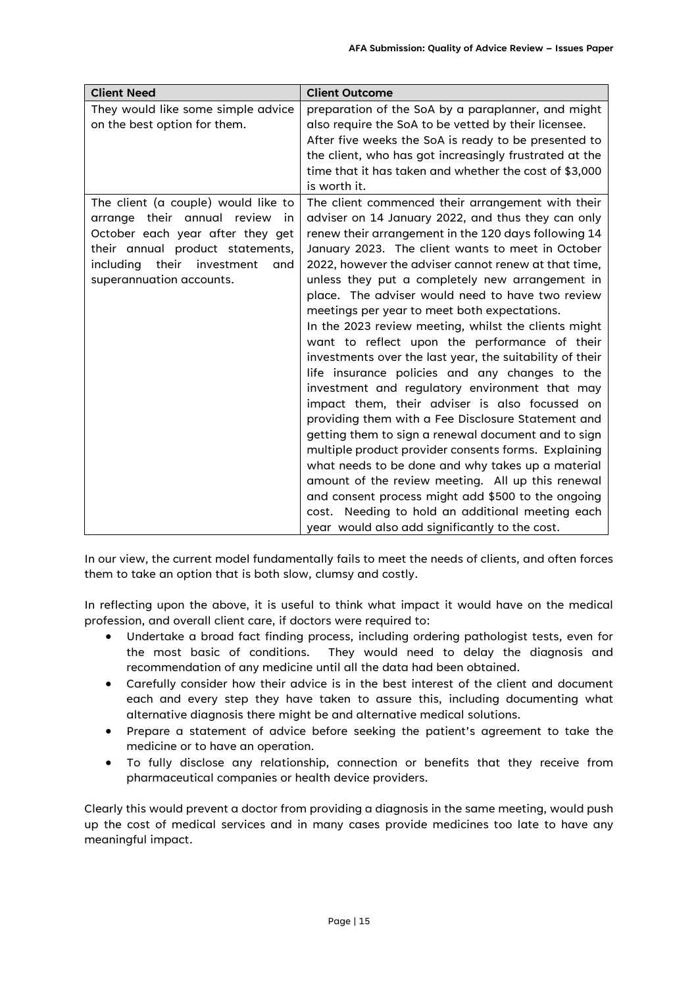| <b>Client Need</b>                                                                                                                                                                                                          | <b>Client Outcome</b>                                                                                                                                                                                                                                                                                                                                                                                                                                                                                                                                                                                                                                                                                                                                                                                                                                                                                                                                                                                                                                                                                                                                                                                     |
|-----------------------------------------------------------------------------------------------------------------------------------------------------------------------------------------------------------------------------|-----------------------------------------------------------------------------------------------------------------------------------------------------------------------------------------------------------------------------------------------------------------------------------------------------------------------------------------------------------------------------------------------------------------------------------------------------------------------------------------------------------------------------------------------------------------------------------------------------------------------------------------------------------------------------------------------------------------------------------------------------------------------------------------------------------------------------------------------------------------------------------------------------------------------------------------------------------------------------------------------------------------------------------------------------------------------------------------------------------------------------------------------------------------------------------------------------------|
| They would like some simple advice<br>on the best option for them.                                                                                                                                                          | preparation of the SoA by a paraplanner, and might<br>also require the SoA to be vetted by their licensee.<br>After five weeks the SoA is ready to be presented to<br>the client, who has got increasingly frustrated at the<br>time that it has taken and whether the cost of \$3,000<br>is worth it.                                                                                                                                                                                                                                                                                                                                                                                                                                                                                                                                                                                                                                                                                                                                                                                                                                                                                                    |
| The client (a couple) would like to<br>arrange their annual review<br><i>in</i><br>October each year after they get<br>their annual product statements,<br>including<br>their investment<br>and<br>superannuation accounts. | The client commenced their arrangement with their<br>adviser on 14 January 2022, and thus they can only<br>renew their arrangement in the 120 days following 14<br>January 2023. The client wants to meet in October<br>2022, however the adviser cannot renew at that time,<br>unless they put a completely new arrangement in<br>place. The adviser would need to have two review<br>meetings per year to meet both expectations.<br>In the 2023 review meeting, whilst the clients might<br>want to reflect upon the performance of their<br>investments over the last year, the suitability of their<br>life insurance policies and any changes to the<br>investment and regulatory environment that may<br>impact them, their adviser is also focussed on<br>providing them with a Fee Disclosure Statement and<br>getting them to sign a renewal document and to sign<br>multiple product provider consents forms. Explaining<br>what needs to be done and why takes up a material<br>amount of the review meeting. All up this renewal<br>and consent process might add \$500 to the ongoing<br>cost. Needing to hold an additional meeting each<br>year would also add significantly to the cost. |

In our view, the current model fundamentally fails to meet the needs of clients, and often forces them to take an option that is both slow, clumsy and costly.

In reflecting upon the above, it is useful to think what impact it would have on the medical profession, and overall client care, if doctors were required to:

- Undertake a broad fact finding process, including ordering pathologist tests, even for the most basic of conditions. They would need to delay the diagnosis and recommendation of any medicine until all the data had been obtained.
- Carefully consider how their advice is in the best interest of the client and document each and every step they have taken to assure this, including documenting what alternative diagnosis there might be and alternative medical solutions.
- Prepare a statement of advice before seeking the patient's agreement to take the medicine or to have an operation.
- To fully disclose any relationship, connection or benefits that they receive from pharmaceutical companies or health device providers.

Clearly this would prevent a doctor from providing a diagnosis in the same meeting, would push up the cost of medical services and in many cases provide medicines too late to have any meaningful impact.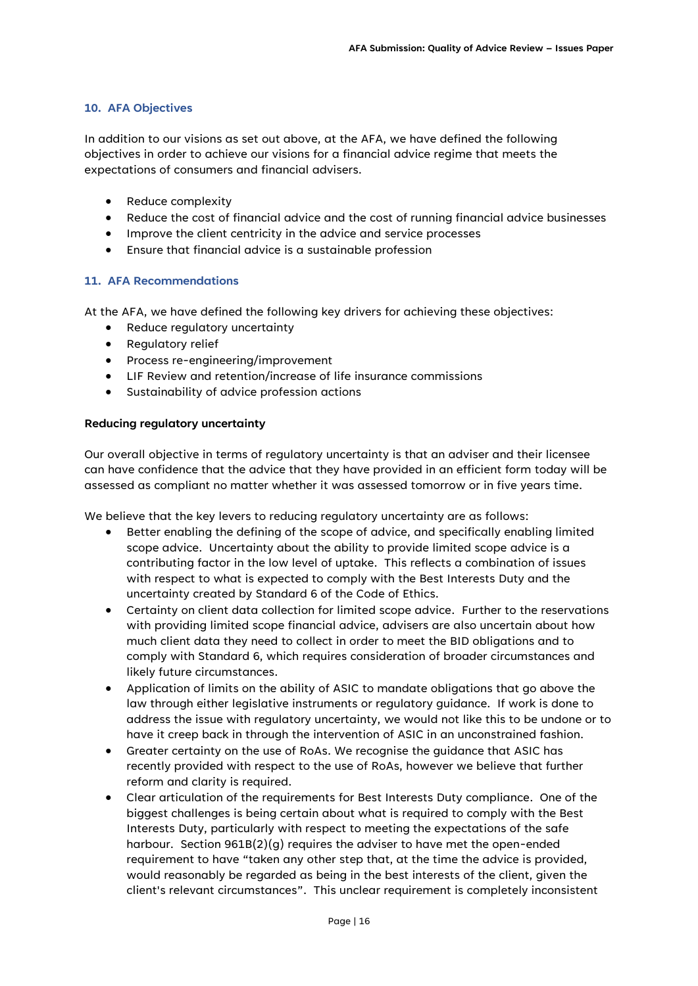#### **10. AFA Objectives**

In addition to our visions as set out above, at the AFA, we have defined the following objectives in order to achieve our visions for a financial advice regime that meets the expectations of consumers and financial advisers.

- Reduce complexity
- Reduce the cost of financial advice and the cost of running financial advice businesses
- Improve the client centricity in the advice and service processes
- Ensure that financial advice is a sustainable profession

#### **11. AFA Recommendations**

At the AFA, we have defined the following key drivers for achieving these objectives:

- Reduce regulatory uncertainty
- Regulatory relief
- Process re-engineering/improvement
- LIF Review and retention/increase of life insurance commissions
- Sustainability of advice profession actions

#### **Reducing regulatory uncertainty**

Our overall objective in terms of regulatory uncertainty is that an adviser and their licensee can have confidence that the advice that they have provided in an efficient form today will be assessed as compliant no matter whether it was assessed tomorrow or in five years time.

We believe that the key levers to reducing regulatory uncertainty are as follows:

- Better enabling the defining of the scope of advice, and specifically enabling limited scope advice. Uncertainty about the ability to provide limited scope advice is a contributing factor in the low level of uptake. This reflects a combination of issues with respect to what is expected to comply with the Best Interests Duty and the uncertainty created by Standard 6 of the Code of Ethics.
- Certainty on client data collection for limited scope advice. Further to the reservations with providing limited scope financial advice, advisers are also uncertain about how much client data they need to collect in order to meet the BID obligations and to comply with Standard 6, which requires consideration of broader circumstances and likely future circumstances.
- Application of limits on the ability of ASIC to mandate obligations that go above the law through either legislative instruments or regulatory guidance. If work is done to address the issue with regulatory uncertainty, we would not like this to be undone or to have it creep back in through the intervention of ASIC in an unconstrained fashion.
- Greater certainty on the use of RoAs. We recognise the guidance that ASIC has recently provided with respect to the use of RoAs, however we believe that further reform and clarity is required.
- Clear articulation of the requirements for Best Interests Duty compliance. One of the biggest challenges is being certain about what is required to comply with the Best Interests Duty, particularly with respect to meeting the expectations of the safe harbour. Section 961B(2)(g) requires the adviser to have met the open-ended requirement to have "taken any other step that, at the time the advice is provided, would reasonably be regarded as being in the best interests of the client, given the client's relevant circumstances". This unclear requirement is completely inconsistent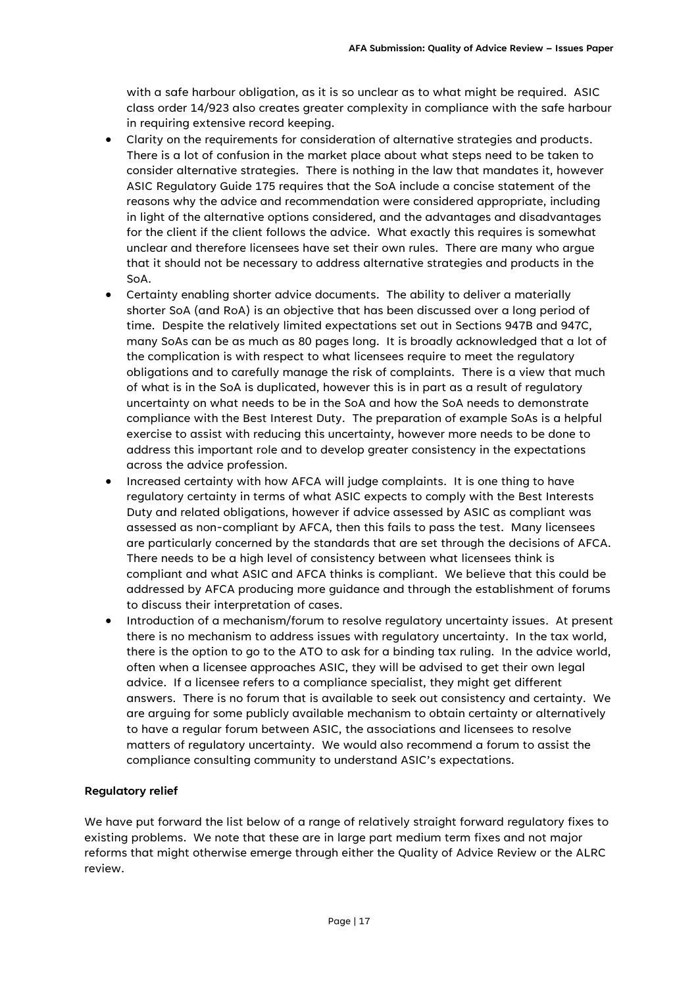with a safe harbour obligation, as it is so unclear as to what might be required. ASIC class order 14/923 also creates greater complexity in compliance with the safe harbour in requiring extensive record keeping.

- Clarity on the requirements for consideration of alternative strategies and products. There is a lot of confusion in the market place about what steps need to be taken to consider alternative strategies. There is nothing in the law that mandates it, however ASIC Regulatory Guide 175 requires that the SoA include a concise statement of the reasons why the advice and recommendation were considered appropriate, including in light of the alternative options considered, and the advantages and disadvantages for the client if the client follows the advice. What exactly this requires is somewhat unclear and therefore licensees have set their own rules. There are many who argue that it should not be necessary to address alternative strategies and products in the SoA.
- Certainty enabling shorter advice documents. The ability to deliver a materially shorter SoA (and RoA) is an objective that has been discussed over a long period of time. Despite the relatively limited expectations set out in Sections 947B and 947C, many SoAs can be as much as 80 pages long. It is broadly acknowledged that a lot of the complication is with respect to what licensees require to meet the regulatory obligations and to carefully manage the risk of complaints. There is a view that much of what is in the SoA is duplicated, however this is in part as a result of regulatory uncertainty on what needs to be in the SoA and how the SoA needs to demonstrate compliance with the Best Interest Duty. The preparation of example SoAs is a helpful exercise to assist with reducing this uncertainty, however more needs to be done to address this important role and to develop greater consistency in the expectations across the advice profession.
- Increased certainty with how AFCA will judge complaints. It is one thing to have regulatory certainty in terms of what ASIC expects to comply with the Best Interests Duty and related obligations, however if advice assessed by ASIC as compliant was assessed as non-compliant by AFCA, then this fails to pass the test. Many licensees are particularly concerned by the standards that are set through the decisions of AFCA. There needs to be a high level of consistency between what licensees think is compliant and what ASIC and AFCA thinks is compliant. We believe that this could be addressed by AFCA producing more guidance and through the establishment of forums to discuss their interpretation of cases.
- Introduction of a mechanism/forum to resolve regulatory uncertainty issues. At present there is no mechanism to address issues with regulatory uncertainty. In the tax world, there is the option to go to the ATO to ask for a binding tax ruling. In the advice world, often when a licensee approaches ASIC, they will be advised to get their own legal advice. If a licensee refers to a compliance specialist, they might get different answers. There is no forum that is available to seek out consistency and certainty. We are arguing for some publicly available mechanism to obtain certainty or alternatively to have a regular forum between ASIC, the associations and licensees to resolve matters of regulatory uncertainty. We would also recommend a forum to assist the compliance consulting community to understand ASIC's expectations.

#### **Regulatory relief**

We have put forward the list below of a range of relatively straight forward regulatory fixes to existing problems. We note that these are in large part medium term fixes and not major reforms that might otherwise emerge through either the Quality of Advice Review or the ALRC review.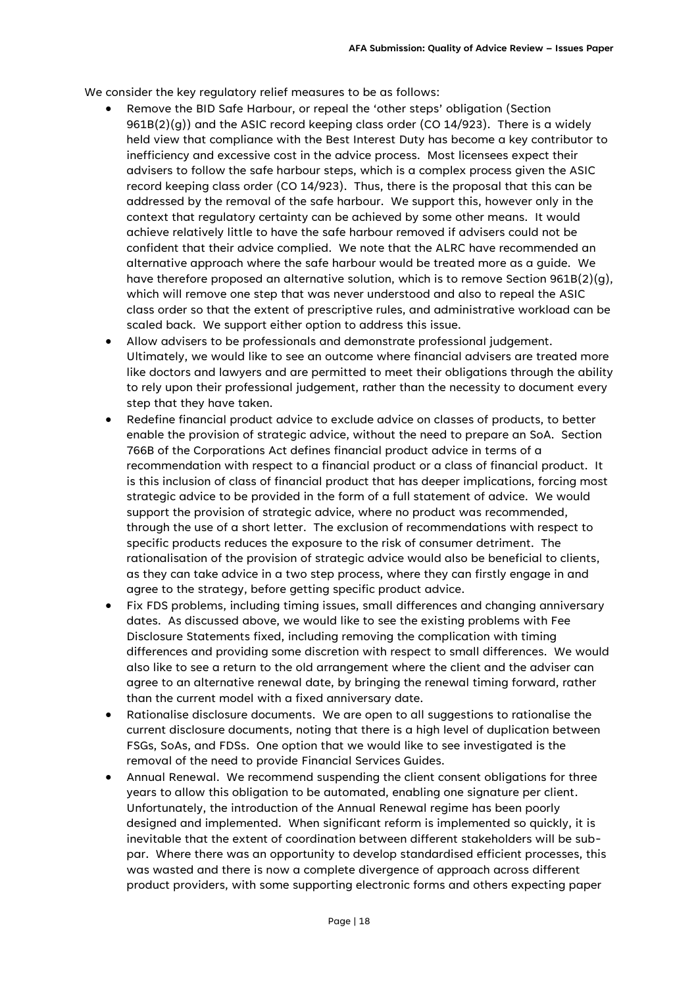We consider the key regulatory relief measures to be as follows:

- Remove the BID Safe Harbour, or repeal the 'other steps' obligation (Section  $961B(2)(q)$ ) and the ASIC record keeping class order (CO 14/923). There is a widely held view that compliance with the Best Interest Duty has become a key contributor to inefficiency and excessive cost in the advice process. Most licensees expect their advisers to follow the safe harbour steps, which is a complex process given the ASIC record keeping class order (CO 14/923). Thus, there is the proposal that this can be addressed by the removal of the safe harbour. We support this, however only in the context that regulatory certainty can be achieved by some other means. It would achieve relatively little to have the safe harbour removed if advisers could not be confident that their advice complied. We note that the ALRC have recommended an alternative approach where the safe harbour would be treated more as a guide. We have therefore proposed an alternative solution, which is to remove Section  $961B(2)(q)$ , which will remove one step that was never understood and also to repeal the ASIC class order so that the extent of prescriptive rules, and administrative workload can be scaled back. We support either option to address this issue.
- Allow advisers to be professionals and demonstrate professional judgement. Ultimately, we would like to see an outcome where financial advisers are treated more like doctors and lawyers and are permitted to meet their obligations through the ability to rely upon their professional judgement, rather than the necessity to document every step that they have taken.
- Redefine financial product advice to exclude advice on classes of products, to better enable the provision of strategic advice, without the need to prepare an SoA. Section 766B of the Corporations Act defines financial product advice in terms of a recommendation with respect to a financial product or a class of financial product. It is this inclusion of class of financial product that has deeper implications, forcing most strategic advice to be provided in the form of a full statement of advice. We would support the provision of strategic advice, where no product was recommended, through the use of a short letter. The exclusion of recommendations with respect to specific products reduces the exposure to the risk of consumer detriment. The rationalisation of the provision of strategic advice would also be beneficial to clients, as they can take advice in a two step process, where they can firstly engage in and agree to the strategy, before getting specific product advice.
- Fix FDS problems, including timing issues, small differences and changing anniversary dates. As discussed above, we would like to see the existing problems with Fee Disclosure Statements fixed, including removing the complication with timing differences and providing some discretion with respect to small differences. We would also like to see a return to the old arrangement where the client and the adviser can agree to an alternative renewal date, by bringing the renewal timing forward, rather than the current model with a fixed anniversary date.
- Rationalise disclosure documents. We are open to all suggestions to rationalise the current disclosure documents, noting that there is a high level of duplication between FSGs, SoAs, and FDSs. One option that we would like to see investigated is the removal of the need to provide Financial Services Guides.
- Annual Renewal. We recommend suspending the client consent obligations for three years to allow this obligation to be automated, enabling one signature per client. Unfortunately, the introduction of the Annual Renewal regime has been poorly designed and implemented. When significant reform is implemented so quickly, it is inevitable that the extent of coordination between different stakeholders will be subpar. Where there was an opportunity to develop standardised efficient processes, this was wasted and there is now a complete divergence of approach across different product providers, with some supporting electronic forms and others expecting paper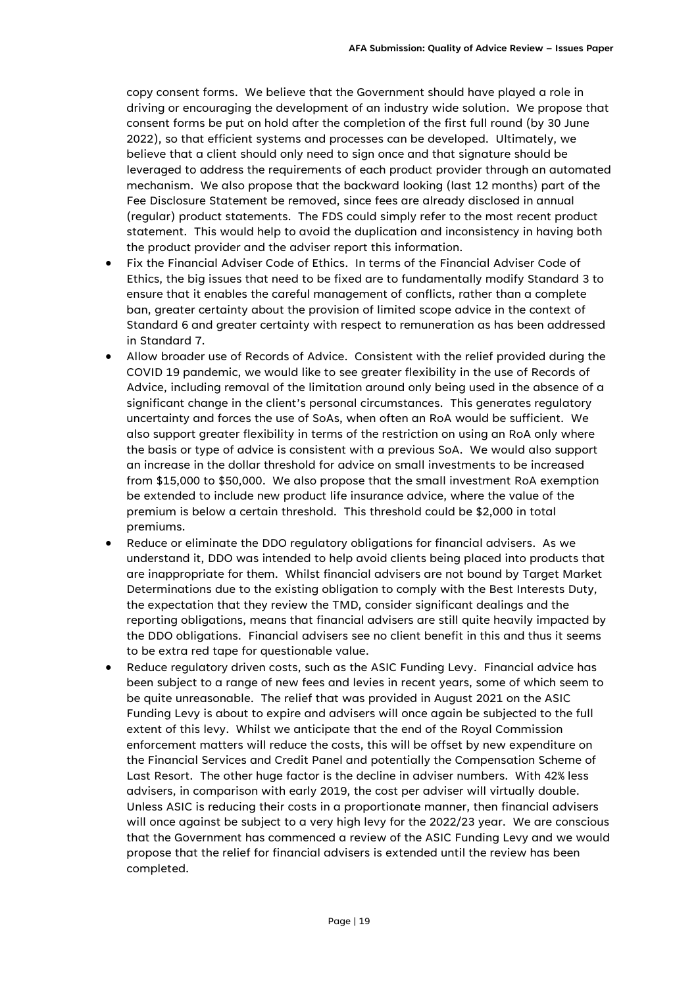copy consent forms. We believe that the Government should have played a role in driving or encouraging the development of an industry wide solution. We propose that consent forms be put on hold after the completion of the first full round (by 30 June 2022), so that efficient systems and processes can be developed. Ultimately, we believe that a client should only need to sign once and that signature should be leveraged to address the requirements of each product provider through an automated mechanism. We also propose that the backward looking (last 12 months) part of the Fee Disclosure Statement be removed, since fees are already disclosed in annual (regular) product statements. The FDS could simply refer to the most recent product statement. This would help to avoid the duplication and inconsistency in having both the product provider and the adviser report this information.

- Fix the Financial Adviser Code of Ethics. In terms of the Financial Adviser Code of Ethics, the big issues that need to be fixed are to fundamentally modify Standard 3 to ensure that it enables the careful management of conflicts, rather than a complete ban, greater certainty about the provision of limited scope advice in the context of Standard 6 and greater certainty with respect to remuneration as has been addressed in Standard 7.
- Allow broader use of Records of Advice. Consistent with the relief provided during the COVID 19 pandemic, we would like to see greater flexibility in the use of Records of Advice, including removal of the limitation around only being used in the absence of a significant change in the client's personal circumstances. This generates regulatory uncertainty and forces the use of SoAs, when often an RoA would be sufficient. We also support greater flexibility in terms of the restriction on using an RoA only where the basis or type of advice is consistent with a previous SoA. We would also support an increase in the dollar threshold for advice on small investments to be increased from \$15,000 to \$50,000. We also propose that the small investment RoA exemption be extended to include new product life insurance advice, where the value of the premium is below a certain threshold. This threshold could be \$2,000 in total premiums.
- Reduce or eliminate the DDO regulatory obligations for financial advisers. As we understand it, DDO was intended to help avoid clients being placed into products that are inappropriate for them. Whilst financial advisers are not bound by Target Market Determinations due to the existing obligation to comply with the Best Interests Duty, the expectation that they review the TMD, consider significant dealings and the reporting obligations, means that financial advisers are still quite heavily impacted by the DDO obligations. Financial advisers see no client benefit in this and thus it seems to be extra red tape for questionable value.
- Reduce regulatory driven costs, such as the ASIC Funding Levy. Financial advice has been subject to a range of new fees and levies in recent years, some of which seem to be quite unreasonable. The relief that was provided in August 2021 on the ASIC Funding Levy is about to expire and advisers will once again be subjected to the full extent of this levy. Whilst we anticipate that the end of the Royal Commission enforcement matters will reduce the costs, this will be offset by new expenditure on the Financial Services and Credit Panel and potentially the Compensation Scheme of Last Resort. The other huge factor is the decline in adviser numbers. With 42% less advisers, in comparison with early 2019, the cost per adviser will virtually double. Unless ASIC is reducing their costs in a proportionate manner, then financial advisers will once against be subject to a very high levy for the 2022/23 year. We are conscious that the Government has commenced a review of the ASIC Funding Levy and we would propose that the relief for financial advisers is extended until the review has been completed.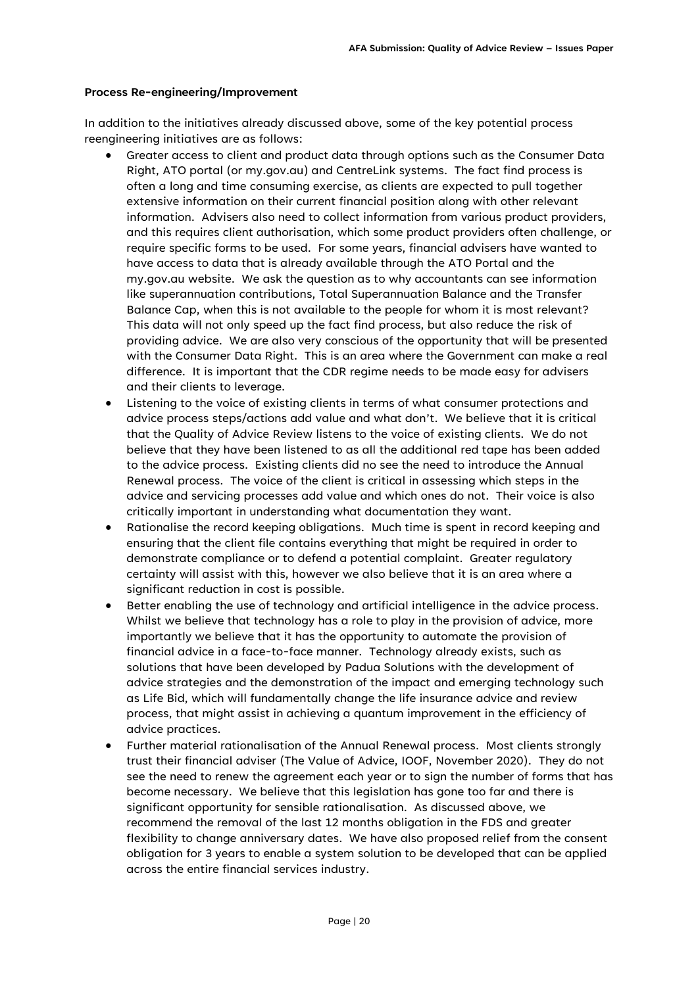#### **Process Re-engineering/Improvement**

In addition to the initiatives already discussed above, some of the key potential process reengineering initiatives are as follows:

- Greater access to client and product data through options such as the Consumer Data Right, ATO portal (or my.gov.au) and CentreLink systems. The fact find process is often a long and time consuming exercise, as clients are expected to pull together extensive information on their current financial position along with other relevant information. Advisers also need to collect information from various product providers, and this requires client authorisation, which some product providers often challenge, or require specific forms to be used. For some years, financial advisers have wanted to have access to data that is already available through the ATO Portal and the my.gov.au website. We ask the question as to why accountants can see information like superannuation contributions, Total Superannuation Balance and the Transfer Balance Cap, when this is not available to the people for whom it is most relevant? This data will not only speed up the fact find process, but also reduce the risk of providing advice. We are also very conscious of the opportunity that will be presented with the Consumer Data Right. This is an area where the Government can make a real difference. It is important that the CDR regime needs to be made easy for advisers and their clients to leverage.
- Listening to the voice of existing clients in terms of what consumer protections and advice process steps/actions add value and what don't. We believe that it is critical that the Quality of Advice Review listens to the voice of existing clients. We do not believe that they have been listened to as all the additional red tape has been added to the advice process. Existing clients did no see the need to introduce the Annual Renewal process. The voice of the client is critical in assessing which steps in the advice and servicing processes add value and which ones do not. Their voice is also critically important in understanding what documentation they want.
- Rationalise the record keeping obligations. Much time is spent in record keeping and ensuring that the client file contains everything that might be required in order to demonstrate compliance or to defend a potential complaint. Greater regulatory certainty will assist with this, however we also believe that it is an area where a significant reduction in cost is possible.
- Better enabling the use of technology and artificial intelligence in the advice process. Whilst we believe that technology has a role to play in the provision of advice, more importantly we believe that it has the opportunity to automate the provision of financial advice in a face-to-face manner. Technology already exists, such as solutions that have been developed by Padua Solutions with the development of advice strategies and the demonstration of the impact and emerging technology such as Life Bid, which will fundamentally change the life insurance advice and review process, that might assist in achieving a quantum improvement in the efficiency of advice practices.
- Further material rationalisation of the Annual Renewal process. Most clients strongly trust their financial adviser (The Value of Advice, IOOF, November 2020). They do not see the need to renew the agreement each year or to sign the number of forms that has become necessary. We believe that this legislation has gone too far and there is significant opportunity for sensible rationalisation. As discussed above, we recommend the removal of the last 12 months obligation in the FDS and greater flexibility to change anniversary dates. We have also proposed relief from the consent obligation for 3 years to enable a system solution to be developed that can be applied across the entire financial services industry.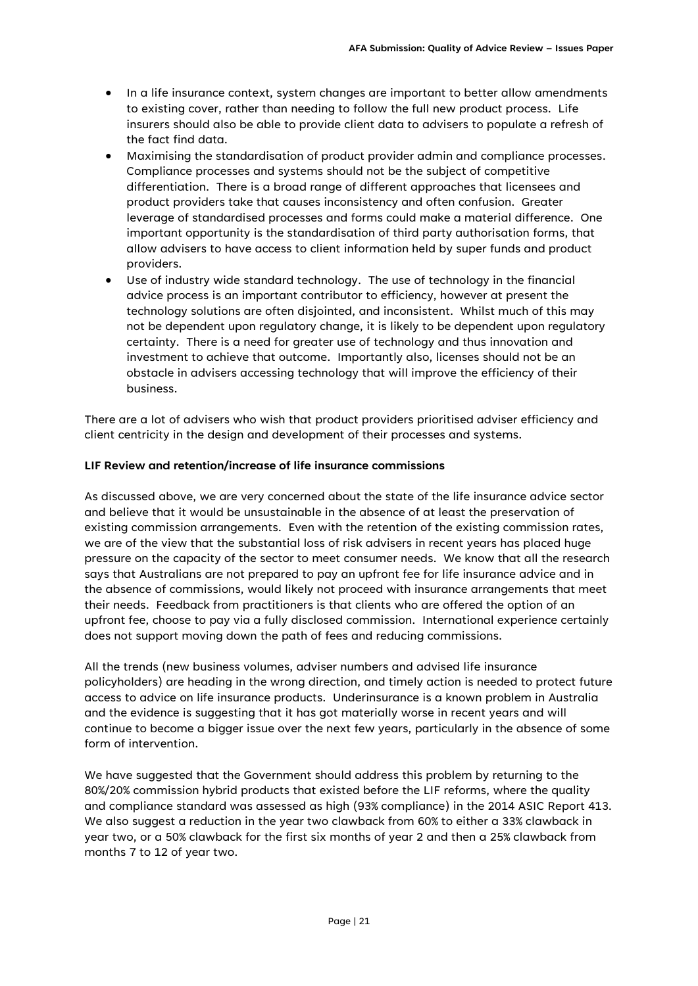- In a life insurance context, system changes are important to better allow amendments to existing cover, rather than needing to follow the full new product process. Life insurers should also be able to provide client data to advisers to populate a refresh of the fact find data.
- Maximising the standardisation of product provider admin and compliance processes. Compliance processes and systems should not be the subject of competitive differentiation. There is a broad range of different approaches that licensees and product providers take that causes inconsistency and often confusion. Greater leverage of standardised processes and forms could make a material difference. One important opportunity is the standardisation of third party authorisation forms, that allow advisers to have access to client information held by super funds and product providers.
- Use of industry wide standard technology. The use of technology in the financial advice process is an important contributor to efficiency, however at present the technology solutions are often disjointed, and inconsistent. Whilst much of this may not be dependent upon regulatory change, it is likely to be dependent upon regulatory certainty. There is a need for greater use of technology and thus innovation and investment to achieve that outcome. Importantly also, licenses should not be an obstacle in advisers accessing technology that will improve the efficiency of their business.

There are a lot of advisers who wish that product providers prioritised adviser efficiency and client centricity in the design and development of their processes and systems.

#### **LIF Review and retention/increase of life insurance commissions**

As discussed above, we are very concerned about the state of the life insurance advice sector and believe that it would be unsustainable in the absence of at least the preservation of existing commission arrangements. Even with the retention of the existing commission rates, we are of the view that the substantial loss of risk advisers in recent years has placed huge pressure on the capacity of the sector to meet consumer needs. We know that all the research says that Australians are not prepared to pay an upfront fee for life insurance advice and in the absence of commissions, would likely not proceed with insurance arrangements that meet their needs. Feedback from practitioners is that clients who are offered the option of an upfront fee, choose to pay via a fully disclosed commission. International experience certainly does not support moving down the path of fees and reducing commissions.

All the trends (new business volumes, adviser numbers and advised life insurance policyholders) are heading in the wrong direction, and timely action is needed to protect future access to advice on life insurance products. Underinsurance is a known problem in Australia and the evidence is suggesting that it has got materially worse in recent years and will continue to become a bigger issue over the next few years, particularly in the absence of some form of intervention.

We have suggested that the Government should address this problem by returning to the 80%/20% commission hybrid products that existed before the LIF reforms, where the quality and compliance standard was assessed as high (93% compliance) in the 2014 ASIC Report 413. We also suggest a reduction in the year two clawback from 60% to either a 33% clawback in year two, or a 50% clawback for the first six months of year 2 and then a 25% clawback from months 7 to 12 of year two.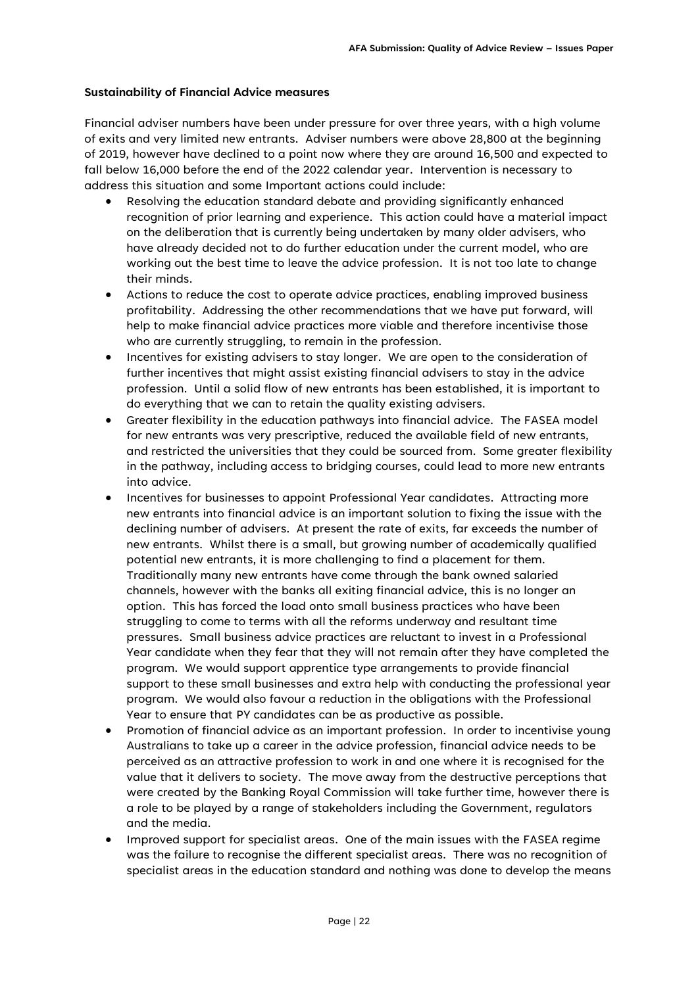#### **Sustainability of Financial Advice measures**

Financial adviser numbers have been under pressure for over three years, with a high volume of exits and very limited new entrants. Adviser numbers were above 28,800 at the beginning of 2019, however have declined to a point now where they are around 16,500 and expected to fall below 16,000 before the end of the 2022 calendar year. Intervention is necessary to address this situation and some Important actions could include:

- Resolving the education standard debate and providing significantly enhanced recognition of prior learning and experience. This action could have a material impact on the deliberation that is currently being undertaken by many older advisers, who have already decided not to do further education under the current model, who are working out the best time to leave the advice profession. It is not too late to change their minds.
- Actions to reduce the cost to operate advice practices, enabling improved business profitability. Addressing the other recommendations that we have put forward, will help to make financial advice practices more viable and therefore incentivise those who are currently struggling, to remain in the profession.
- Incentives for existing advisers to stay longer. We are open to the consideration of further incentives that might assist existing financial advisers to stay in the advice profession. Until a solid flow of new entrants has been established, it is important to do everything that we can to retain the quality existing advisers.
- Greater flexibility in the education pathways into financial advice. The FASEA model for new entrants was very prescriptive, reduced the available field of new entrants, and restricted the universities that they could be sourced from. Some greater flexibility in the pathway, including access to bridging courses, could lead to more new entrants into advice.
- Incentives for businesses to appoint Professional Year candidates. Attracting more new entrants into financial advice is an important solution to fixing the issue with the declining number of advisers. At present the rate of exits, far exceeds the number of new entrants. Whilst there is a small, but growing number of academically qualified potential new entrants, it is more challenging to find a placement for them. Traditionally many new entrants have come through the bank owned salaried channels, however with the banks all exiting financial advice, this is no longer an option. This has forced the load onto small business practices who have been struggling to come to terms with all the reforms underway and resultant time pressures. Small business advice practices are reluctant to invest in a Professional Year candidate when they fear that they will not remain after they have completed the program. We would support apprentice type arrangements to provide financial support to these small businesses and extra help with conducting the professional year program. We would also favour a reduction in the obligations with the Professional Year to ensure that PY candidates can be as productive as possible.
- Promotion of financial advice as an important profession. In order to incentivise young Australians to take up a career in the advice profession, financial advice needs to be perceived as an attractive profession to work in and one where it is recognised for the value that it delivers to society. The move away from the destructive perceptions that were created by the Banking Royal Commission will take further time, however there is a role to be played by a range of stakeholders including the Government, regulators and the media.
- Improved support for specialist areas. One of the main issues with the FASEA regime was the failure to recognise the different specialist areas. There was no recognition of specialist areas in the education standard and nothing was done to develop the means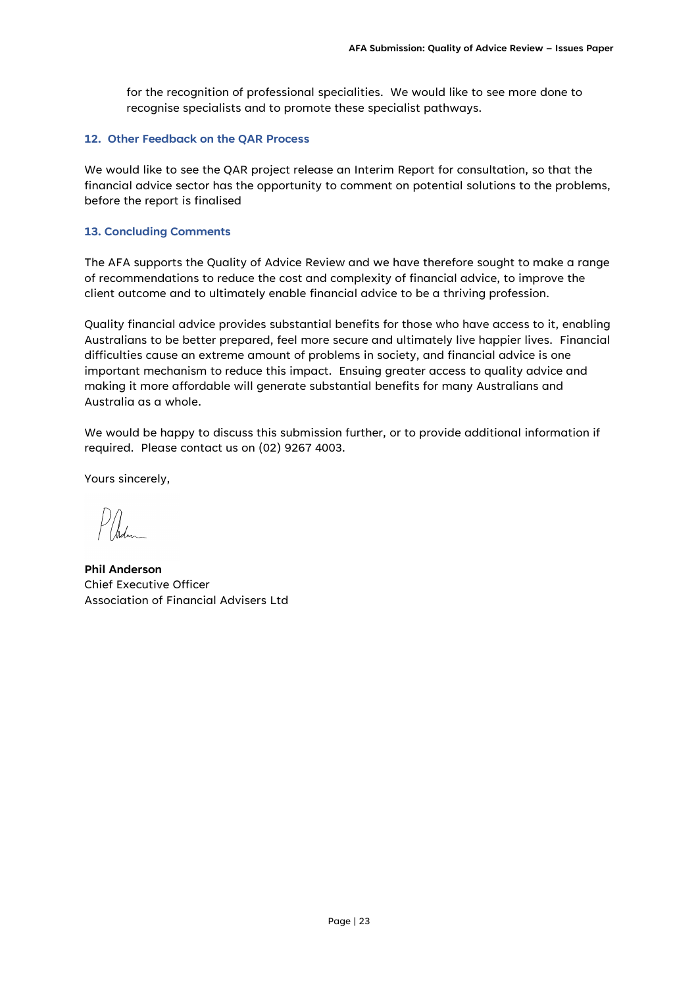for the recognition of professional specialities. We would like to see more done to recognise specialists and to promote these specialist pathways.

#### **12. Other Feedback on the QAR Process**

We would like to see the QAR project release an Interim Report for consultation, so that the financial advice sector has the opportunity to comment on potential solutions to the problems, before the report is finalised

#### **13. Concluding Comments**

The AFA supports the Quality of Advice Review and we have therefore sought to make a range of recommendations to reduce the cost and complexity of financial advice, to improve the client outcome and to ultimately enable financial advice to be a thriving profession.

Quality financial advice provides substantial benefits for those who have access to it, enabling Australians to be better prepared, feel more secure and ultimately live happier lives. Financial difficulties cause an extreme amount of problems in society, and financial advice is one important mechanism to reduce this impact. Ensuing greater access to quality advice and making it more affordable will generate substantial benefits for many Australians and Australia as a whole.

We would be happy to discuss this submission further, or to provide additional information if required. Please contact us on (02) 9267 4003.

Yours sincerely,

**Phil Anderson** Chief Executive Officer Association of Financial Advisers Ltd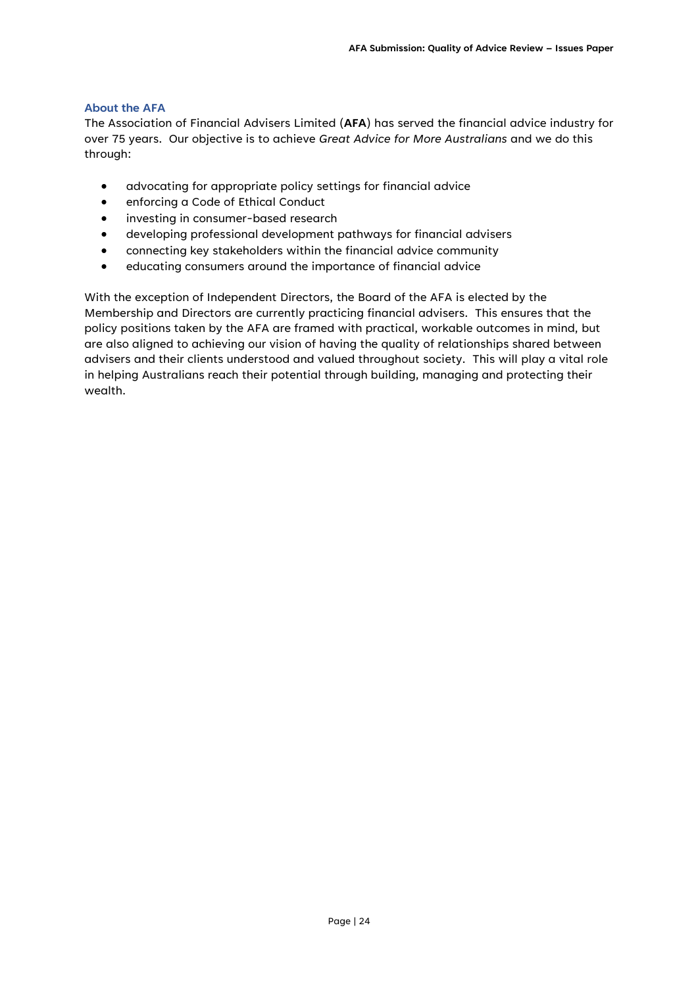#### **About the AFA**

The Association of Financial Advisers Limited (**AFA**) has served the financial advice industry for over 75 years. Our objective is to achieve *Great Advice for More Australians* and we do this through:

- advocating for appropriate policy settings for financial advice
- enforcing a Code of Ethical Conduct
- investing in consumer-based research
- developing professional development pathways for financial advisers
- connecting key stakeholders within the financial advice community
- educating consumers around the importance of financial advice

With the exception of Independent Directors, the Board of the AFA is elected by the Membership and Directors are currently practicing financial advisers. This ensures that the policy positions taken by the AFA are framed with practical, workable outcomes in mind, but are also aligned to achieving our vision of having the quality of relationships shared between advisers and their clients understood and valued throughout society. This will play a vital role in helping Australians reach their potential through building, managing and protecting their wealth.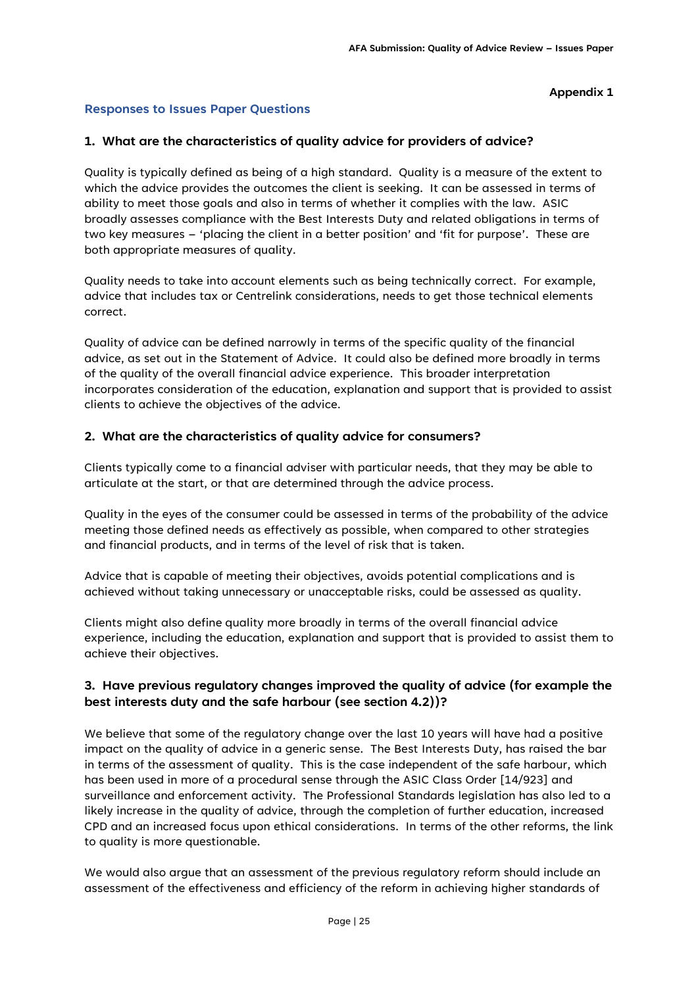#### **Appendix 1**

#### **Responses to Issues Paper Questions**

#### **1. What are the characteristics of quality advice for providers of advice?**

Quality is typically defined as being of a high standard. Quality is a measure of the extent to which the advice provides the outcomes the client is seeking. It can be assessed in terms of ability to meet those goals and also in terms of whether it complies with the law. ASIC broadly assesses compliance with the Best Interests Duty and related obligations in terms of two key measures – 'placing the client in a better position' and 'fit for purpose'. These are both appropriate measures of quality.

Quality needs to take into account elements such as being technically correct. For example, advice that includes tax or Centrelink considerations, needs to get those technical elements correct.

Quality of advice can be defined narrowly in terms of the specific quality of the financial advice, as set out in the Statement of Advice. It could also be defined more broadly in terms of the quality of the overall financial advice experience. This broader interpretation incorporates consideration of the education, explanation and support that is provided to assist clients to achieve the objectives of the advice.

#### **2. What are the characteristics of quality advice for consumers?**

Clients typically come to a financial adviser with particular needs, that they may be able to articulate at the start, or that are determined through the advice process.

Quality in the eyes of the consumer could be assessed in terms of the probability of the advice meeting those defined needs as effectively as possible, when compared to other strategies and financial products, and in terms of the level of risk that is taken.

Advice that is capable of meeting their objectives, avoids potential complications and is achieved without taking unnecessary or unacceptable risks, could be assessed as quality.

Clients might also define quality more broadly in terms of the overall financial advice experience, including the education, explanation and support that is provided to assist them to achieve their objectives.

### **3. Have previous regulatory changes improved the quality of advice (for example the best interests duty and the safe harbour (see section 4.2))?**

We believe that some of the regulatory change over the last 10 years will have had a positive impact on the quality of advice in a generic sense. The Best Interests Duty, has raised the bar in terms of the assessment of quality. This is the case independent of the safe harbour, which has been used in more of a procedural sense through the ASIC Class Order [14/923] and surveillance and enforcement activity. The Professional Standards legislation has also led to a likely increase in the quality of advice, through the completion of further education, increased CPD and an increased focus upon ethical considerations. In terms of the other reforms, the link to quality is more questionable.

We would also argue that an assessment of the previous regulatory reform should include an assessment of the effectiveness and efficiency of the reform in achieving higher standards of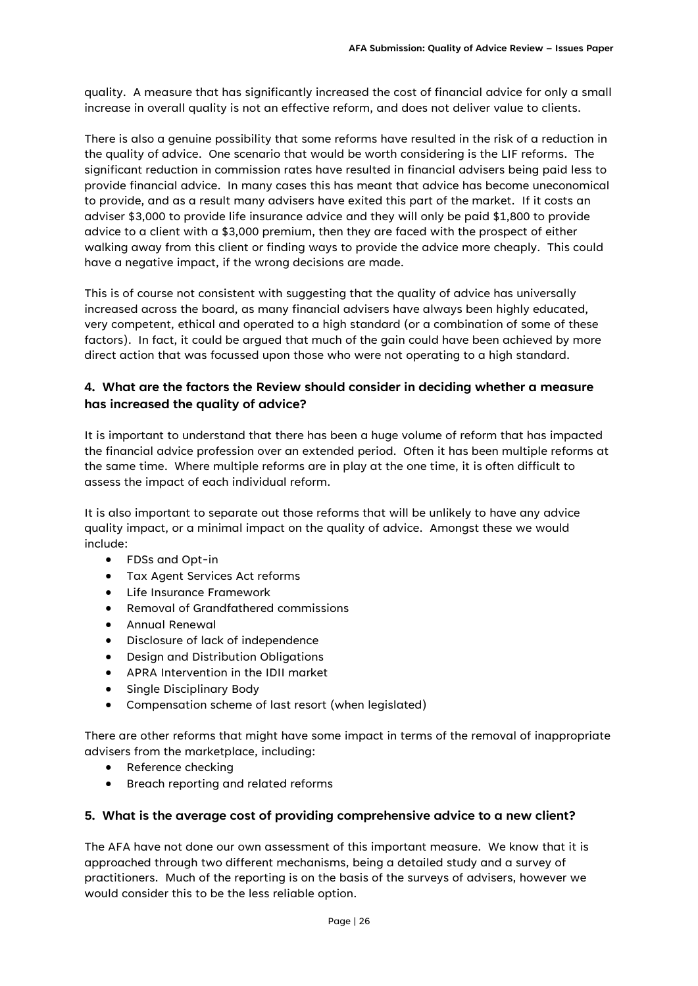quality. A measure that has significantly increased the cost of financial advice for only a small increase in overall quality is not an effective reform, and does not deliver value to clients.

There is also a genuine possibility that some reforms have resulted in the risk of a reduction in the quality of advice. One scenario that would be worth considering is the LIF reforms. The significant reduction in commission rates have resulted in financial advisers being paid less to provide financial advice. In many cases this has meant that advice has become uneconomical to provide, and as a result many advisers have exited this part of the market. If it costs an adviser \$3,000 to provide life insurance advice and they will only be paid \$1,800 to provide advice to a client with a \$3,000 premium, then they are faced with the prospect of either walking away from this client or finding ways to provide the advice more cheaply. This could have a negative impact, if the wrong decisions are made.

This is of course not consistent with suggesting that the quality of advice has universally increased across the board, as many financial advisers have always been highly educated, very competent, ethical and operated to a high standard (or a combination of some of these factors). In fact, it could be argued that much of the gain could have been achieved by more direct action that was focussed upon those who were not operating to a high standard.

### **4. What are the factors the Review should consider in deciding whether a measure has increased the quality of advice?**

It is important to understand that there has been a huge volume of reform that has impacted the financial advice profession over an extended period. Often it has been multiple reforms at the same time. Where multiple reforms are in play at the one time, it is often difficult to assess the impact of each individual reform.

It is also important to separate out those reforms that will be unlikely to have any advice quality impact, or a minimal impact on the quality of advice. Amongst these we would include:

- FDSs and Opt-in
- Tax Agent Services Act reforms
- Life Insurance Framework
- Removal of Grandfathered commissions
- Annual Renewal
- Disclosure of lack of independence
- Design and Distribution Obligations
- APRA Intervention in the IDII market
- Single Disciplinary Body
- Compensation scheme of last resort (when legislated)

There are other reforms that might have some impact in terms of the removal of inappropriate advisers from the marketplace, including:

- Reference checking
- Breach reporting and related reforms

#### **5. What is the average cost of providing comprehensive advice to a new client?**

The AFA have not done our own assessment of this important measure. We know that it is approached through two different mechanisms, being a detailed study and a survey of practitioners. Much of the reporting is on the basis of the surveys of advisers, however we would consider this to be the less reliable option.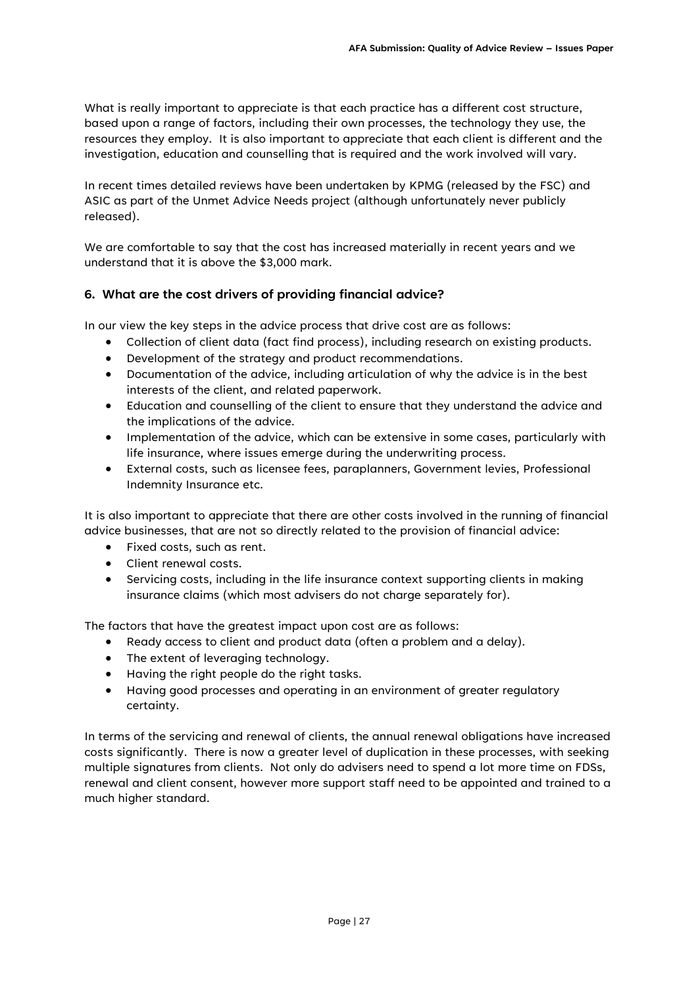What is really important to appreciate is that each practice has a different cost structure, based upon a range of factors, including their own processes, the technology they use, the resources they employ. It is also important to appreciate that each client is different and the investigation, education and counselling that is required and the work involved will vary.

In recent times detailed reviews have been undertaken by KPMG (released by the FSC) and ASIC as part of the Unmet Advice Needs project (although unfortunately never publicly released).

We are comfortable to say that the cost has increased materially in recent years and we understand that it is above the \$3,000 mark.

### **6. What are the cost drivers of providing financial advice?**

In our view the key steps in the advice process that drive cost are as follows:

- Collection of client data (fact find process), including research on existing products.
- Development of the strategy and product recommendations.
- Documentation of the advice, including articulation of why the advice is in the best interests of the client, and related paperwork.
- Education and counselling of the client to ensure that they understand the advice and the implications of the advice.
- Implementation of the advice, which can be extensive in some cases, particularly with life insurance, where issues emerge during the underwriting process.
- External costs, such as licensee fees, paraplanners, Government levies, Professional Indemnity Insurance etc.

It is also important to appreciate that there are other costs involved in the running of financial advice businesses, that are not so directly related to the provision of financial advice:

- Fixed costs, such as rent.
- Client renewal costs.
- Servicing costs, including in the life insurance context supporting clients in making insurance claims (which most advisers do not charge separately for).

The factors that have the greatest impact upon cost are as follows:

- Ready access to client and product data (often a problem and a delay).
- The extent of leveraging technology.
- Having the right people do the right tasks.
- Having good processes and operating in an environment of greater regulatory certainty.

In terms of the servicing and renewal of clients, the annual renewal obligations have increased costs significantly. There is now a greater level of duplication in these processes, with seeking multiple signatures from clients. Not only do advisers need to spend a lot more time on FDSs, renewal and client consent, however more support staff need to be appointed and trained to a much higher standard.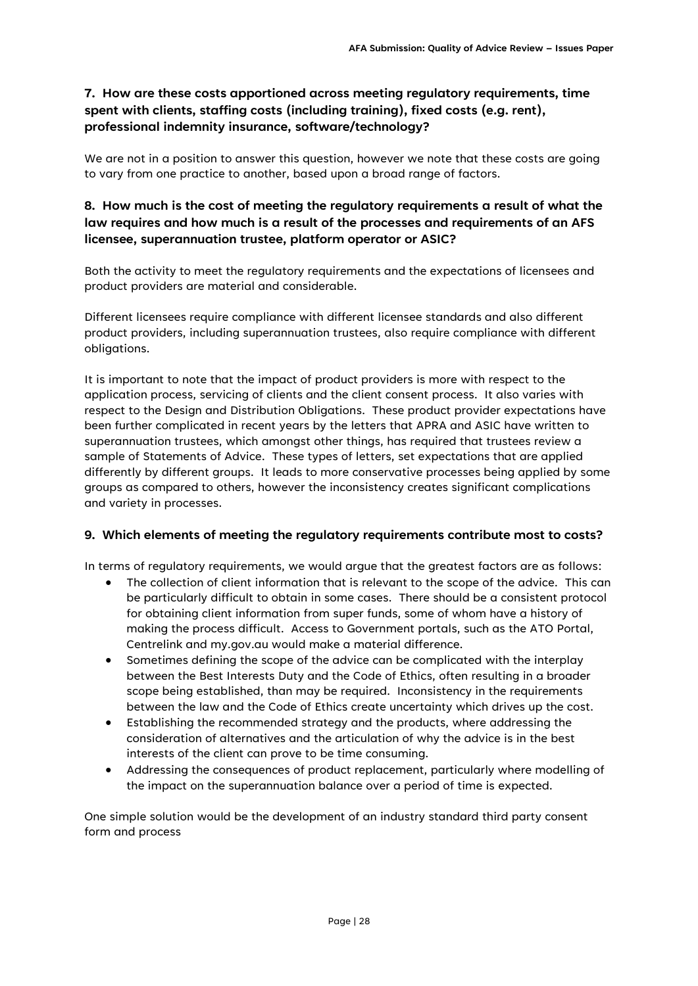# **7. How are these costs apportioned across meeting regulatory requirements, time spent with clients, staffing costs (including training), fixed costs (e.g. rent), professional indemnity insurance, software/technology?**

We are not in a position to answer this question, however we note that these costs are going to vary from one practice to another, based upon a broad range of factors.

# **8. How much is the cost of meeting the regulatory requirements a result of what the law requires and how much is a result of the processes and requirements of an AFS licensee, superannuation trustee, platform operator or ASIC?**

Both the activity to meet the regulatory requirements and the expectations of licensees and product providers are material and considerable.

Different licensees require compliance with different licensee standards and also different product providers, including superannuation trustees, also require compliance with different obligations.

It is important to note that the impact of product providers is more with respect to the application process, servicing of clients and the client consent process. It also varies with respect to the Design and Distribution Obligations. These product provider expectations have been further complicated in recent years by the letters that APRA and ASIC have written to superannuation trustees, which amongst other things, has required that trustees review a sample of Statements of Advice. These types of letters, set expectations that are applied differently by different groups. It leads to more conservative processes being applied by some groups as compared to others, however the inconsistency creates significant complications and variety in processes.

### **9. Which elements of meeting the regulatory requirements contribute most to costs?**

In terms of regulatory requirements, we would argue that the greatest factors are as follows:

- The collection of client information that is relevant to the scope of the advice. This can be particularly difficult to obtain in some cases. There should be a consistent protocol for obtaining client information from super funds, some of whom have a history of making the process difficult. Access to Government portals, such as the ATO Portal, Centrelink and my.gov.au would make a material difference.
- Sometimes defining the scope of the advice can be complicated with the interplay between the Best Interests Duty and the Code of Ethics, often resulting in a broader scope being established, than may be required. Inconsistency in the requirements between the law and the Code of Ethics create uncertainty which drives up the cost.
- Establishing the recommended strategy and the products, where addressing the consideration of alternatives and the articulation of why the advice is in the best interests of the client can prove to be time consuming.
- Addressing the consequences of product replacement, particularly where modelling of the impact on the superannuation balance over a period of time is expected.

One simple solution would be the development of an industry standard third party consent form and process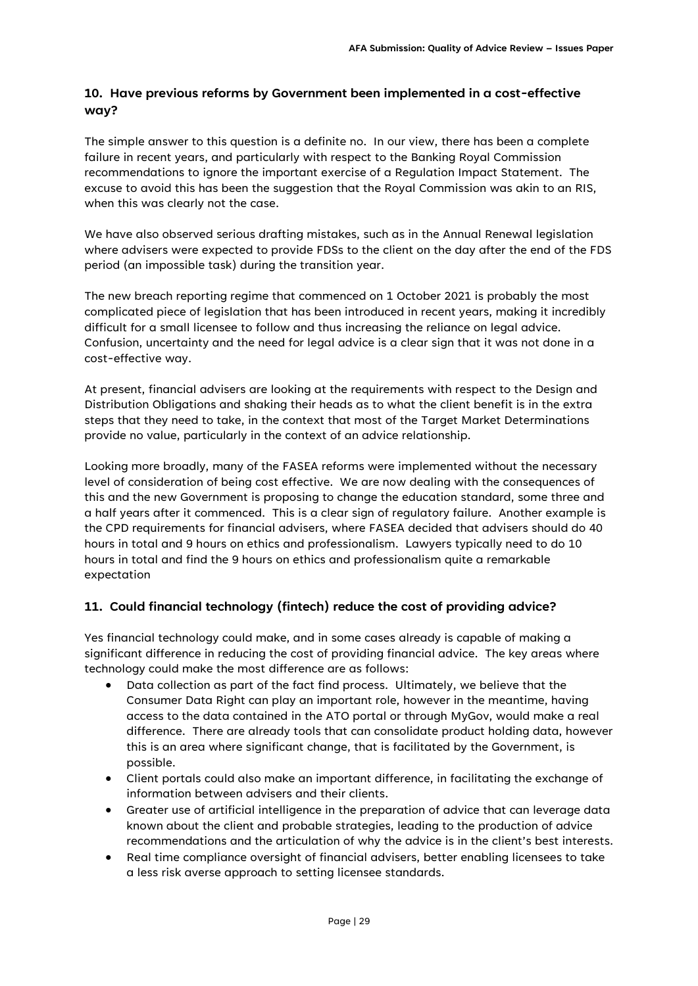# **10. Have previous reforms by Government been implemented in a cost-effective way?**

The simple answer to this question is a definite no. In our view, there has been a complete failure in recent years, and particularly with respect to the Banking Royal Commission recommendations to ignore the important exercise of a Regulation Impact Statement. The excuse to avoid this has been the suggestion that the Royal Commission was akin to an RIS, when this was clearly not the case.

We have also observed serious drafting mistakes, such as in the Annual Renewal legislation where advisers were expected to provide FDSs to the client on the day after the end of the FDS period (an impossible task) during the transition year.

The new breach reporting regime that commenced on 1 October 2021 is probably the most complicated piece of legislation that has been introduced in recent years, making it incredibly difficult for a small licensee to follow and thus increasing the reliance on legal advice. Confusion, uncertainty and the need for legal advice is a clear sign that it was not done in a cost-effective way.

At present, financial advisers are looking at the requirements with respect to the Design and Distribution Obligations and shaking their heads as to what the client benefit is in the extra steps that they need to take, in the context that most of the Target Market Determinations provide no value, particularly in the context of an advice relationship.

Looking more broadly, many of the FASEA reforms were implemented without the necessary level of consideration of being cost effective. We are now dealing with the consequences of this and the new Government is proposing to change the education standard, some three and a half years after it commenced. This is a clear sign of regulatory failure. Another example is the CPD requirements for financial advisers, where FASEA decided that advisers should do 40 hours in total and 9 hours on ethics and professionalism. Lawyers typically need to do 10 hours in total and find the 9 hours on ethics and professionalism quite a remarkable expectation

# **11. Could financial technology (fintech) reduce the cost of providing advice?**

Yes financial technology could make, and in some cases already is capable of making a significant difference in reducing the cost of providing financial advice. The key areas where technology could make the most difference are as follows:

- Data collection as part of the fact find process. Ultimately, we believe that the Consumer Data Right can play an important role, however in the meantime, having access to the data contained in the ATO portal or through MyGov, would make a real difference. There are already tools that can consolidate product holding data, however this is an area where significant change, that is facilitated by the Government, is possible.
- Client portals could also make an important difference, in facilitating the exchange of information between advisers and their clients.
- Greater use of artificial intelligence in the preparation of advice that can leverage data known about the client and probable strategies, leading to the production of advice recommendations and the articulation of why the advice is in the client's best interests.
- Real time compliance oversight of financial advisers, better enabling licensees to take a less risk averse approach to setting licensee standards.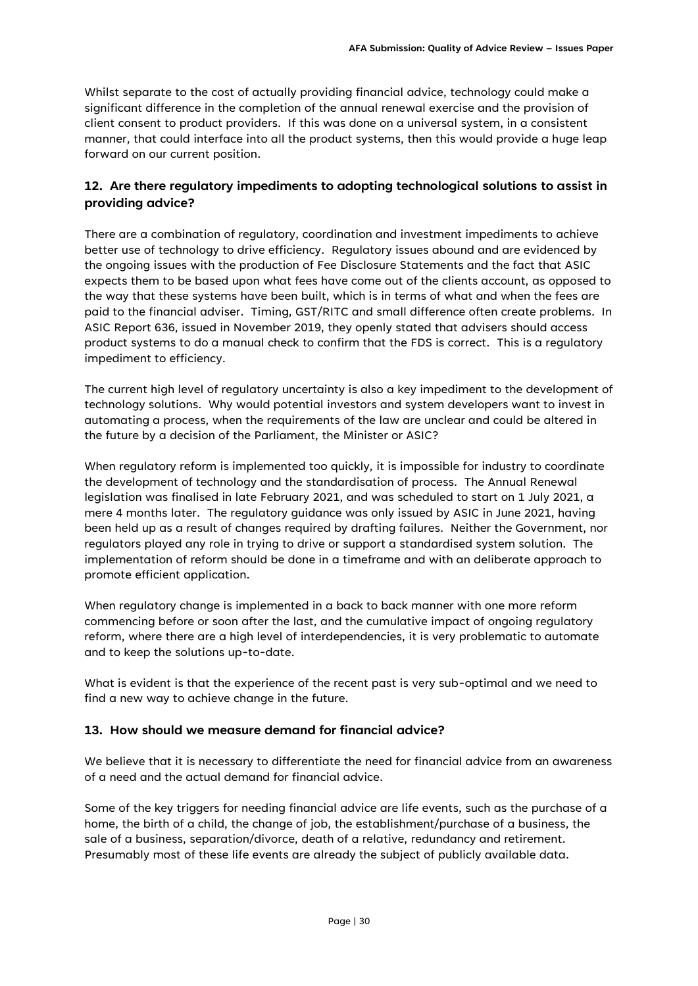Whilst separate to the cost of actually providing financial advice, technology could make a significant difference in the completion of the annual renewal exercise and the provision of client consent to product providers. If this was done on a universal system, in a consistent manner, that could interface into all the product systems, then this would provide a huge leap forward on our current position.

## **12. Are there regulatory impediments to adopting technological solutions to assist in providing advice?**

There are a combination of regulatory, coordination and investment impediments to achieve better use of technology to drive efficiency. Regulatory issues abound and are evidenced by the ongoing issues with the production of Fee Disclosure Statements and the fact that ASIC expects them to be based upon what fees have come out of the clients account, as opposed to the way that these systems have been built, which is in terms of what and when the fees are paid to the financial adviser. Timing, GST/RITC and small difference often create problems. In ASIC Report 636, issued in November 2019, they openly stated that advisers should access product systems to do a manual check to confirm that the FDS is correct. This is a regulatory impediment to efficiency.

The current high level of regulatory uncertainty is also a key impediment to the development of technology solutions. Why would potential investors and system developers want to invest in automating a process, when the requirements of the law are unclear and could be altered in the future by a decision of the Parliament, the Minister or ASIC?

When regulatory reform is implemented too quickly, it is impossible for industry to coordinate the development of technology and the standardisation of process. The Annual Renewal legislation was finalised in late February 2021, and was scheduled to start on 1 July 2021, a mere 4 months later. The regulatory guidance was only issued by ASIC in June 2021, having been held up as a result of changes required by drafting failures. Neither the Government, nor regulators played any role in trying to drive or support a standardised system solution. The implementation of reform should be done in a timeframe and with an deliberate approach to promote efficient application.

When regulatory change is implemented in a back to back manner with one more reform commencing before or soon after the last, and the cumulative impact of ongoing regulatory reform, where there are a high level of interdependencies, it is very problematic to automate and to keep the solutions up-to-date.

What is evident is that the experience of the recent past is very sub-optimal and we need to find a new way to achieve change in the future.

### **13. How should we measure demand for financial advice?**

We believe that it is necessary to differentiate the need for financial advice from an awareness of a need and the actual demand for financial advice.

Some of the key triggers for needing financial advice are life events, such as the purchase of a home, the birth of a child, the change of job, the establishment/purchase of a business, the sale of a business, separation/divorce, death of a relative, redundancy and retirement. Presumably most of these life events are already the subject of publicly available data.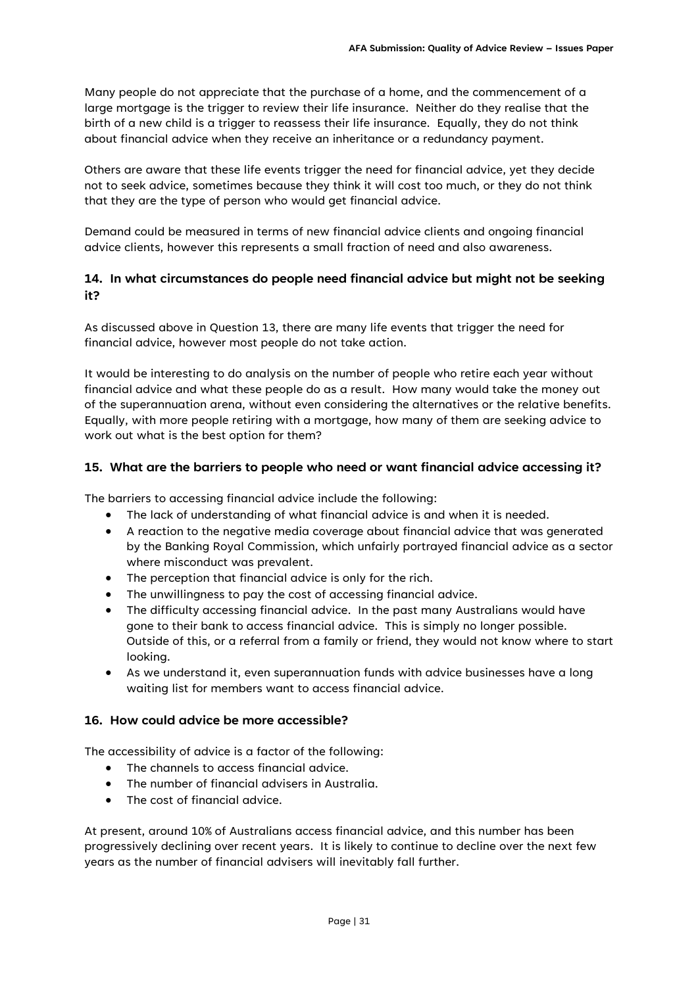Many people do not appreciate that the purchase of a home, and the commencement of a large mortgage is the trigger to review their life insurance. Neither do they realise that the birth of a new child is a trigger to reassess their life insurance. Equally, they do not think about financial advice when they receive an inheritance or a redundancy payment.

Others are aware that these life events trigger the need for financial advice, yet they decide not to seek advice, sometimes because they think it will cost too much, or they do not think that they are the type of person who would get financial advice.

Demand could be measured in terms of new financial advice clients and ongoing financial advice clients, however this represents a small fraction of need and also awareness.

### **14. In what circumstances do people need financial advice but might not be seeking it?**

As discussed above in Question 13, there are many life events that trigger the need for financial advice, however most people do not take action.

It would be interesting to do analysis on the number of people who retire each year without financial advice and what these people do as a result. How many would take the money out of the superannuation arena, without even considering the alternatives or the relative benefits. Equally, with more people retiring with a mortgage, how many of them are seeking advice to work out what is the best option for them?

#### **15. What are the barriers to people who need or want financial advice accessing it?**

The barriers to accessing financial advice include the following:

- The lack of understanding of what financial advice is and when it is needed.
- A reaction to the negative media coverage about financial advice that was generated by the Banking Royal Commission, which unfairly portrayed financial advice as a sector where misconduct was prevalent.
- The perception that financial advice is only for the rich.
- The unwillingness to pay the cost of accessing financial advice.
- The difficulty accessing financial advice. In the past many Australians would have gone to their bank to access financial advice. This is simply no longer possible. Outside of this, or a referral from a family or friend, they would not know where to start looking.
- As we understand it, even superannuation funds with advice businesses have a long waiting list for members want to access financial advice.

#### **16. How could advice be more accessible?**

The accessibility of advice is a factor of the following:

- The channels to access financial advice.
- The number of financial advisers in Australia.
- The cost of financial advice.

At present, around 10% of Australians access financial advice, and this number has been progressively declining over recent years. It is likely to continue to decline over the next few years as the number of financial advisers will inevitably fall further.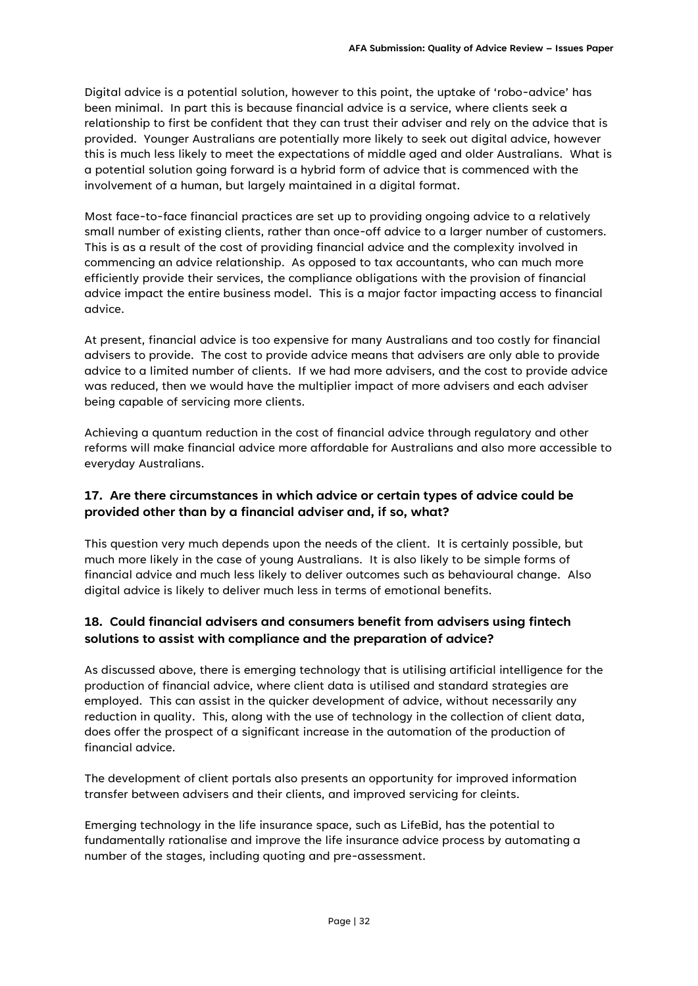Digital advice is a potential solution, however to this point, the uptake of 'robo-advice' has been minimal. In part this is because financial advice is a service, where clients seek a relationship to first be confident that they can trust their adviser and rely on the advice that is provided. Younger Australians are potentially more likely to seek out digital advice, however this is much less likely to meet the expectations of middle aged and older Australians. What is a potential solution going forward is a hybrid form of advice that is commenced with the involvement of a human, but largely maintained in a digital format.

Most face-to-face financial practices are set up to providing ongoing advice to a relatively small number of existing clients, rather than once-off advice to a larger number of customers. This is as a result of the cost of providing financial advice and the complexity involved in commencing an advice relationship. As opposed to tax accountants, who can much more efficiently provide their services, the compliance obligations with the provision of financial advice impact the entire business model. This is a major factor impacting access to financial advice.

At present, financial advice is too expensive for many Australians and too costly for financial advisers to provide. The cost to provide advice means that advisers are only able to provide advice to a limited number of clients. If we had more advisers, and the cost to provide advice was reduced, then we would have the multiplier impact of more advisers and each adviser being capable of servicing more clients.

Achieving a quantum reduction in the cost of financial advice through regulatory and other reforms will make financial advice more affordable for Australians and also more accessible to everyday Australians.

# **17. Are there circumstances in which advice or certain types of advice could be provided other than by a financial adviser and, if so, what?**

This question very much depends upon the needs of the client. It is certainly possible, but much more likely in the case of young Australians. It is also likely to be simple forms of financial advice and much less likely to deliver outcomes such as behavioural change. Also digital advice is likely to deliver much less in terms of emotional benefits.

# **18. Could financial advisers and consumers benefit from advisers using fintech solutions to assist with compliance and the preparation of advice?**

As discussed above, there is emerging technology that is utilising artificial intelligence for the production of financial advice, where client data is utilised and standard strategies are employed. This can assist in the quicker development of advice, without necessarily any reduction in quality. This, along with the use of technology in the collection of client data, does offer the prospect of a significant increase in the automation of the production of financial advice.

The development of client portals also presents an opportunity for improved information transfer between advisers and their clients, and improved servicing for cleints.

Emerging technology in the life insurance space, such as LifeBid, has the potential to fundamentally rationalise and improve the life insurance advice process by automating a number of the stages, including quoting and pre-assessment.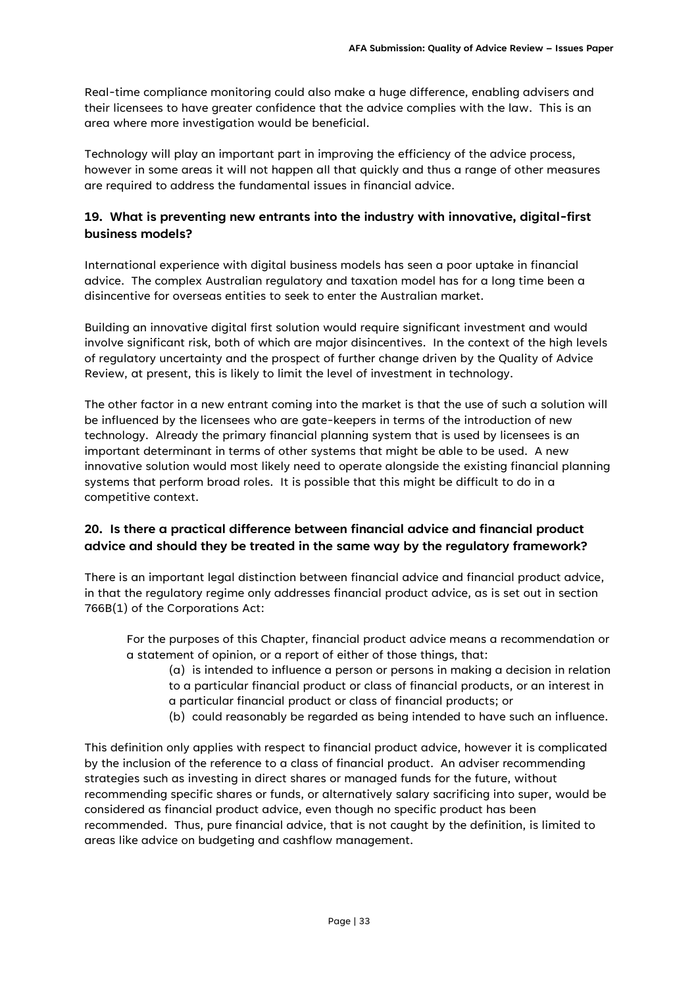Real-time compliance monitoring could also make a huge difference, enabling advisers and their licensees to have greater confidence that the advice complies with the law. This is an area where more investigation would be beneficial.

Technology will play an important part in improving the efficiency of the advice process, however in some areas it will not happen all that quickly and thus a range of other measures are required to address the fundamental issues in financial advice.

# **19. What is preventing new entrants into the industry with innovative, digital-first business models?**

International experience with digital business models has seen a poor uptake in financial advice. The complex Australian regulatory and taxation model has for a long time been a disincentive for overseas entities to seek to enter the Australian market.

Building an innovative digital first solution would require significant investment and would involve significant risk, both of which are major disincentives. In the context of the high levels of regulatory uncertainty and the prospect of further change driven by the Quality of Advice Review, at present, this is likely to limit the level of investment in technology.

The other factor in a new entrant coming into the market is that the use of such a solution will be influenced by the licensees who are gate-keepers in terms of the introduction of new technology. Already the primary financial planning system that is used by licensees is an important determinant in terms of other systems that might be able to be used. A new innovative solution would most likely need to operate alongside the existing financial planning systems that perform broad roles. It is possible that this might be difficult to do in a competitive context.

# **20. Is there a practical difference between financial advice and financial product advice and should they be treated in the same way by the regulatory framework?**

There is an important legal distinction between financial advice and financial product advice, in that the regulatory regime only addresses financial product advice, as is set out in section 766B(1) of the Corporations Act:

For the purposes of this Chapter, financial product advice means a recommendation or a statement of opinion, or a report of either of those things, that:

(a) is intended to influence a person or persons in making a decision in relation to a particular financial product or class of financial products, or an interest in a particular financial product or class of financial products; or

(b) could reasonably be regarded as being intended to have such an influence.

This definition only applies with respect to financial product advice, however it is complicated by the inclusion of the reference to a class of financial product. An adviser recommending strategies such as investing in direct shares or managed funds for the future, without recommending specific shares or funds, or alternatively salary sacrificing into super, would be considered as financial product advice, even though no specific product has been recommended. Thus, pure financial advice, that is not caught by the definition, is limited to areas like advice on budgeting and cashflow management.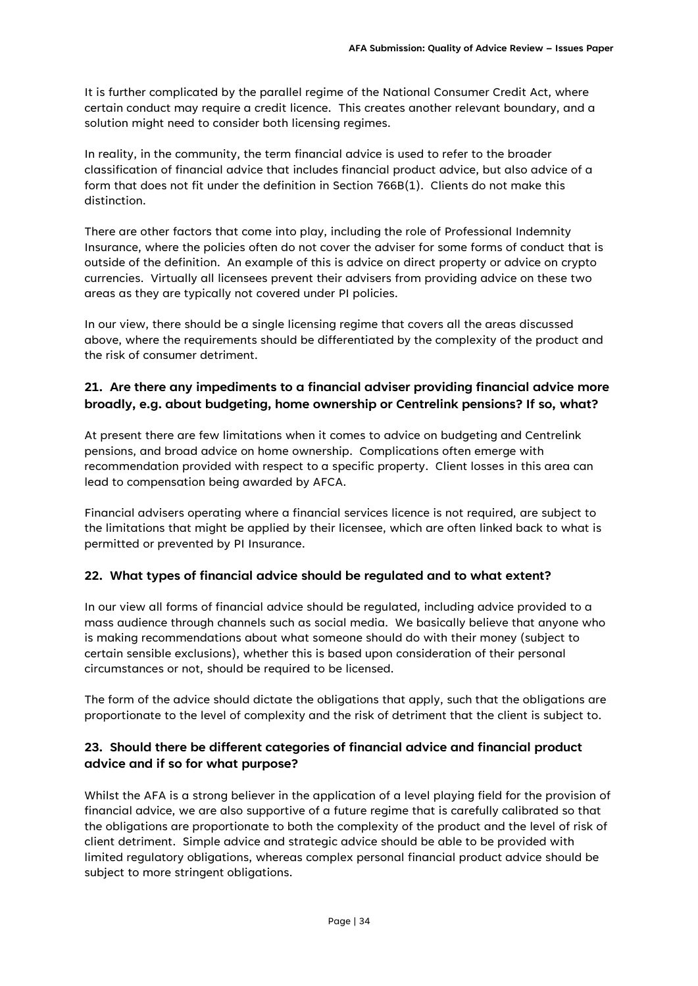It is further complicated by the parallel regime of the National Consumer Credit Act, where certain conduct may require a credit licence. This creates another relevant boundary, and a solution might need to consider both licensing regimes.

In reality, in the community, the term financial advice is used to refer to the broader classification of financial advice that includes financial product advice, but also advice of a form that does not fit under the definition in Section 766B(1). Clients do not make this distinction.

There are other factors that come into play, including the role of Professional Indemnity Insurance, where the policies often do not cover the adviser for some forms of conduct that is outside of the definition. An example of this is advice on direct property or advice on crypto currencies. Virtually all licensees prevent their advisers from providing advice on these two areas as they are typically not covered under PI policies.

In our view, there should be a single licensing regime that covers all the areas discussed above, where the requirements should be differentiated by the complexity of the product and the risk of consumer detriment.

# **21. Are there any impediments to a financial adviser providing financial advice more broadly, e.g. about budgeting, home ownership or Centrelink pensions? If so, what?**

At present there are few limitations when it comes to advice on budgeting and Centrelink pensions, and broad advice on home ownership. Complications often emerge with recommendation provided with respect to a specific property. Client losses in this area can lead to compensation being awarded by AFCA.

Financial advisers operating where a financial services licence is not required, are subject to the limitations that might be applied by their licensee, which are often linked back to what is permitted or prevented by PI Insurance.

### **22. What types of financial advice should be regulated and to what extent?**

In our view all forms of financial advice should be regulated, including advice provided to a mass audience through channels such as social media. We basically believe that anyone who is making recommendations about what someone should do with their money (subject to certain sensible exclusions), whether this is based upon consideration of their personal circumstances or not, should be required to be licensed.

The form of the advice should dictate the obligations that apply, such that the obligations are proportionate to the level of complexity and the risk of detriment that the client is subject to.

# **23. Should there be different categories of financial advice and financial product advice and if so for what purpose?**

Whilst the AFA is a strong believer in the application of a level playing field for the provision of financial advice, we are also supportive of a future regime that is carefully calibrated so that the obligations are proportionate to both the complexity of the product and the level of risk of client detriment. Simple advice and strategic advice should be able to be provided with limited regulatory obligations, whereas complex personal financial product advice should be subject to more stringent obligations.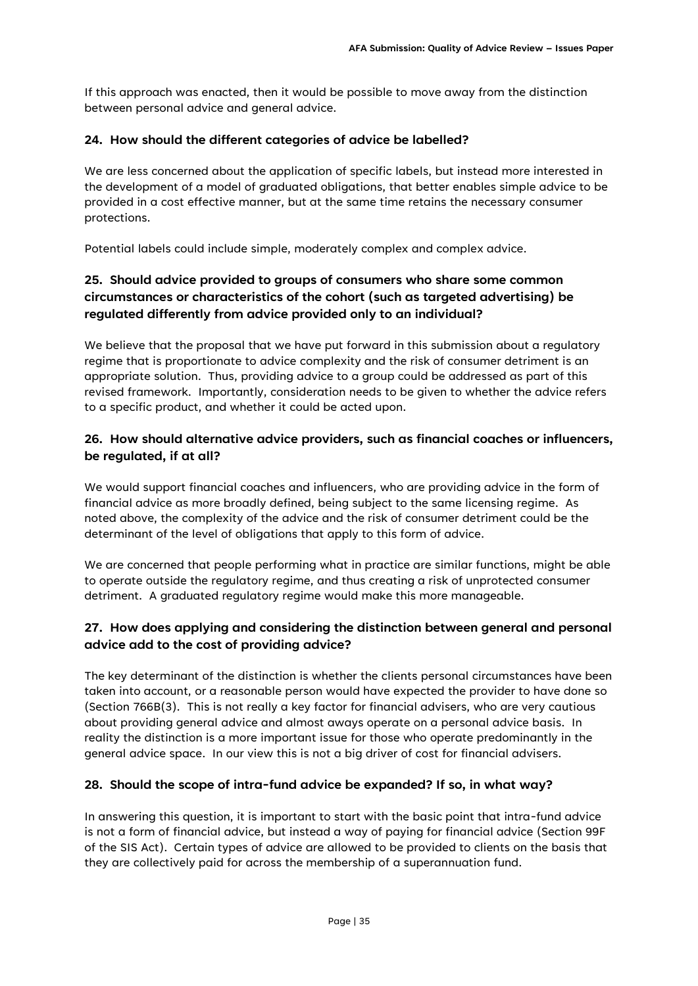If this approach was enacted, then it would be possible to move away from the distinction between personal advice and general advice.

#### **24. How should the different categories of advice be labelled?**

We are less concerned about the application of specific labels, but instead more interested in the development of a model of graduated obligations, that better enables simple advice to be provided in a cost effective manner, but at the same time retains the necessary consumer protections.

Potential labels could include simple, moderately complex and complex advice.

# **25. Should advice provided to groups of consumers who share some common circumstances or characteristics of the cohort (such as targeted advertising) be regulated differently from advice provided only to an individual?**

We believe that the proposal that we have put forward in this submission about a regulatory regime that is proportionate to advice complexity and the risk of consumer detriment is an appropriate solution. Thus, providing advice to a group could be addressed as part of this revised framework. Importantly, consideration needs to be given to whether the advice refers to a specific product, and whether it could be acted upon.

# **26. How should alternative advice providers, such as financial coaches or influencers, be regulated, if at all?**

We would support financial coaches and influencers, who are providing advice in the form of financial advice as more broadly defined, being subject to the same licensing regime. As noted above, the complexity of the advice and the risk of consumer detriment could be the determinant of the level of obligations that apply to this form of advice.

We are concerned that people performing what in practice are similar functions, might be able to operate outside the regulatory regime, and thus creating a risk of unprotected consumer detriment. A graduated regulatory regime would make this more manageable.

# **27. How does applying and considering the distinction between general and personal advice add to the cost of providing advice?**

The key determinant of the distinction is whether the clients personal circumstances have been taken into account, or a reasonable person would have expected the provider to have done so (Section 766B(3). This is not really a key factor for financial advisers, who are very cautious about providing general advice and almost aways operate on a personal advice basis. In reality the distinction is a more important issue for those who operate predominantly in the general advice space. In our view this is not a big driver of cost for financial advisers.

### **28. Should the scope of intra-fund advice be expanded? If so, in what way?**

In answering this question, it is important to start with the basic point that intra-fund advice is not a form of financial advice, but instead a way of paying for financial advice (Section 99F of the SIS Act). Certain types of advice are allowed to be provided to clients on the basis that they are collectively paid for across the membership of a superannuation fund.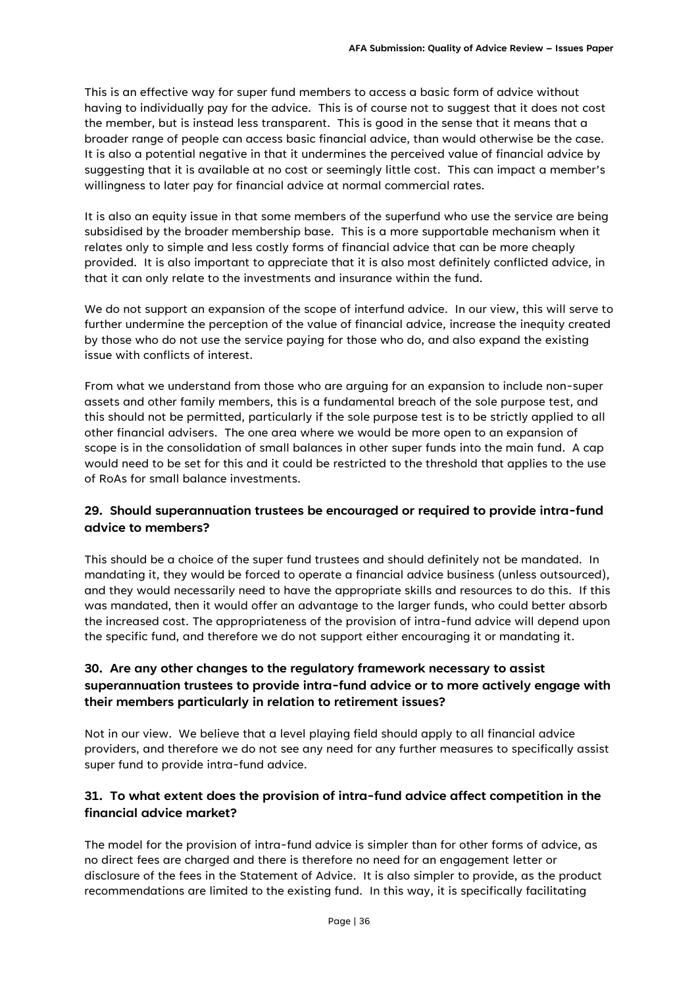This is an effective way for super fund members to access a basic form of advice without having to individually pay for the advice. This is of course not to suggest that it does not cost the member, but is instead less transparent. This is good in the sense that it means that a broader range of people can access basic financial advice, than would otherwise be the case. It is also a potential negative in that it undermines the perceived value of financial advice by suggesting that it is available at no cost or seemingly little cost. This can impact a member's willingness to later pay for financial advice at normal commercial rates.

It is also an equity issue in that some members of the superfund who use the service are being subsidised by the broader membership base. This is a more supportable mechanism when it relates only to simple and less costly forms of financial advice that can be more cheaply provided. It is also important to appreciate that it is also most definitely conflicted advice, in that it can only relate to the investments and insurance within the fund.

We do not support an expansion of the scope of interfund advice. In our view, this will serve to further undermine the perception of the value of financial advice, increase the inequity created by those who do not use the service paying for those who do, and also expand the existing issue with conflicts of interest.

From what we understand from those who are arguing for an expansion to include non-super assets and other family members, this is a fundamental breach of the sole purpose test, and this should not be permitted, particularly if the sole purpose test is to be strictly applied to all other financial advisers. The one area where we would be more open to an expansion of scope is in the consolidation of small balances in other super funds into the main fund. A cap would need to be set for this and it could be restricted to the threshold that applies to the use of RoAs for small balance investments.

# **29. Should superannuation trustees be encouraged or required to provide intra-fund advice to members?**

This should be a choice of the super fund trustees and should definitely not be mandated. In mandating it, they would be forced to operate a financial advice business (unless outsourced), and they would necessarily need to have the appropriate skills and resources to do this. If this was mandated, then it would offer an advantage to the larger funds, who could better absorb the increased cost. The appropriateness of the provision of intra-fund advice will depend upon the specific fund, and therefore we do not support either encouraging it or mandating it.

# **30. Are any other changes to the regulatory framework necessary to assist superannuation trustees to provide intra-fund advice or to more actively engage with their members particularly in relation to retirement issues?**

Not in our view. We believe that a level playing field should apply to all financial advice providers, and therefore we do not see any need for any further measures to specifically assist super fund to provide intra-fund advice.

# **31. To what extent does the provision of intra-fund advice affect competition in the financial advice market?**

The model for the provision of intra-fund advice is simpler than for other forms of advice, as no direct fees are charged and there is therefore no need for an engagement letter or disclosure of the fees in the Statement of Advice. It is also simpler to provide, as the product recommendations are limited to the existing fund. In this way, it is specifically facilitating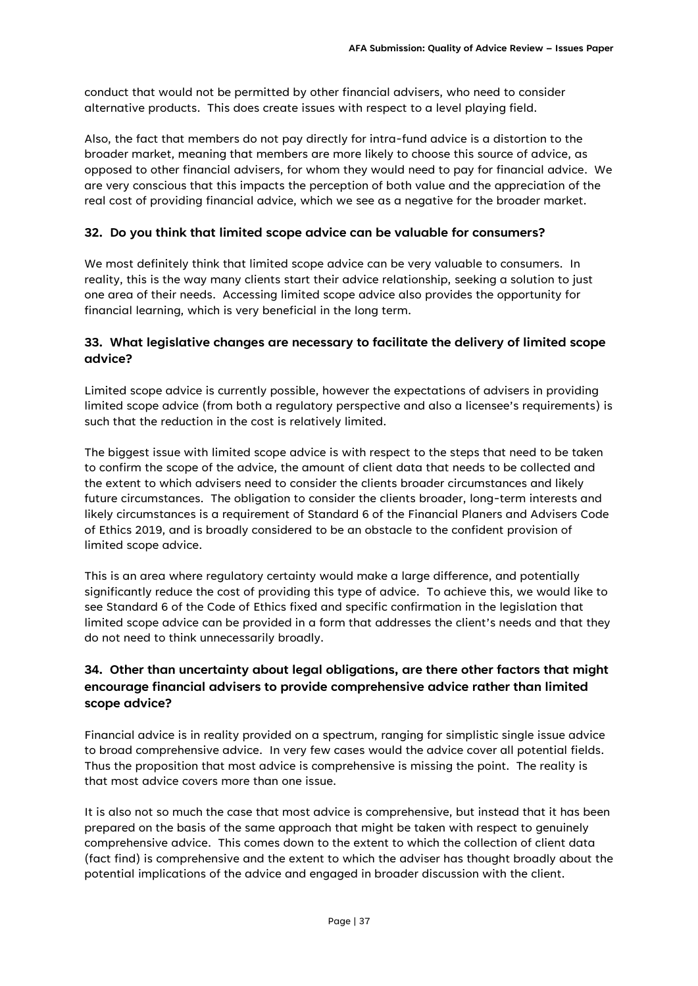conduct that would not be permitted by other financial advisers, who need to consider alternative products. This does create issues with respect to a level playing field.

Also, the fact that members do not pay directly for intra-fund advice is a distortion to the broader market, meaning that members are more likely to choose this source of advice, as opposed to other financial advisers, for whom they would need to pay for financial advice. We are very conscious that this impacts the perception of both value and the appreciation of the real cost of providing financial advice, which we see as a negative for the broader market.

### **32. Do you think that limited scope advice can be valuable for consumers?**

We most definitely think that limited scope advice can be very valuable to consumers. In reality, this is the way many clients start their advice relationship, seeking a solution to just one area of their needs. Accessing limited scope advice also provides the opportunity for financial learning, which is very beneficial in the long term.

### **33. What legislative changes are necessary to facilitate the delivery of limited scope advice?**

Limited scope advice is currently possible, however the expectations of advisers in providing limited scope advice (from both a regulatory perspective and also a licensee's requirements) is such that the reduction in the cost is relatively limited.

The biggest issue with limited scope advice is with respect to the steps that need to be taken to confirm the scope of the advice, the amount of client data that needs to be collected and the extent to which advisers need to consider the clients broader circumstances and likely future circumstances. The obligation to consider the clients broader, long-term interests and likely circumstances is a requirement of Standard 6 of the Financial Planers and Advisers Code of Ethics 2019, and is broadly considered to be an obstacle to the confident provision of limited scope advice.

This is an area where regulatory certainty would make a large difference, and potentially significantly reduce the cost of providing this type of advice. To achieve this, we would like to see Standard 6 of the Code of Ethics fixed and specific confirmation in the legislation that limited scope advice can be provided in a form that addresses the client's needs and that they do not need to think unnecessarily broadly.

# **34. Other than uncertainty about legal obligations, are there other factors that might encourage financial advisers to provide comprehensive advice rather than limited scope advice?**

Financial advice is in reality provided on a spectrum, ranging for simplistic single issue advice to broad comprehensive advice. In very few cases would the advice cover all potential fields. Thus the proposition that most advice is comprehensive is missing the point. The reality is that most advice covers more than one issue.

It is also not so much the case that most advice is comprehensive, but instead that it has been prepared on the basis of the same approach that might be taken with respect to genuinely comprehensive advice. This comes down to the extent to which the collection of client data (fact find) is comprehensive and the extent to which the adviser has thought broadly about the potential implications of the advice and engaged in broader discussion with the client.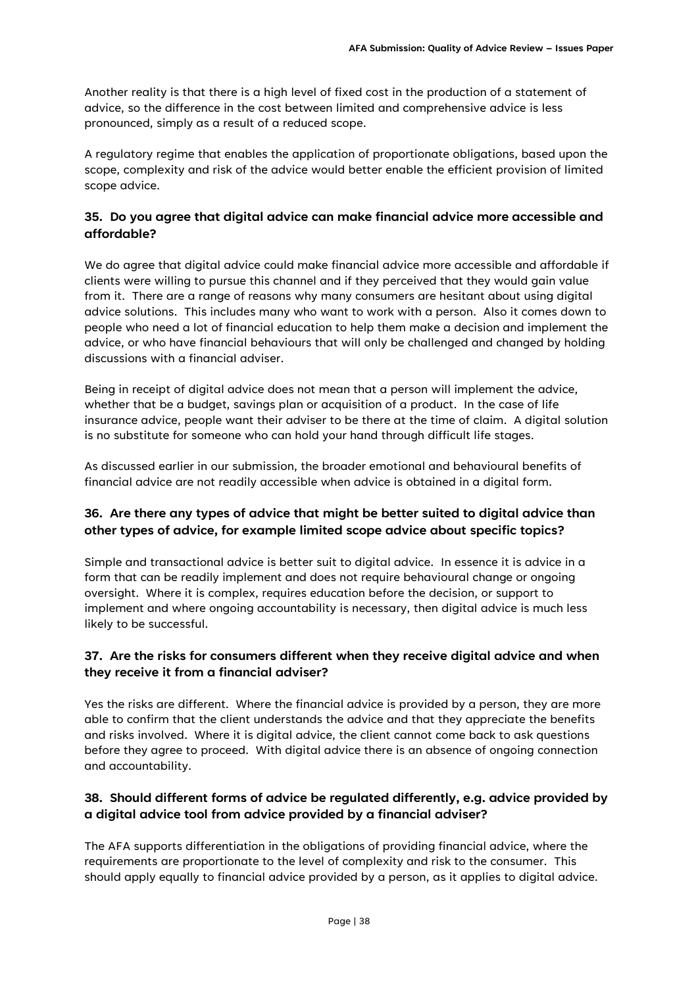Another reality is that there is a high level of fixed cost in the production of a statement of advice, so the difference in the cost between limited and comprehensive advice is less pronounced, simply as a result of a reduced scope.

A regulatory regime that enables the application of proportionate obligations, based upon the scope, complexity and risk of the advice would better enable the efficient provision of limited scope advice.

# **35. Do you agree that digital advice can make financial advice more accessible and affordable?**

We do agree that digital advice could make financial advice more accessible and affordable if clients were willing to pursue this channel and if they perceived that they would gain value from it. There are a range of reasons why many consumers are hesitant about using digital advice solutions. This includes many who want to work with a person. Also it comes down to people who need a lot of financial education to help them make a decision and implement the advice, or who have financial behaviours that will only be challenged and changed by holding discussions with a financial adviser.

Being in receipt of digital advice does not mean that a person will implement the advice, whether that be a budget, savings plan or acquisition of a product. In the case of life insurance advice, people want their adviser to be there at the time of claim. A digital solution is no substitute for someone who can hold your hand through difficult life stages.

As discussed earlier in our submission, the broader emotional and behavioural benefits of financial advice are not readily accessible when advice is obtained in a digital form.

# **36. Are there any types of advice that might be better suited to digital advice than other types of advice, for example limited scope advice about specific topics?**

Simple and transactional advice is better suit to digital advice. In essence it is advice in a form that can be readily implement and does not require behavioural change or ongoing oversight. Where it is complex, requires education before the decision, or support to implement and where ongoing accountability is necessary, then digital advice is much less likely to be successful.

# **37. Are the risks for consumers different when they receive digital advice and when they receive it from a financial adviser?**

Yes the risks are different. Where the financial advice is provided by a person, they are more able to confirm that the client understands the advice and that they appreciate the benefits and risks involved. Where it is digital advice, the client cannot come back to ask questions before they agree to proceed. With digital advice there is an absence of ongoing connection and accountability.

# **38. Should different forms of advice be regulated differently, e.g. advice provided by a digital advice tool from advice provided by a financial adviser?**

The AFA supports differentiation in the obligations of providing financial advice, where the requirements are proportionate to the level of complexity and risk to the consumer. This should apply equally to financial advice provided by a person, as it applies to digital advice.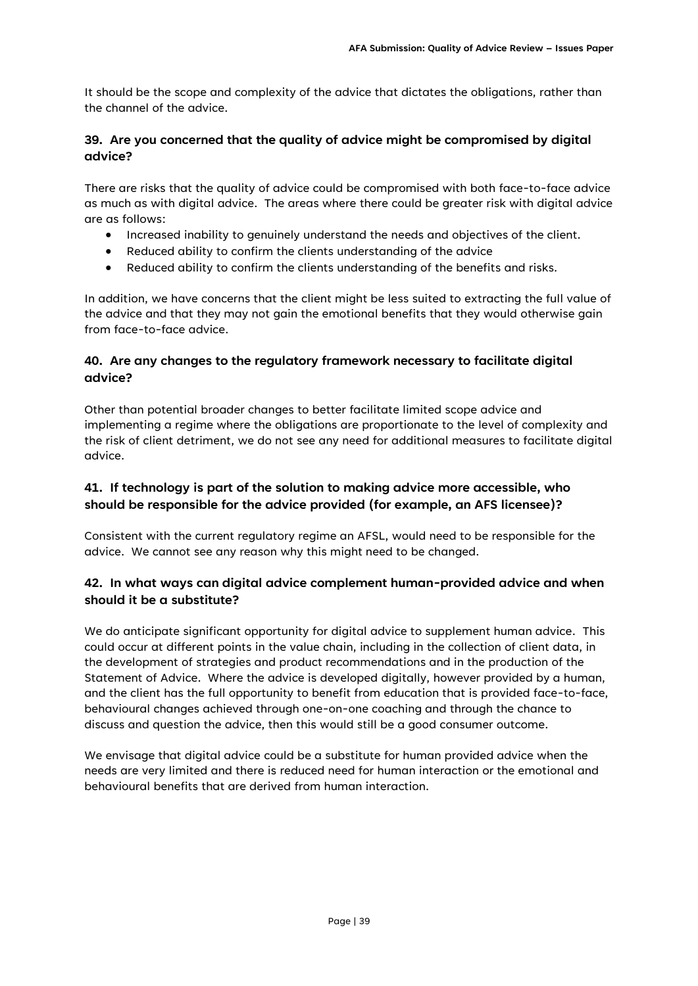It should be the scope and complexity of the advice that dictates the obligations, rather than the channel of the advice.

### **39. Are you concerned that the quality of advice might be compromised by digital advice?**

There are risks that the quality of advice could be compromised with both face-to-face advice as much as with digital advice. The areas where there could be greater risk with digital advice are as follows:

- Increased inability to genuinely understand the needs and objectives of the client.
- Reduced ability to confirm the clients understanding of the advice
- Reduced ability to confirm the clients understanding of the benefits and risks.

In addition, we have concerns that the client might be less suited to extracting the full value of the advice and that they may not gain the emotional benefits that they would otherwise gain from face-to-face advice.

### **40. Are any changes to the regulatory framework necessary to facilitate digital advice?**

Other than potential broader changes to better facilitate limited scope advice and implementing a regime where the obligations are proportionate to the level of complexity and the risk of client detriment, we do not see any need for additional measures to facilitate digital advice.

## **41. If technology is part of the solution to making advice more accessible, who should be responsible for the advice provided (for example, an AFS licensee)?**

Consistent with the current regulatory regime an AFSL, would need to be responsible for the advice. We cannot see any reason why this might need to be changed.

### **42. In what ways can digital advice complement human-provided advice and when should it be a substitute?**

We do anticipate significant opportunity for digital advice to supplement human advice. This could occur at different points in the value chain, including in the collection of client data, in the development of strategies and product recommendations and in the production of the Statement of Advice. Where the advice is developed digitally, however provided by a human, and the client has the full opportunity to benefit from education that is provided face-to-face, behavioural changes achieved through one-on-one coaching and through the chance to discuss and question the advice, then this would still be a good consumer outcome.

We envisage that digital advice could be a substitute for human provided advice when the needs are very limited and there is reduced need for human interaction or the emotional and behavioural benefits that are derived from human interaction.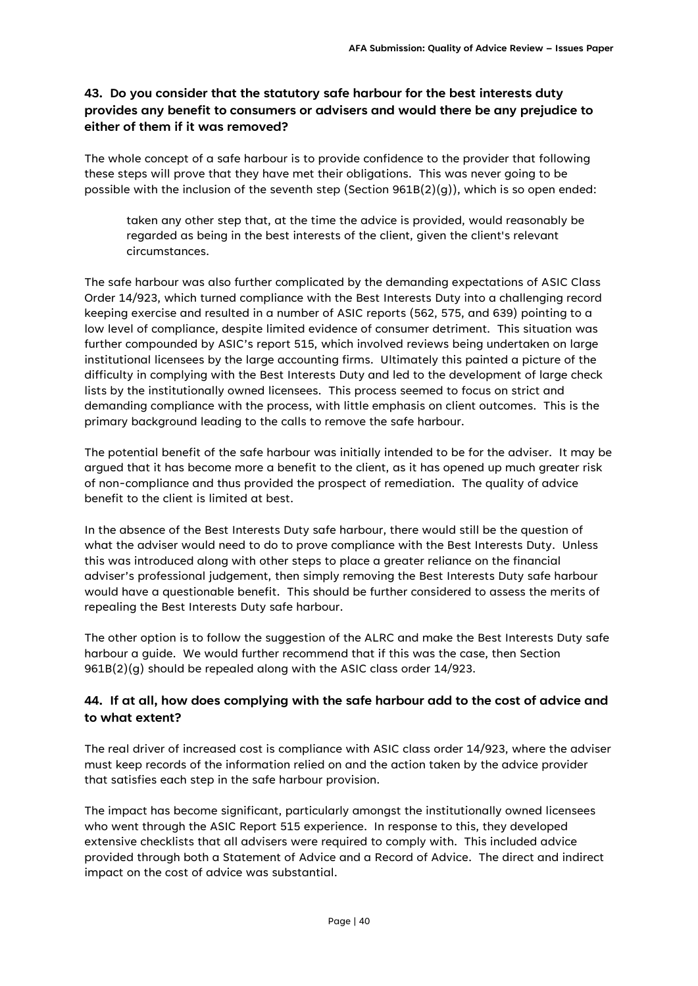# **43. Do you consider that the statutory safe harbour for the best interests duty provides any benefit to consumers or advisers and would there be any prejudice to either of them if it was removed?**

The whole concept of a safe harbour is to provide confidence to the provider that following these steps will prove that they have met their obligations. This was never going to be possible with the inclusion of the seventh step (Section  $961B(2)(q)$ ), which is so open ended:

taken any other step that, at the time the advice is provided, would reasonably be regarded as being in the best interests of the client, given the client's relevant circumstances.

The safe harbour was also further complicated by the demanding expectations of ASIC Class Order 14/923, which turned compliance with the Best Interests Duty into a challenging record keeping exercise and resulted in a number of ASIC reports (562, 575, and 639) pointing to a low level of compliance, despite limited evidence of consumer detriment. This situation was further compounded by ASIC's report 515, which involved reviews being undertaken on large institutional licensees by the large accounting firms. Ultimately this painted a picture of the difficulty in complying with the Best Interests Duty and led to the development of large check lists by the institutionally owned licensees. This process seemed to focus on strict and demanding compliance with the process, with little emphasis on client outcomes. This is the primary background leading to the calls to remove the safe harbour.

The potential benefit of the safe harbour was initially intended to be for the adviser. It may be argued that it has become more a benefit to the client, as it has opened up much greater risk of non-compliance and thus provided the prospect of remediation. The quality of advice benefit to the client is limited at best.

In the absence of the Best Interests Duty safe harbour, there would still be the question of what the adviser would need to do to prove compliance with the Best Interests Duty. Unless this was introduced along with other steps to place a greater reliance on the financial adviser's professional judgement, then simply removing the Best Interests Duty safe harbour would have a questionable benefit. This should be further considered to assess the merits of repealing the Best Interests Duty safe harbour.

The other option is to follow the suggestion of the ALRC and make the Best Interests Duty safe harbour a guide. We would further recommend that if this was the case, then Section 961B(2)(g) should be repealed along with the ASIC class order 14/923.

# **44. If at all, how does complying with the safe harbour add to the cost of advice and to what extent?**

The real driver of increased cost is compliance with ASIC class order 14/923, where the adviser must keep records of the information relied on and the action taken by the advice provider that satisfies each step in the safe harbour provision.

The impact has become significant, particularly amongst the institutionally owned licensees who went through the ASIC Report 515 experience. In response to this, they developed extensive checklists that all advisers were required to comply with. This included advice provided through both a Statement of Advice and a Record of Advice. The direct and indirect impact on the cost of advice was substantial.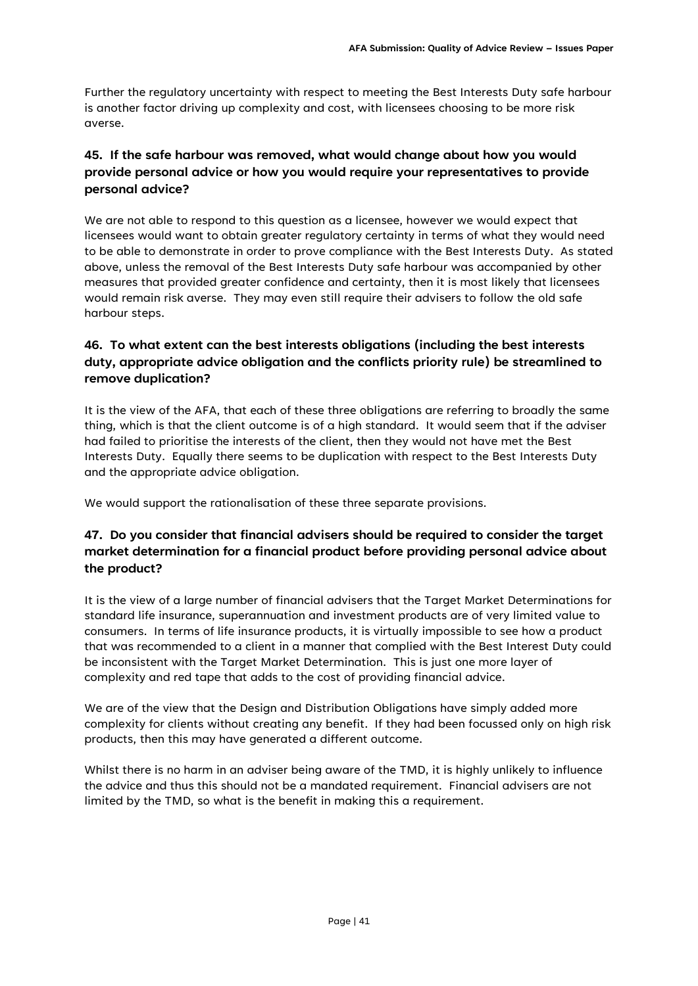Further the regulatory uncertainty with respect to meeting the Best Interests Duty safe harbour is another factor driving up complexity and cost, with licensees choosing to be more risk averse.

# **45. If the safe harbour was removed, what would change about how you would provide personal advice or how you would require your representatives to provide personal advice?**

We are not able to respond to this question as a licensee, however we would expect that licensees would want to obtain greater regulatory certainty in terms of what they would need to be able to demonstrate in order to prove compliance with the Best Interests Duty. As stated above, unless the removal of the Best Interests Duty safe harbour was accompanied by other measures that provided greater confidence and certainty, then it is most likely that licensees would remain risk averse. They may even still require their advisers to follow the old safe harbour steps.

# **46. To what extent can the best interests obligations (including the best interests duty, appropriate advice obligation and the conflicts priority rule) be streamlined to remove duplication?**

It is the view of the AFA, that each of these three obligations are referring to broadly the same thing, which is that the client outcome is of a high standard. It would seem that if the adviser had failed to prioritise the interests of the client, then they would not have met the Best Interests Duty. Equally there seems to be duplication with respect to the Best Interests Duty and the appropriate advice obligation.

We would support the rationalisation of these three separate provisions.

# **47. Do you consider that financial advisers should be required to consider the target market determination for a financial product before providing personal advice about the product?**

It is the view of a large number of financial advisers that the Target Market Determinations for standard life insurance, superannuation and investment products are of very limited value to consumers. In terms of life insurance products, it is virtually impossible to see how a product that was recommended to a client in a manner that complied with the Best Interest Duty could be inconsistent with the Target Market Determination. This is just one more layer of complexity and red tape that adds to the cost of providing financial advice.

We are of the view that the Design and Distribution Obligations have simply added more complexity for clients without creating any benefit. If they had been focussed only on high risk products, then this may have generated a different outcome.

Whilst there is no harm in an adviser being aware of the TMD, it is highly unlikely to influence the advice and thus this should not be a mandated requirement. Financial advisers are not limited by the TMD, so what is the benefit in making this a requirement.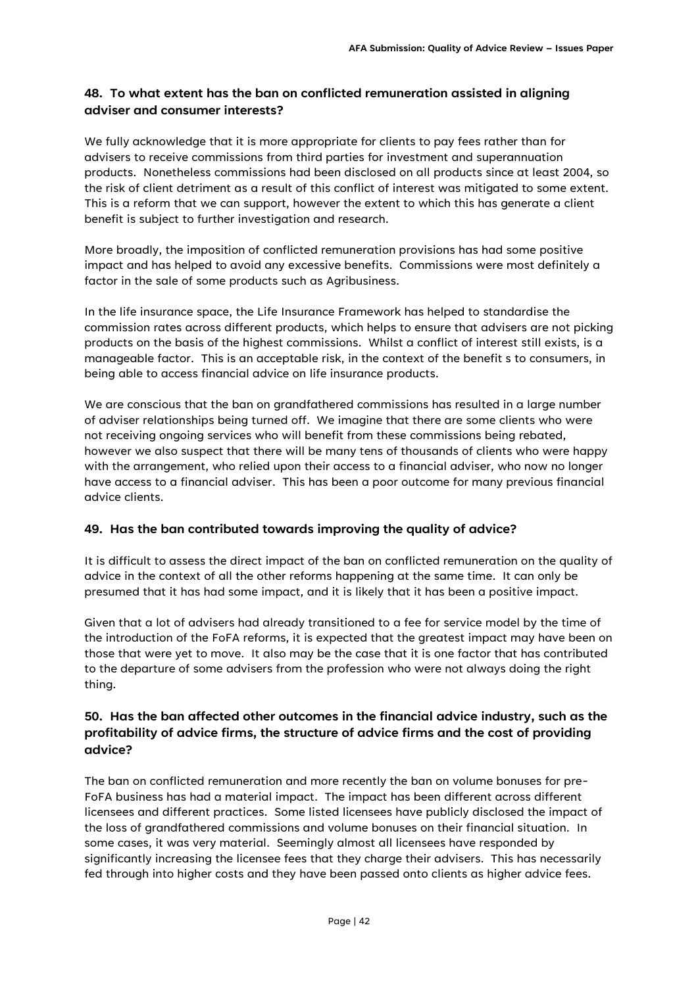# **48. To what extent has the ban on conflicted remuneration assisted in aligning adviser and consumer interests?**

We fully acknowledge that it is more appropriate for clients to pay fees rather than for advisers to receive commissions from third parties for investment and superannuation products. Nonetheless commissions had been disclosed on all products since at least 2004, so the risk of client detriment as a result of this conflict of interest was mitigated to some extent. This is a reform that we can support, however the extent to which this has generate a client benefit is subject to further investigation and research.

More broadly, the imposition of conflicted remuneration provisions has had some positive impact and has helped to avoid any excessive benefits. Commissions were most definitely a factor in the sale of some products such as Agribusiness.

In the life insurance space, the Life Insurance Framework has helped to standardise the commission rates across different products, which helps to ensure that advisers are not picking products on the basis of the highest commissions. Whilst a conflict of interest still exists, is a manageable factor. This is an acceptable risk, in the context of the benefit s to consumers, in being able to access financial advice on life insurance products.

We are conscious that the ban on grandfathered commissions has resulted in a large number of adviser relationships being turned off. We imagine that there are some clients who were not receiving ongoing services who will benefit from these commissions being rebated, however we also suspect that there will be many tens of thousands of clients who were happy with the arrangement, who relied upon their access to a financial adviser, who now no longer have access to a financial adviser. This has been a poor outcome for many previous financial advice clients.

### **49. Has the ban contributed towards improving the quality of advice?**

It is difficult to assess the direct impact of the ban on conflicted remuneration on the quality of advice in the context of all the other reforms happening at the same time. It can only be presumed that it has had some impact, and it is likely that it has been a positive impact.

Given that a lot of advisers had already transitioned to a fee for service model by the time of the introduction of the FoFA reforms, it is expected that the greatest impact may have been on those that were yet to move. It also may be the case that it is one factor that has contributed to the departure of some advisers from the profession who were not always doing the right thing.

### **50. Has the ban affected other outcomes in the financial advice industry, such as the profitability of advice firms, the structure of advice firms and the cost of providing advice?**

The ban on conflicted remuneration and more recently the ban on volume bonuses for pre-FoFA business has had a material impact. The impact has been different across different licensees and different practices. Some listed licensees have publicly disclosed the impact of the loss of grandfathered commissions and volume bonuses on their financial situation. In some cases, it was very material. Seemingly almost all licensees have responded by significantly increasing the licensee fees that they charge their advisers. This has necessarily fed through into higher costs and they have been passed onto clients as higher advice fees.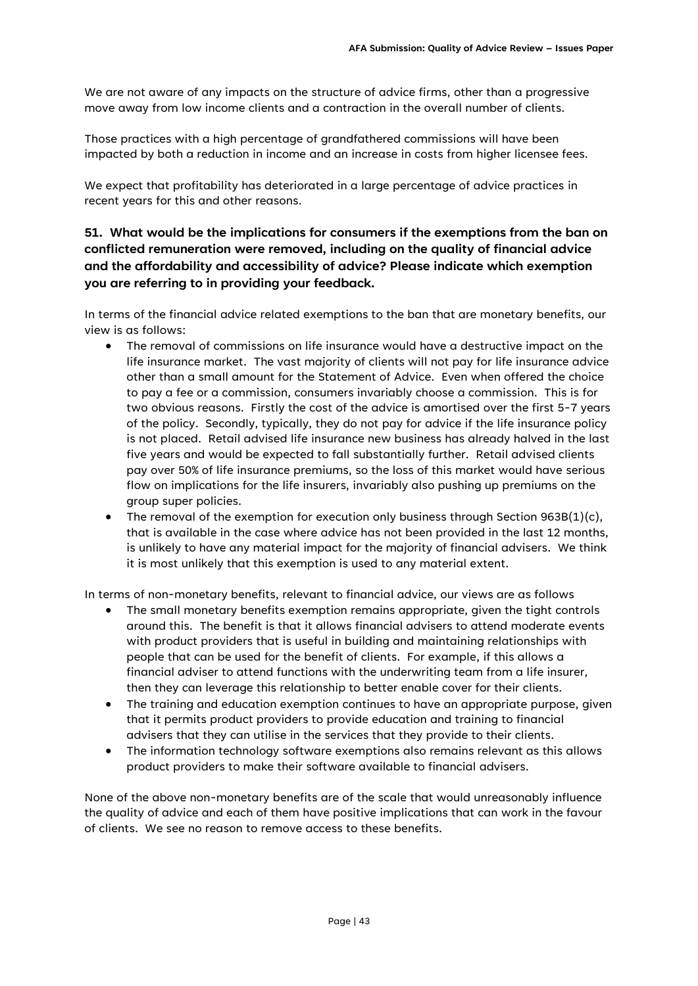We are not aware of any impacts on the structure of advice firms, other than a progressive move away from low income clients and a contraction in the overall number of clients.

Those practices with a high percentage of grandfathered commissions will have been impacted by both a reduction in income and an increase in costs from higher licensee fees.

We expect that profitability has deteriorated in a large percentage of advice practices in recent years for this and other reasons.

# **51. What would be the implications for consumers if the exemptions from the ban on conflicted remuneration were removed, including on the quality of financial advice and the affordability and accessibility of advice? Please indicate which exemption you are referring to in providing your feedback.**

In terms of the financial advice related exemptions to the ban that are monetary benefits, our view is as follows:

- The removal of commissions on life insurance would have a destructive impact on the life insurance market. The vast majority of clients will not pay for life insurance advice other than a small amount for the Statement of Advice. Even when offered the choice to pay a fee or a commission, consumers invariably choose a commission. This is for two obvious reasons. Firstly the cost of the advice is amortised over the first 5-7 years of the policy. Secondly, typically, they do not pay for advice if the life insurance policy is not placed. Retail advised life insurance new business has already halved in the last five years and would be expected to fall substantially further. Retail advised clients pay over 50% of life insurance premiums, so the loss of this market would have serious flow on implications for the life insurers, invariably also pushing up premiums on the group super policies.
- The removal of the exemption for execution only business through Section 963B $(1)(c)$ , that is available in the case where advice has not been provided in the last 12 months, is unlikely to have any material impact for the majority of financial advisers. We think it is most unlikely that this exemption is used to any material extent.

In terms of non-monetary benefits, relevant to financial advice, our views are as follows

- The small monetary benefits exemption remains appropriate, given the tight controls around this. The benefit is that it allows financial advisers to attend moderate events with product providers that is useful in building and maintaining relationships with people that can be used for the benefit of clients. For example, if this allows a financial adviser to attend functions with the underwriting team from a life insurer, then they can leverage this relationship to better enable cover for their clients.
- The training and education exemption continues to have an appropriate purpose, given that it permits product providers to provide education and training to financial advisers that they can utilise in the services that they provide to their clients.
- The information technology software exemptions also remains relevant as this allows product providers to make their software available to financial advisers.

None of the above non-monetary benefits are of the scale that would unreasonably influence the quality of advice and each of them have positive implications that can work in the favour of clients. We see no reason to remove access to these benefits.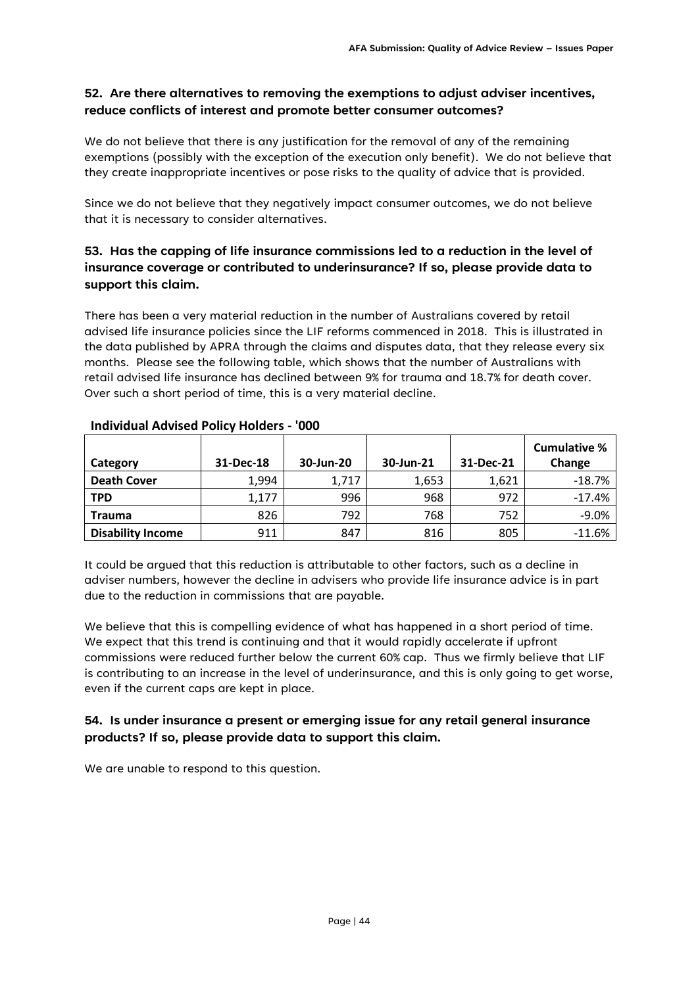### **52. Are there alternatives to removing the exemptions to adjust adviser incentives, reduce conflicts of interest and promote better consumer outcomes?**

We do not believe that there is any justification for the removal of any of the remaining exemptions (possibly with the exception of the execution only benefit). We do not believe that they create inappropriate incentives or pose risks to the quality of advice that is provided.

Since we do not believe that they negatively impact consumer outcomes, we do not believe that it is necessary to consider alternatives.

# **53. Has the capping of life insurance commissions led to a reduction in the level of insurance coverage or contributed to underinsurance? If so, please provide data to support this claim.**

There has been a very material reduction in the number of Australians covered by retail advised life insurance policies since the LIF reforms commenced in 2018. This is illustrated in the data published by APRA through the claims and disputes data, that they release every six months. Please see the following table, which shows that the number of Australians with retail advised life insurance has declined between 9% for trauma and 18.7% for death cover. Over such a short period of time, this is a very material decline.

|                          |           |           |           |           | <b>Cumulative %</b> |
|--------------------------|-----------|-----------|-----------|-----------|---------------------|
| Category                 | 31-Dec-18 | 30-Jun-20 | 30-Jun-21 | 31-Dec-21 | Change              |
| <b>Death Cover</b>       | 1,994     | 1,717     | 1,653     | 1,621     | $-18.7%$            |
| <b>TPD</b>               | 1,177     | 996       | 968       | 972       | $-17.4%$            |
| <b>Trauma</b>            | 826       | 792       | 768       | 752       | $-9.0%$             |
| <b>Disability Income</b> | 911       | 847       | 816       | 805       | $-11.6%$            |

### **Individual Advised Policy Holders - '000**

It could be argued that this reduction is attributable to other factors, such as a decline in adviser numbers, however the decline in advisers who provide life insurance advice is in part due to the reduction in commissions that are payable.

We believe that this is compelling evidence of what has happened in a short period of time. We expect that this trend is continuing and that it would rapidly accelerate if upfront commissions were reduced further below the current 60% cap. Thus we firmly believe that LIF is contributing to an increase in the level of underinsurance, and this is only going to get worse, even if the current caps are kept in place.

# **54. Is under insurance a present or emerging issue for any retail general insurance products? If so, please provide data to support this claim.**

We are unable to respond to this question.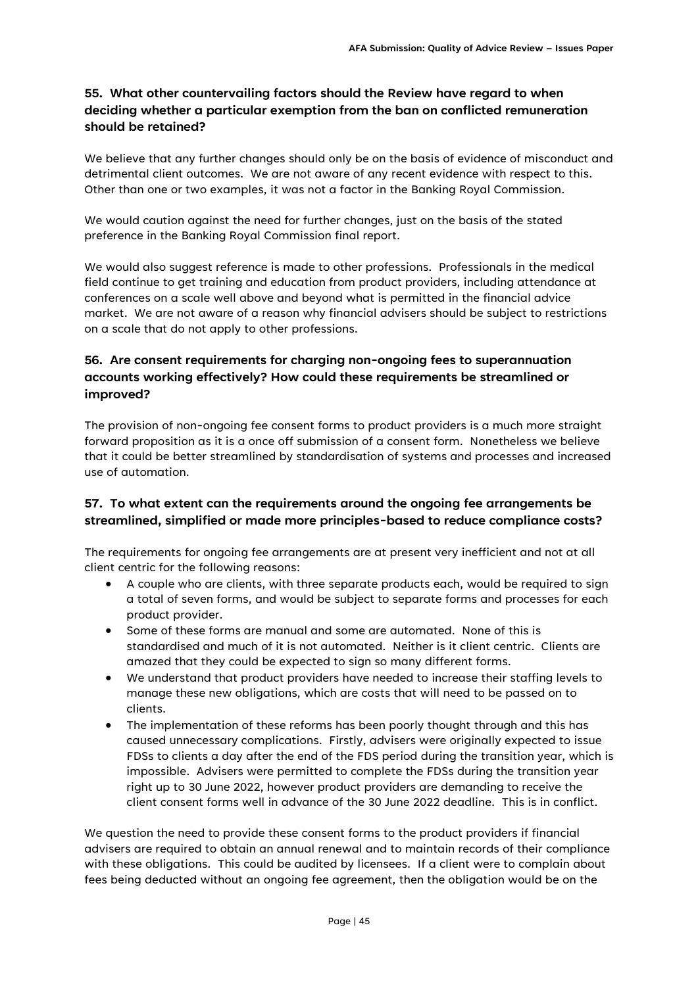# **55. What other countervailing factors should the Review have regard to when deciding whether a particular exemption from the ban on conflicted remuneration should be retained?**

We believe that any further changes should only be on the basis of evidence of misconduct and detrimental client outcomes. We are not aware of any recent evidence with respect to this. Other than one or two examples, it was not a factor in the Banking Royal Commission.

We would caution against the need for further changes, just on the basis of the stated preference in the Banking Royal Commission final report.

We would also suggest reference is made to other professions. Professionals in the medical field continue to get training and education from product providers, including attendance at conferences on a scale well above and beyond what is permitted in the financial advice market. We are not aware of a reason why financial advisers should be subject to restrictions on a scale that do not apply to other professions.

# **56. Are consent requirements for charging non-ongoing fees to superannuation accounts working effectively? How could these requirements be streamlined or improved?**

The provision of non-ongoing fee consent forms to product providers is a much more straight forward proposition as it is a once off submission of a consent form. Nonetheless we believe that it could be better streamlined by standardisation of systems and processes and increased use of automation.

# **57. To what extent can the requirements around the ongoing fee arrangements be streamlined, simplified or made more principles-based to reduce compliance costs?**

The requirements for ongoing fee arrangements are at present very inefficient and not at all client centric for the following reasons:

- A couple who are clients, with three separate products each, would be required to sign a total of seven forms, and would be subject to separate forms and processes for each product provider.
- Some of these forms are manual and some are automated. None of this is standardised and much of it is not automated. Neither is it client centric. Clients are amazed that they could be expected to sign so many different forms.
- We understand that product providers have needed to increase their staffing levels to manage these new obligations, which are costs that will need to be passed on to clients.
- The implementation of these reforms has been poorly thought through and this has caused unnecessary complications. Firstly, advisers were originally expected to issue FDSs to clients a day after the end of the FDS period during the transition year, which is impossible. Advisers were permitted to complete the FDSs during the transition year right up to 30 June 2022, however product providers are demanding to receive the client consent forms well in advance of the 30 June 2022 deadline. This is in conflict.

We question the need to provide these consent forms to the product providers if financial advisers are required to obtain an annual renewal and to maintain records of their compliance with these obligations. This could be audited by licensees. If a client were to complain about fees being deducted without an ongoing fee agreement, then the obligation would be on the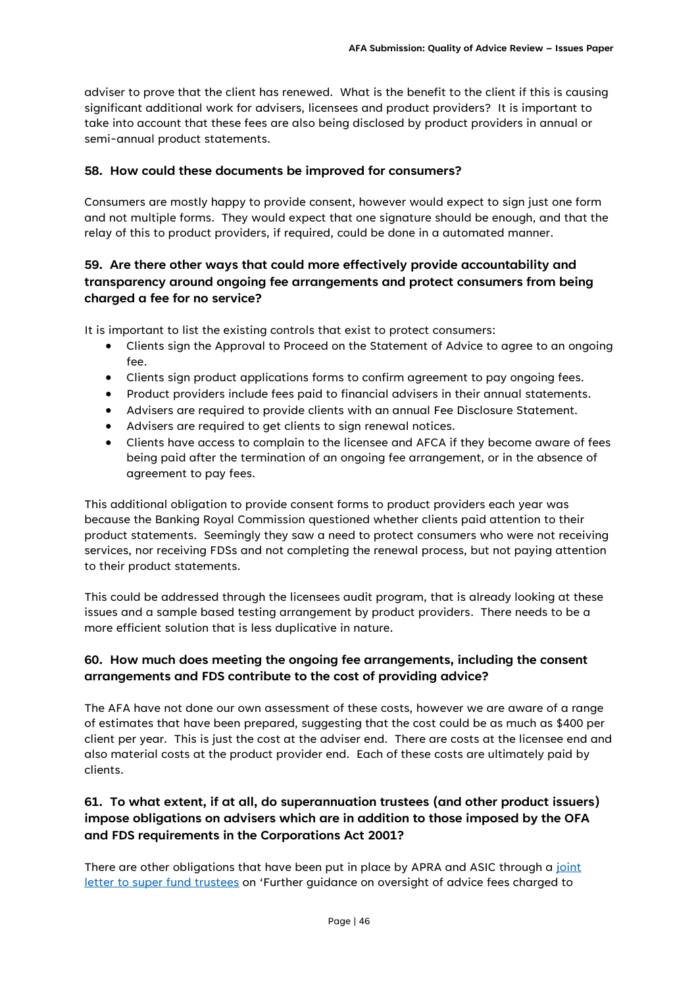adviser to prove that the client has renewed. What is the benefit to the client if this is causing significant additional work for advisers, licensees and product providers? It is important to take into account that these fees are also being disclosed by product providers in annual or semi-annual product statements.

#### **58. How could these documents be improved for consumers?**

Consumers are mostly happy to provide consent, however would expect to sign just one form and not multiple forms. They would expect that one signature should be enough, and that the relay of this to product providers, if required, could be done in a automated manner.

# **59. Are there other ways that could more effectively provide accountability and transparency around ongoing fee arrangements and protect consumers from being charged a fee for no service?**

It is important to list the existing controls that exist to protect consumers:

- Clients sign the Approval to Proceed on the Statement of Advice to agree to an ongoing fee.
- Clients sign product applications forms to confirm agreement to pay ongoing fees.
- Product providers include fees paid to financial advisers in their annual statements.
- Advisers are required to provide clients with an annual Fee Disclosure Statement.
- Advisers are required to get clients to sign renewal notices.
- Clients have access to complain to the licensee and AFCA if they become aware of fees being paid after the termination of an ongoing fee arrangement, or in the absence of agreement to pay fees.

This additional obligation to provide consent forms to product providers each year was because the Banking Royal Commission questioned whether clients paid attention to their product statements. Seemingly they saw a need to protect consumers who were not receiving services, nor receiving FDSs and not completing the renewal process, but not paying attention to their product statements.

This could be addressed through the licensees audit program, that is already looking at these issues and a sample based testing arrangement by product providers. There needs to be a more efficient solution that is less duplicative in nature.

# **60. How much does meeting the ongoing fee arrangements, including the consent arrangements and FDS contribute to the cost of providing advice?**

The AFA have not done our own assessment of these costs, however we are aware of a range of estimates that have been prepared, suggesting that the cost could be as much as \$400 per client per year. This is just the cost at the adviser end. There are costs at the licensee end and also material costs at the product provider end. Each of these costs are ultimately paid by clients.

# **61. To what extent, if at all, do superannuation trustees (and other product issuers) impose obligations on advisers which are in addition to those imposed by the OFA and FDS requirements in the Corporations Act 2001?**

There are other obligations that have been put in place by APRA and ASIC through a joint [letter to super fund trustees](https://www.apra.gov.au/further-guidance-on-oversight-of-advice-fees-charged-to-members%E2%80%99-superannuation-accounts) on 'Further guidance on oversight of advice fees charged to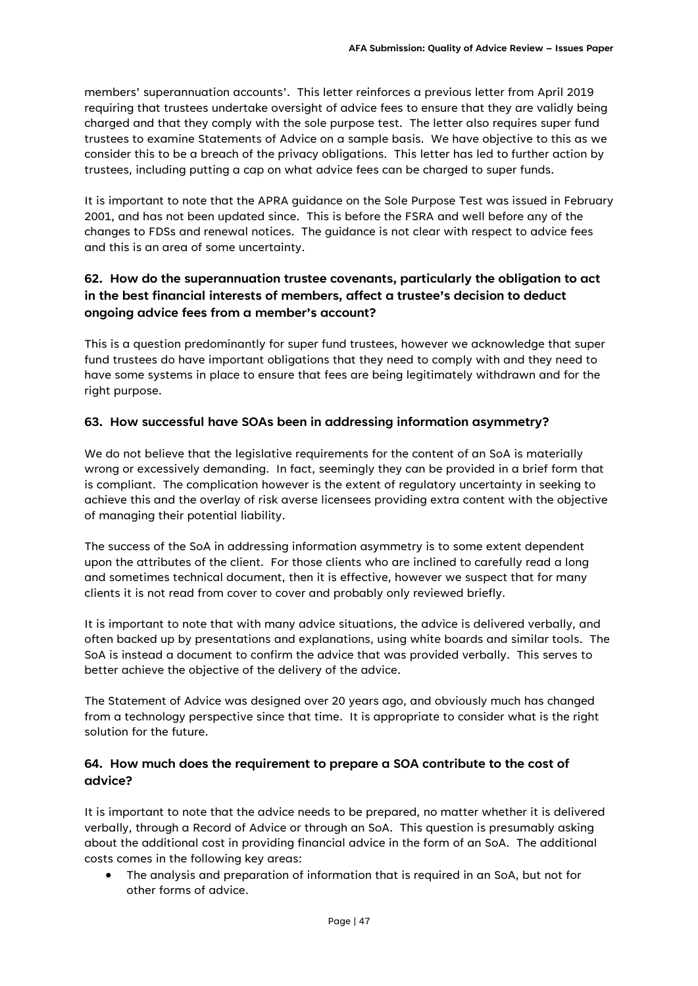members' superannuation accounts'. This letter reinforces a previous letter from April 2019 requiring that trustees undertake oversight of advice fees to ensure that they are validly being charged and that they comply with the sole purpose test. The letter also requires super fund trustees to examine Statements of Advice on a sample basis. We have objective to this as we consider this to be a breach of the privacy obligations. This letter has led to further action by trustees, including putting a cap on what advice fees can be charged to super funds.

It is important to note that the APRA guidance on the Sole Purpose Test was issued in February 2001, and has not been updated since. This is before the FSRA and well before any of the changes to FDSs and renewal notices. The guidance is not clear with respect to advice fees and this is an area of some uncertainty.

# **62. How do the superannuation trustee covenants, particularly the obligation to act in the best financial interests of members, affect a trustee's decision to deduct ongoing advice fees from a member's account?**

This is a question predominantly for super fund trustees, however we acknowledge that super fund trustees do have important obligations that they need to comply with and they need to have some systems in place to ensure that fees are being legitimately withdrawn and for the right purpose.

### **63. How successful have SOAs been in addressing information asymmetry?**

We do not believe that the legislative requirements for the content of an SoA is materially wrong or excessively demanding. In fact, seemingly they can be provided in a brief form that is compliant. The complication however is the extent of regulatory uncertainty in seeking to achieve this and the overlay of risk averse licensees providing extra content with the objective of managing their potential liability.

The success of the SoA in addressing information asymmetry is to some extent dependent upon the attributes of the client. For those clients who are inclined to carefully read a long and sometimes technical document, then it is effective, however we suspect that for many clients it is not read from cover to cover and probably only reviewed briefly.

It is important to note that with many advice situations, the advice is delivered verbally, and often backed up by presentations and explanations, using white boards and similar tools. The SoA is instead a document to confirm the advice that was provided verbally. This serves to better achieve the objective of the delivery of the advice.

The Statement of Advice was designed over 20 years ago, and obviously much has changed from a technology perspective since that time. It is appropriate to consider what is the right solution for the future.

# **64. How much does the requirement to prepare a SOA contribute to the cost of advice?**

It is important to note that the advice needs to be prepared, no matter whether it is delivered verbally, through a Record of Advice or through an SoA. This question is presumably asking about the additional cost in providing financial advice in the form of an SoA. The additional costs comes in the following key areas:

• The analysis and preparation of information that is required in an SoA, but not for other forms of advice.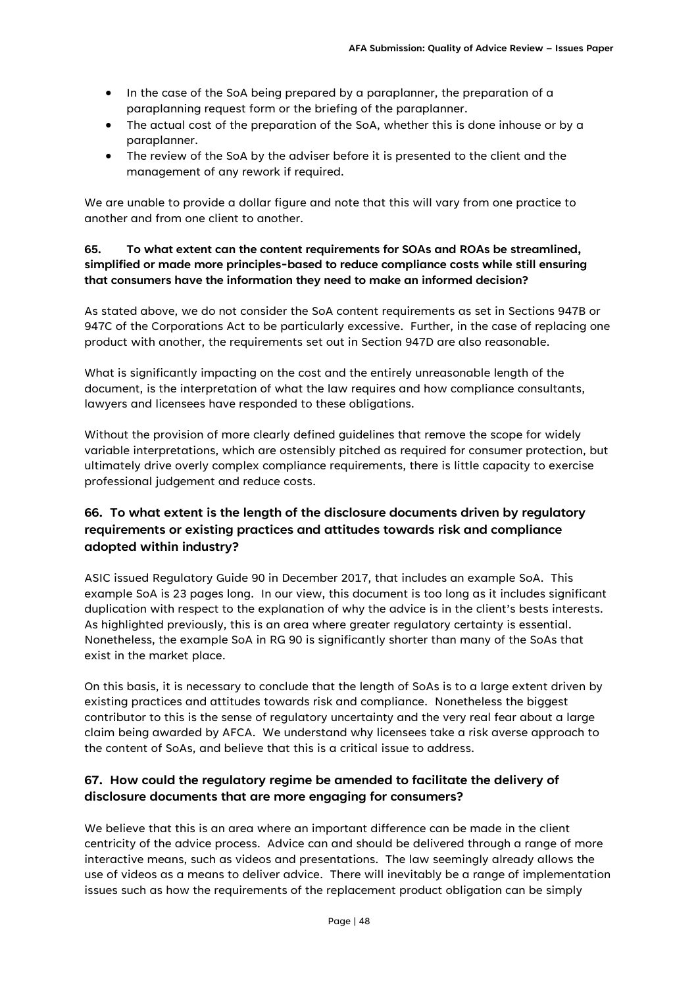- In the case of the SoA being prepared by a paraplanner, the preparation of a paraplanning request form or the briefing of the paraplanner.
- The actual cost of the preparation of the SoA, whether this is done inhouse or by a paraplanner.
- The review of the SoA by the adviser before it is presented to the client and the management of any rework if required.

We are unable to provide a dollar figure and note that this will vary from one practice to another and from one client to another.

### **65. To what extent can the content requirements for SOAs and ROAs be streamlined, simplified or made more principles-based to reduce compliance costs while still ensuring that consumers have the information they need to make an informed decision?**

As stated above, we do not consider the SoA content requirements as set in Sections 947B or 947C of the Corporations Act to be particularly excessive. Further, in the case of replacing one product with another, the requirements set out in Section 947D are also reasonable.

What is significantly impacting on the cost and the entirely unreasonable length of the document, is the interpretation of what the law requires and how compliance consultants, lawyers and licensees have responded to these obligations.

Without the provision of more clearly defined guidelines that remove the scope for widely variable interpretations, which are ostensibly pitched as required for consumer protection, but ultimately drive overly complex compliance requirements, there is little capacity to exercise professional judgement and reduce costs.

# **66. To what extent is the length of the disclosure documents driven by regulatory requirements or existing practices and attitudes towards risk and compliance adopted within industry?**

ASIC issued Regulatory Guide 90 in December 2017, that includes an example SoA. This example SoA is 23 pages long. In our view, this document is too long as it includes significant duplication with respect to the explanation of why the advice is in the client's bests interests. As highlighted previously, this is an area where greater regulatory certainty is essential. Nonetheless, the example SoA in RG 90 is significantly shorter than many of the SoAs that exist in the market place.

On this basis, it is necessary to conclude that the length of SoAs is to a large extent driven by existing practices and attitudes towards risk and compliance. Nonetheless the biggest contributor to this is the sense of regulatory uncertainty and the very real fear about a large claim being awarded by AFCA. We understand why licensees take a risk averse approach to the content of SoAs, and believe that this is a critical issue to address.

# **67. How could the regulatory regime be amended to facilitate the delivery of disclosure documents that are more engaging for consumers?**

We believe that this is an area where an important difference can be made in the client centricity of the advice process. Advice can and should be delivered through a range of more interactive means, such as videos and presentations. The law seemingly already allows the use of videos as a means to deliver advice. There will inevitably be a range of implementation issues such as how the requirements of the replacement product obligation can be simply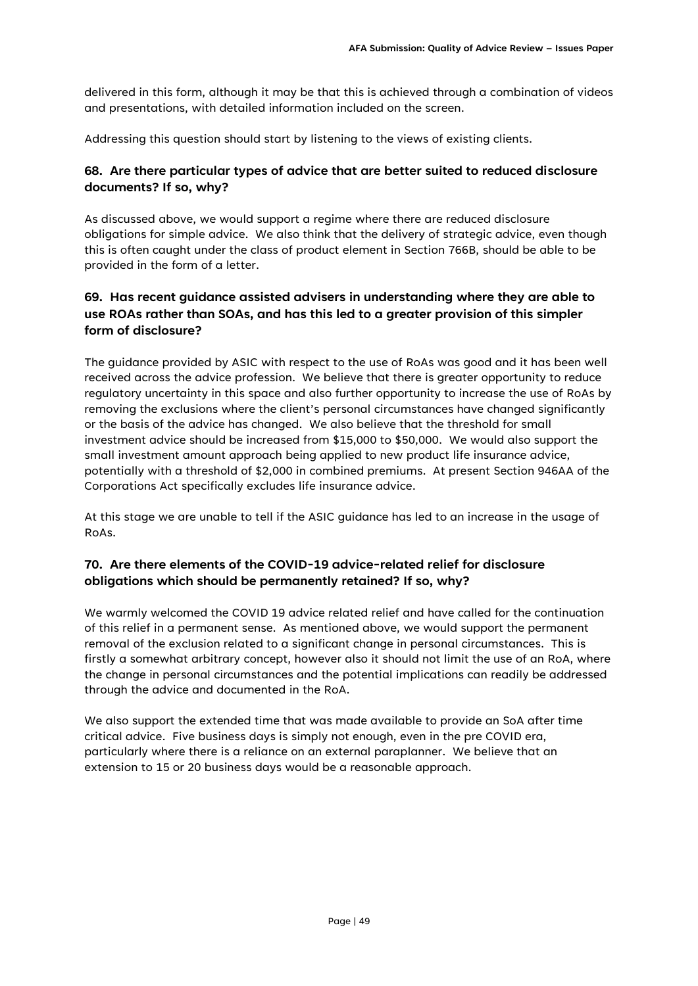delivered in this form, although it may be that this is achieved through a combination of videos and presentations, with detailed information included on the screen.

Addressing this question should start by listening to the views of existing clients.

### **68. Are there particular types of advice that are better suited to reduced disclosure documents? If so, why?**

As discussed above, we would support a regime where there are reduced disclosure obligations for simple advice. We also think that the delivery of strategic advice, even though this is often caught under the class of product element in Section 766B, should be able to be provided in the form of a letter.

# **69. Has recent guidance assisted advisers in understanding where they are able to use ROAs rather than SOAs, and has this led to a greater provision of this simpler form of disclosure?**

The guidance provided by ASIC with respect to the use of RoAs was good and it has been well received across the advice profession. We believe that there is greater opportunity to reduce regulatory uncertainty in this space and also further opportunity to increase the use of RoAs by removing the exclusions where the client's personal circumstances have changed significantly or the basis of the advice has changed. We also believe that the threshold for small investment advice should be increased from \$15,000 to \$50,000. We would also support the small investment amount approach being applied to new product life insurance advice, potentially with a threshold of \$2,000 in combined premiums. At present Section 946AA of the Corporations Act specifically excludes life insurance advice.

At this stage we are unable to tell if the ASIC guidance has led to an increase in the usage of RoAs.

# **70. Are there elements of the COVID-19 advice-related relief for disclosure obligations which should be permanently retained? If so, why?**

We warmly welcomed the COVID 19 advice related relief and have called for the continuation of this relief in a permanent sense. As mentioned above, we would support the permanent removal of the exclusion related to a significant change in personal circumstances. This is firstly a somewhat arbitrary concept, however also it should not limit the use of an RoA, where the change in personal circumstances and the potential implications can readily be addressed through the advice and documented in the RoA.

We also support the extended time that was made available to provide an SoA after time critical advice. Five business days is simply not enough, even in the pre COVID era, particularly where there is a reliance on an external paraplanner. We believe that an extension to 15 or 20 business days would be a reasonable approach.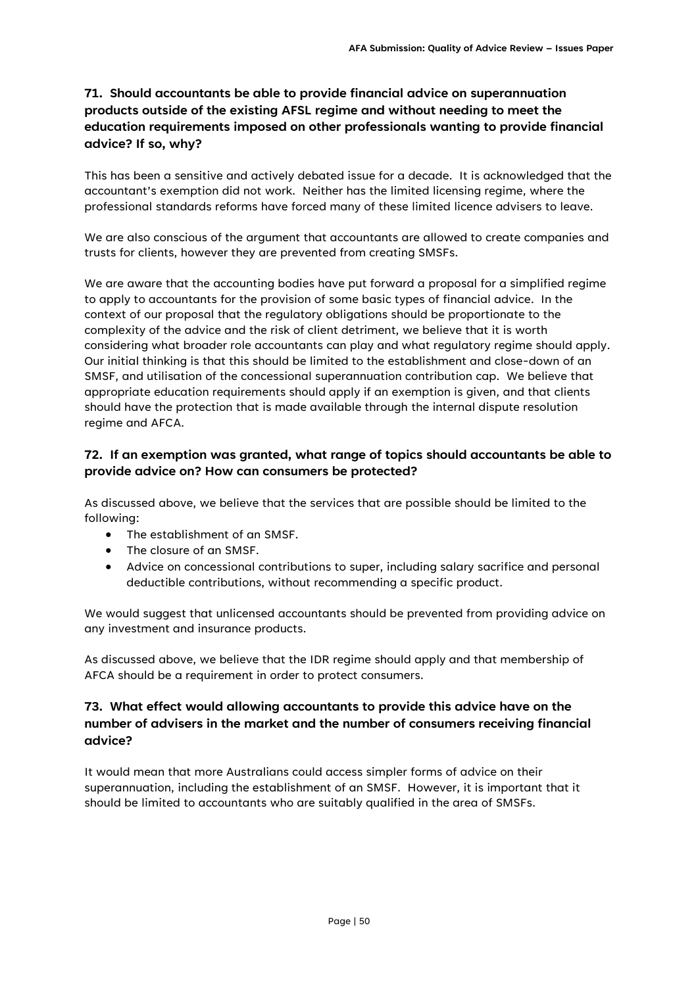# **71. Should accountants be able to provide financial advice on superannuation products outside of the existing AFSL regime and without needing to meet the education requirements imposed on other professionals wanting to provide financial advice? If so, why?**

This has been a sensitive and actively debated issue for a decade. It is acknowledged that the accountant's exemption did not work. Neither has the limited licensing regime, where the professional standards reforms have forced many of these limited licence advisers to leave.

We are also conscious of the argument that accountants are allowed to create companies and trusts for clients, however they are prevented from creating SMSFs.

We are aware that the accounting bodies have put forward a proposal for a simplified regime to apply to accountants for the provision of some basic types of financial advice. In the context of our proposal that the regulatory obligations should be proportionate to the complexity of the advice and the risk of client detriment, we believe that it is worth considering what broader role accountants can play and what regulatory regime should apply. Our initial thinking is that this should be limited to the establishment and close-down of an SMSF, and utilisation of the concessional superannuation contribution cap. We believe that appropriate education requirements should apply if an exemption is given, and that clients should have the protection that is made available through the internal dispute resolution regime and AFCA.

### **72. If an exemption was granted, what range of topics should accountants be able to provide advice on? How can consumers be protected?**

As discussed above, we believe that the services that are possible should be limited to the following:

- The establishment of an SMSF.
- The closure of an SMSF.
- Advice on concessional contributions to super, including salary sacrifice and personal deductible contributions, without recommending a specific product.

We would suggest that unlicensed accountants should be prevented from providing advice on any investment and insurance products.

As discussed above, we believe that the IDR regime should apply and that membership of AFCA should be a requirement in order to protect consumers.

### **73. What effect would allowing accountants to provide this advice have on the number of advisers in the market and the number of consumers receiving financial advice?**

It would mean that more Australians could access simpler forms of advice on their superannuation, including the establishment of an SMSF. However, it is important that it should be limited to accountants who are suitably qualified in the area of SMSFs.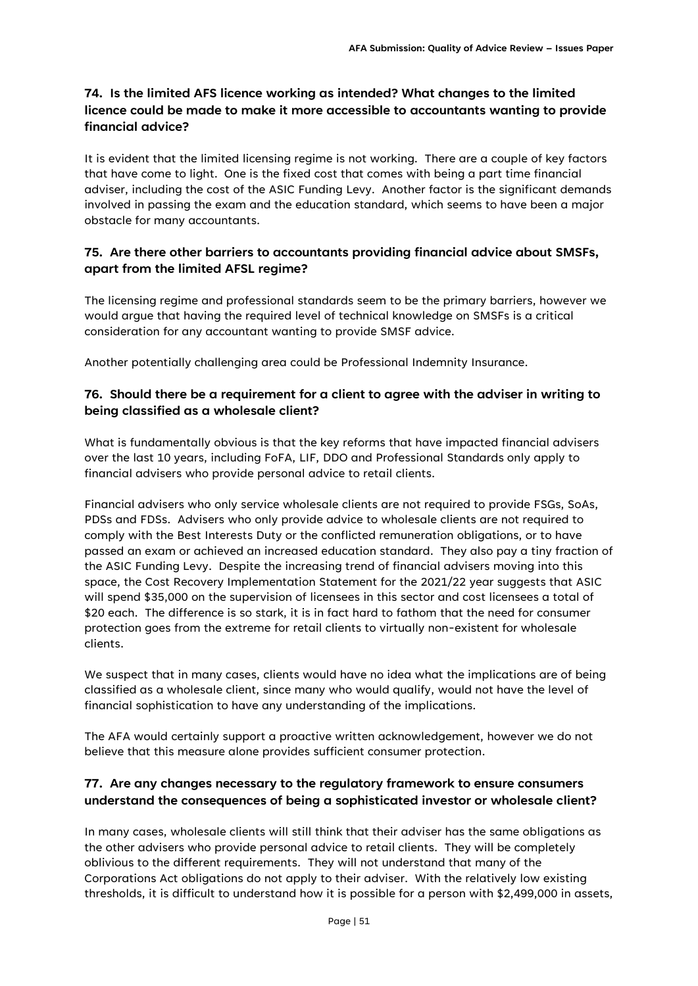# **74. Is the limited AFS licence working as intended? What changes to the limited licence could be made to make it more accessible to accountants wanting to provide financial advice?**

It is evident that the limited licensing regime is not working. There are a couple of key factors that have come to light. One is the fixed cost that comes with being a part time financial adviser, including the cost of the ASIC Funding Levy. Another factor is the significant demands involved in passing the exam and the education standard, which seems to have been a major obstacle for many accountants.

### **75. Are there other barriers to accountants providing financial advice about SMSFs, apart from the limited AFSL regime?**

The licensing regime and professional standards seem to be the primary barriers, however we would argue that having the required level of technical knowledge on SMSFs is a critical consideration for any accountant wanting to provide SMSF advice.

Another potentially challenging area could be Professional Indemnity Insurance.

### **76. Should there be a requirement for a client to agree with the adviser in writing to being classified as a wholesale client?**

What is fundamentally obvious is that the key reforms that have impacted financial advisers over the last 10 years, including FoFA, LIF, DDO and Professional Standards only apply to financial advisers who provide personal advice to retail clients.

Financial advisers who only service wholesale clients are not required to provide FSGs, SoAs, PDSs and FDSs. Advisers who only provide advice to wholesale clients are not required to comply with the Best Interests Duty or the conflicted remuneration obligations, or to have passed an exam or achieved an increased education standard. They also pay a tiny fraction of the ASIC Funding Levy. Despite the increasing trend of financial advisers moving into this space, the Cost Recovery Implementation Statement for the 2021/22 year suggests that ASIC will spend \$35,000 on the supervision of licensees in this sector and cost licensees a total of \$20 each. The difference is so stark, it is in fact hard to fathom that the need for consumer protection goes from the extreme for retail clients to virtually non-existent for wholesale clients.

We suspect that in many cases, clients would have no idea what the implications are of being classified as a wholesale client, since many who would qualify, would not have the level of financial sophistication to have any understanding of the implications.

The AFA would certainly support a proactive written acknowledgement, however we do not believe that this measure alone provides sufficient consumer protection.

# **77. Are any changes necessary to the regulatory framework to ensure consumers understand the consequences of being a sophisticated investor or wholesale client?**

In many cases, wholesale clients will still think that their adviser has the same obligations as the other advisers who provide personal advice to retail clients. They will be completely oblivious to the different requirements. They will not understand that many of the Corporations Act obligations do not apply to their adviser. With the relatively low existing thresholds, it is difficult to understand how it is possible for a person with \$2,499,000 in assets,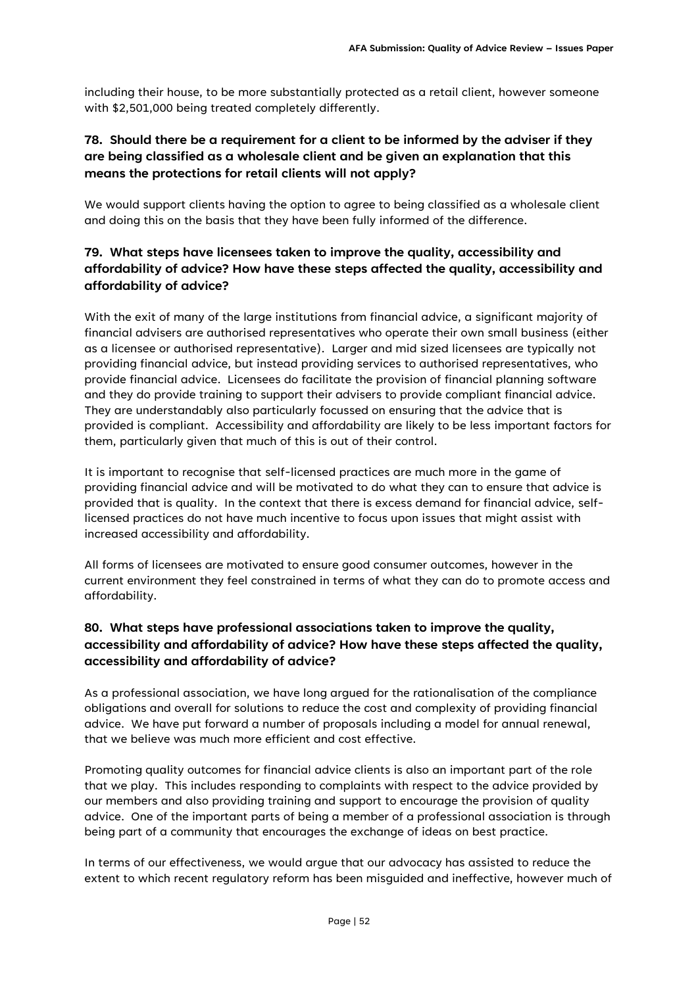including their house, to be more substantially protected as a retail client, however someone with \$2,501,000 being treated completely differently.

# **78. Should there be a requirement for a client to be informed by the adviser if they are being classified as a wholesale client and be given an explanation that this means the protections for retail clients will not apply?**

We would support clients having the option to agree to being classified as a wholesale client and doing this on the basis that they have been fully informed of the difference.

# **79. What steps have licensees taken to improve the quality, accessibility and affordability of advice? How have these steps affected the quality, accessibility and affordability of advice?**

With the exit of many of the large institutions from financial advice, a significant majority of financial advisers are authorised representatives who operate their own small business (either as a licensee or authorised representative). Larger and mid sized licensees are typically not providing financial advice, but instead providing services to authorised representatives, who provide financial advice. Licensees do facilitate the provision of financial planning software and they do provide training to support their advisers to provide compliant financial advice. They are understandably also particularly focussed on ensuring that the advice that is provided is compliant. Accessibility and affordability are likely to be less important factors for them, particularly given that much of this is out of their control.

It is important to recognise that self-licensed practices are much more in the game of providing financial advice and will be motivated to do what they can to ensure that advice is provided that is quality. In the context that there is excess demand for financial advice, selflicensed practices do not have much incentive to focus upon issues that might assist with increased accessibility and affordability.

All forms of licensees are motivated to ensure good consumer outcomes, however in the current environment they feel constrained in terms of what they can do to promote access and affordability.

# **80. What steps have professional associations taken to improve the quality, accessibility and affordability of advice? How have these steps affected the quality, accessibility and affordability of advice?**

As a professional association, we have long argued for the rationalisation of the compliance obligations and overall for solutions to reduce the cost and complexity of providing financial advice. We have put forward a number of proposals including a model for annual renewal, that we believe was much more efficient and cost effective.

Promoting quality outcomes for financial advice clients is also an important part of the role that we play. This includes responding to complaints with respect to the advice provided by our members and also providing training and support to encourage the provision of quality advice. One of the important parts of being a member of a professional association is through being part of a community that encourages the exchange of ideas on best practice.

In terms of our effectiveness, we would argue that our advocacy has assisted to reduce the extent to which recent regulatory reform has been misguided and ineffective, however much of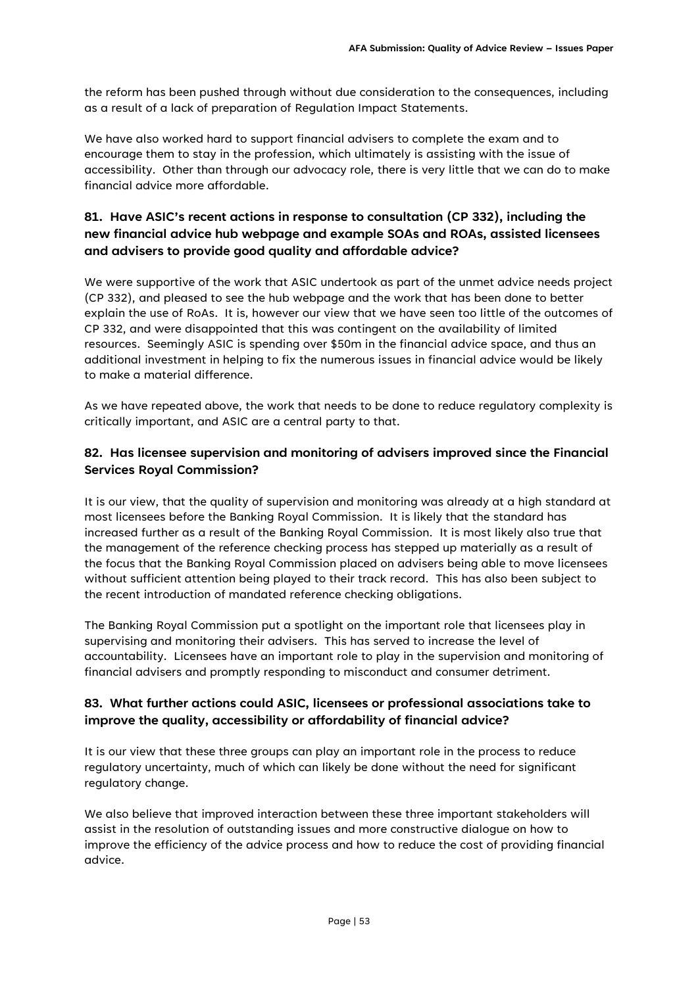the reform has been pushed through without due consideration to the consequences, including as a result of a lack of preparation of Regulation Impact Statements.

We have also worked hard to support financial advisers to complete the exam and to encourage them to stay in the profession, which ultimately is assisting with the issue of accessibility. Other than through our advocacy role, there is very little that we can do to make financial advice more affordable.

# **81. Have ASIC's recent actions in response to consultation (CP 332), including the new financial advice hub webpage and example SOAs and ROAs, assisted licensees and advisers to provide good quality and affordable advice?**

We were supportive of the work that ASIC undertook as part of the unmet advice needs project (CP 332), and pleased to see the hub webpage and the work that has been done to better explain the use of RoAs. It is, however our view that we have seen too little of the outcomes of CP 332, and were disappointed that this was contingent on the availability of limited resources. Seemingly ASIC is spending over \$50m in the financial advice space, and thus an additional investment in helping to fix the numerous issues in financial advice would be likely to make a material difference.

As we have repeated above, the work that needs to be done to reduce regulatory complexity is critically important, and ASIC are a central party to that.

### **82. Has licensee supervision and monitoring of advisers improved since the Financial Services Royal Commission?**

It is our view, that the quality of supervision and monitoring was already at a high standard at most licensees before the Banking Royal Commission. It is likely that the standard has increased further as a result of the Banking Royal Commission. It is most likely also true that the management of the reference checking process has stepped up materially as a result of the focus that the Banking Royal Commission placed on advisers being able to move licensees without sufficient attention being played to their track record. This has also been subject to the recent introduction of mandated reference checking obligations.

The Banking Royal Commission put a spotlight on the important role that licensees play in supervising and monitoring their advisers. This has served to increase the level of accountability. Licensees have an important role to play in the supervision and monitoring of financial advisers and promptly responding to misconduct and consumer detriment.

### **83. What further actions could ASIC, licensees or professional associations take to improve the quality, accessibility or affordability of financial advice?**

It is our view that these three groups can play an important role in the process to reduce regulatory uncertainty, much of which can likely be done without the need for significant regulatory change.

We also believe that improved interaction between these three important stakeholders will assist in the resolution of outstanding issues and more constructive dialogue on how to improve the efficiency of the advice process and how to reduce the cost of providing financial advice.